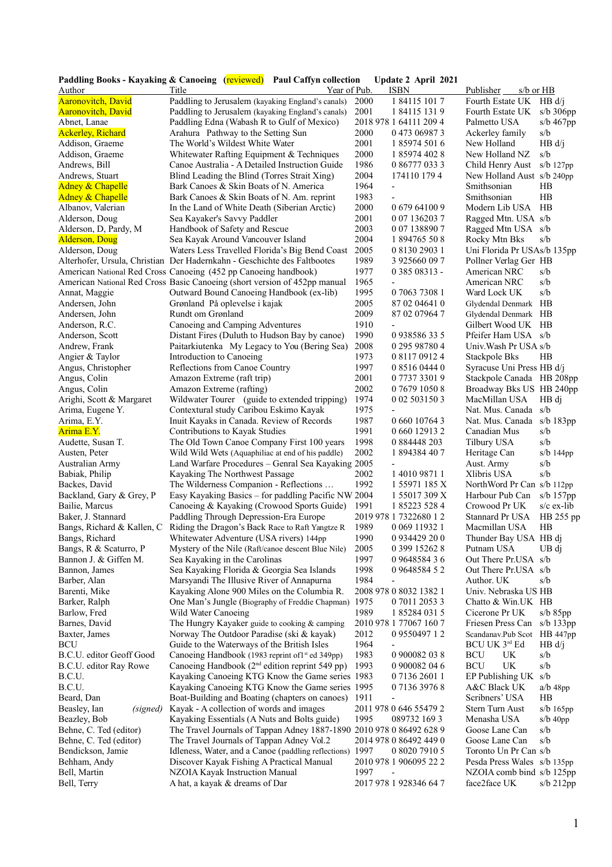|                             | Paddling Books - Kayaking & Canoeing (reviewed) Paul Caffyn collection     |      | Update 2 April 2021      |                             |                |
|-----------------------------|----------------------------------------------------------------------------|------|--------------------------|-----------------------------|----------------|
| Author                      | Year of Pub.<br>Title                                                      |      | <b>ISBN</b>              | $s/b$ or $HB$<br>Publisher  |                |
| <b>Aaronovitch</b> , David  | Paddling to Jerusalem (kayaking England's canals)                          | 2000 | 1 84115 101 7            | Fourth Estate UK            | HB d/i         |
| <b>Aaronovitch</b> , David  | Paddling to Jerusalem (kayaking England's canals)                          | 2001 | 1 84115 131 9            | Fourth Estate UK            | $s/b$ 306pp    |
| Abnet, Lanae                | Paddling Edna (Wabash R to Gulf of Mexico)                                 |      | 2018 978 1 64111 209 4   | Palmetto USA                | s/b $467$ pp   |
| <b>Ackerley, Richard</b>    | Arahura Pathway to the Setting Sun                                         | 2000 | 0 473 06987 3            | Ackerley family             | s/b            |
| Addison, Graeme             | The World's Wildest White Water                                            | 2001 | 1 85974 501 6            | New Holland                 | HB d/j         |
| Addison, Graeme             | Whitewater Rafting Equipment & Techniques                                  | 2000 | 1 85974 402 8            | New Holland NZ              | s/b            |
| Andrews, Bill               | Canoe Australia - A Detailed Instruction Guide                             | 1986 | 0 86777 033 3            | Child Henry Aust            | $s/b$ 127 $pp$ |
| Andrews, Stuart             | Blind Leading the Blind (Torres Strait Xing)                               | 2004 | 174110 179 4             | New Holland Aust s/b 240pp  |                |
| <b>Adney &amp; Chapelle</b> | Bark Canoes & Skin Boats of N. America                                     | 1964 | $\overline{\phantom{0}}$ | Smithsonian                 | HB             |
|                             |                                                                            | 1983 | $\overline{\phantom{0}}$ | Smithsonian                 | HB             |
| <b>Adney &amp; Chapelle</b> | Bark Canoes & Skin Boats of N. Am. reprint                                 |      |                          |                             |                |
| Albanov, Valerian           | In the Land of White Death (Siberian Arctic)                               | 2000 | 0 679 64100 9            | Modern Lib USA              | HB             |
| Alderson, Doug              | Sea Kayaker's Savvy Paddler                                                | 2001 | 0 07 136203 7            | Ragged Mtn. USA s/b         |                |
| Alderson, D, Pardy, M       | Handbook of Safety and Rescue                                              | 2003 | 0 07 138890 7            | Ragged Mtn USA s/b          |                |
| <b>Alderson, Doug</b>       | Sea Kayak Around Vancouver Island                                          | 2004 | 1 894765 50 8            | Rocky Mtn Bks               | s/b            |
| Alderson, Doug              | Waters Less Travelled Florida's Big Bend Coast                             | 2005 | 0 8130 2903 1            | Uni Florida Pr USAs/b 135pp |                |
|                             | Alterhofer, Ursula, Christian Der Hadernkahn - Geschichte des Faltbootes   | 1989 | 3 925660 09 7            | Pollner Verlag Ger HB       |                |
|                             | American National Red Cross Canoeing (452 pp Canoeing handbook)            | 1977 | 0 385 08313 -            | American NRC                | s/b            |
|                             | American National Red Cross Basic Canoeing (short version of 452pp manual  | 1965 | $\overline{\phantom{0}}$ | American NRC                | s/b            |
| Annat, Maggie               | Outward Bound Canoeing Handbook (ex-lib)                                   | 1995 | 0 7063 7308 1            | Ward Lock UK                | s/b            |
| Andersen, John              | Grønland På oplevelse i kajak                                              | 2005 | 87 02 04641 0            | Glydendal Denmark HB        |                |
| Andersen, John              | Rundt om Grønland                                                          | 2009 | 87 02 07964 7            | Glydendal Denmark HB        |                |
| Anderson, R.C.              | Canoeing and Camping Adventures                                            | 1910 |                          | Gilbert Wood UK HB          |                |
| Anderson, Scott             | Distant Fires (Duluth to Hudson Bay by canoe)                              | 1990 | 0938586335               | Pfeifer Ham USA s/b         |                |
| Andrew, Frank               | Paitarkiutenka My Legacy to You (Bering Sea)                               | 2008 | 0 295 98780 4            | Univ. Wash Pr USA s/b       |                |
| Angier & Taylor             | Introduction to Canoeing                                                   | 1973 | 0 8117 0912 4            | Stackpole Bks               | HB             |
| Angus, Christopher          | Reflections from Canoe Country                                             | 1997 | 0 8516 0444 0            | Syracuse Uni Press HB d/j   |                |
| Angus, Colin                | Amazon Extreme (raft trip)                                                 | 2001 | 0 7737 3301 9            | Stackpole Canada HB 208pp   |                |
| Angus, Colin                | Amazon Extreme (rafting)                                                   | 2002 | 0 7679 1050 8            | Broadway Bks US HB 240pp    |                |
| Arighi, Scott & Margaret    | Wildwater Tourer (guide to extended tripping)                              | 1974 | 0 02 503150 3            | MacMillan USA               | HB di          |
| Arima, Eugene Y.            | Contextural study Caribou Eskimo Kayak                                     | 1975 |                          | Nat. Mus. Canada            | s/b            |
| Arima, E.Y.                 | Inuit Kayaks in Canada. Review of Records                                  | 1987 | 0 660 10764 3            | Nat. Mus. Canada            | s/b $183$ pp   |
| Arima E.Y.                  |                                                                            | 1991 | 0 660 12913 2            | Canadian Mus                | s/b            |
|                             | Contributions to Kayak Studies                                             | 1998 | 0 884448 203             |                             | s/b            |
| Audette, Susan T.           | The Old Town Canoe Company First 100 years                                 |      |                          | Tilbury USA                 |                |
| Austen, Peter               | Wild Wild Wets (Aquaphiliac at end of his paddle)                          | 2002 | 1 894384 40 7            | Heritage Can                | $s/b$ 144pp    |
| Australian Army             | Land Warfare Procedures – Genral Sea Kayaking 2005                         |      |                          | Aust. Army                  | s/b            |
| Babiak, Philip              | Kayaking The Northwest Passage                                             | 2002 | 1 4010 9871 1            | Xlibris USA                 | s/b            |
| Backes, David               | The Wilderness Companion - Reflections                                     | 1992 | 1 55971 185 X            | NorthWord Pr Can s/b 112pp  |                |
| Backland, Gary & Grey, P    | Easy Kayaking Basics - for paddling Pacific NW 2004                        |      | 1 55017 309 X            | Harbour Pub Can             | s/b $157$ pp   |
| Bailie, Marcus              | Canoeing & Kayaking (Crowood Sports Guide)                                 | 1991 | 1 85223 528 4            | Crowood Pr UK               | $s/c$ ex-lib   |
| Baker, J. Stannard          | Paddling Through Depression-Era Europe                                     |      | 2019 978 1 7322680 1 2   | Stannard Pr USA             | HB 255 pp      |
|                             | Bangs, Richard & Kallen, C Riding the Dragon's Back Race to Raft Yangtze R | 1989 | 0 0 69 1 1 9 3 2 1       | Macmillan USA               | HB             |
| Bangs, Richard              | Whitewater Adventure (USA rivers) 144pp                                    | 1990 | 0 934429 200             | Thunder Bay USA HB dj       |                |
| Bangs, R & Scaturro, P      | Mystery of the Nile (Raft/canoe descent Blue Nile)                         | 2005 | 0 399 15262 8            | Putnam USA                  | UB di          |
| Bannon J. & Giffen M.       | Sea Kayaking in the Carolinas                                              | 1997 | 0964858436               | Out There Pr.USA s/b        |                |
| Bannon, James               | Sea Kayaking Florida & Georgia Sea Islands                                 | 1998 | 0 9648584 5 2            | Out There Pr.USA s/b        |                |
| Barber, Alan                | Marsyandi The Illusive River of Annapurna                                  | 1984 |                          | Author. UK                  | s/b            |
| Barenti, Mike               | Kayaking Alone 900 Miles on the Columbia R.                                |      | 2008 978 0 8032 1382 1   | Univ. Nebraska US HB        |                |
| Barker, Ralph               | One Man's Jungle (Biography of Freddie Chapman)                            | 1975 | 0 7011 2053 3            | Chatto & Win.UK HB          |                |
| Barlow, Fred                | Wild Water Canoeing                                                        | 1989 | 1 85284 031 5            | Cicerone Pr UK              | $s/b$ 85pp     |
| Barnes, David               | The Hungry Kayaker guide to cooking & camping                              |      | 2010 978 1 77067 160 7   | Friesen Press Can           | s/b $133pp$    |
| Baxter, James               | Norway The Outdoor Paradise (ski & kayak)                                  | 2012 | 0955049712               | Scandanav.Pub Scot          | HB 447pp       |
| <b>BCU</b>                  | Guide to the Waterways of the British Isles                                | 1964 |                          | BCU UK 3rd Ed               | HB d/i         |
| B.C.U. editor Geoff Good    | Canoeing Handbook (1983 reprint of 1 <sup>st</sup> ed 349pp)               | 1983 | 0 900082 03 8            | <b>BCU</b><br>UK            | s/b            |
| B.C.U. editor Ray Rowe      | Canoeing Handbook $(2nd$ edition reprint 549 pp)                           | 1993 | 0 900082 04 6            | <b>BCU</b><br>UK            | s/b            |
| B.C.U.                      | Kayaking Canoeing KTG Know the Game series 1983                            |      | 0 7136 2601 1            | EP Publishing UK s/b        |                |
| B.C.U.                      | Kayaking Canoeing KTG Know the Game series 1995                            |      | 0 7136 3976 8            | A&C Black UK                | $a/b$ 48pp     |
| Beard, Dan                  | Boat-Building and Boating (chapters on canoes)                             | 1911 |                          | Scribners' USA              | HB             |
|                             |                                                                            |      |                          |                             |                |
| Beasley, Ian<br>(signed)    | Kayak - A collection of words and images                                   |      | 2011 978 0 646 55479 2   | Stern Turn Aust             | $s/b$ 165 $pp$ |
| Beazley, Bob                | Kayaking Essentials (A Nuts and Bolts guide)                               | 1995 | 089732 169 3             | Menasha USA                 | $s/b$ 40pp     |
| Behne, C. Ted (editor)      | The Travel Journals of Tappan Adney 1887-1890 2010 978 0 86492 628 9       |      |                          | Goose Lane Can              | s/b            |
| Behne, C. Ted (editor)      | The Travel Journals of Tappan Adney Vol.2                                  |      | 2014 978 0 86492 449 0   | Goose Lane Can              | s/b            |
| Bendickson, Jamie           | Idleness, Water, and a Canoe (paddling reflections) 1997                   |      | 0 8020 7910 5            | Toronto Un Pr Can s/b       |                |
| Behham, Andy                | Discover Kayak Fishing A Practical Manual                                  |      | 2010 978 1 906095 22 2   | Pesda Press Wales s/b 135pp |                |
| Bell, Martin                | NZOIA Kayak Instruction Manual                                             | 1997 |                          | NZOIA comb bind s/b 125pp   |                |
| Bell, Terry                 | A hat, a kayak & dreams of Dar                                             |      | 2017 978 1 928346 64 7   | face2face UK                | $s/b$ 212pp    |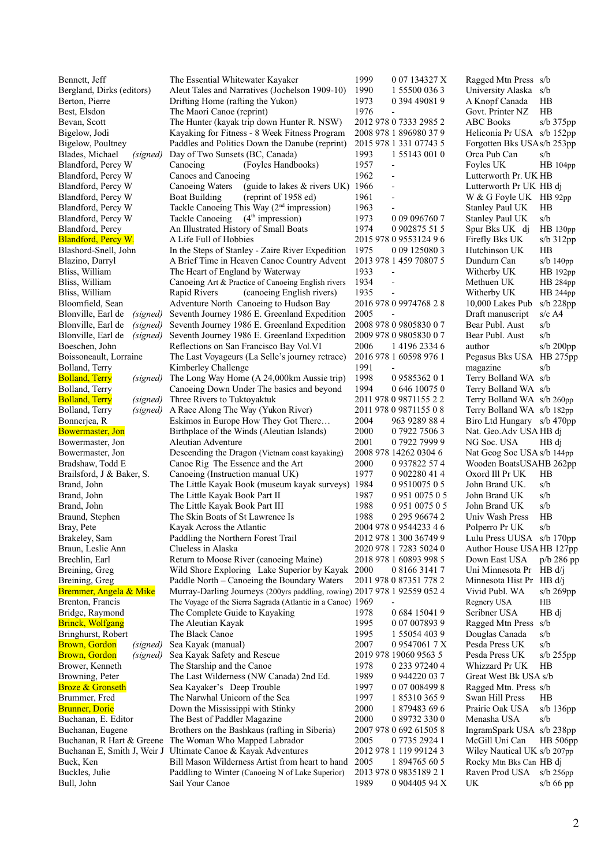| Bennett, Jeff                                        | The Essential Whitewater Kayaker                                                                         | 1999         | 0 07 134327 X                           | Ragged Mtn Press s/b                        |                |
|------------------------------------------------------|----------------------------------------------------------------------------------------------------------|--------------|-----------------------------------------|---------------------------------------------|----------------|
| Bergland, Dirks (editors)                            | Aleut Tales and Narratives (Jochelson 1909-10)                                                           | 1990         | 1 55500 036 3                           | University Alaska s/b                       |                |
| Berton, Pierre                                       | Drifting Home (rafting the Yukon)                                                                        | 1973         | 0 394 49081 9                           | A Knopf Canada                              | HB             |
| Best, Elsdon                                         | The Maori Canoe (reprint)                                                                                | 1976         | $\overline{\phantom{a}}$                | Govt. Printer NZ                            | HB             |
| Bevan, Scott                                         | The Hunter (kayak trip down Hunter R. NSW)                                                               |              | 2012 978 0 7333 2985 2                  | <b>ABC</b> Books                            | s/b 375pp      |
| Bigelow, Jodi                                        | Kayaking for Fitness - 8 Week Fitness Program                                                            |              | 2008 978 1 896980 37 9                  | Heliconia Pr USA s/b 152pp                  |                |
| Bigelow, Poultney                                    | Paddles and Politics Down the Danube (reprint)                                                           |              | 2015 978 1 331 07743 5                  | Forgotten Bks USAs/b 253pp                  |                |
| Blades, Michael<br>(signed)                          | Day of Two Sunsets (BC, Canada)                                                                          | 1993         | 1 5 5 1 4 3 0 0 1 0                     | Orca Pub Can                                | s/b            |
| Blandford, Percy W                                   | (Foyles Handbooks)<br>Canoeing                                                                           | 1957         | $\overline{\phantom{a}}$                | Foyles UK                                   | HB 104pp       |
| Blandford, Percy W                                   | Canoes and Canoeing                                                                                      | 1962         | $\overline{\phantom{a}}$                | Lutterworth Pr. UK HB                       |                |
| Blandford, Percy W                                   | (guide to lakes & rivers UK) 1966<br>Canoeing Waters                                                     |              | $\overline{a}$                          | Lutterworth Pr UK HB di                     |                |
| Blandford, Percy W                                   | (reprint of 1958 ed)<br><b>Boat Building</b>                                                             | 1961         | $\overline{\phantom{a}}$                | W & G Foyle UK HB 92pp                      |                |
| Blandford, Percy W                                   | Tackle Canoeing This Way (2 <sup>nd</sup> impression)                                                    | 1963         |                                         | Stanley Paul UK                             | HB             |
| Blandford, Percy W                                   | Tackle Canoeing (4 <sup>th</sup> impression)                                                             | 1973         | 0 09 09 6760 7                          | Stanley Paul UK                             | s/b            |
| Blandford, Percy                                     | An Illustrated History of Small Boats                                                                    | 1974         | 0 902875 51 5                           | Spur Bks UK dj                              | HB 130pp       |
| <b>Blandford, Percy W.</b>                           | A Life Full of Hobbies                                                                                   |              | 2015 978 0 9553124 96                   | Firefly Bks UK                              | $s/b$ 312pp    |
| Blashord-Snell, John                                 | In the Steps of Stanley - Zaire River Expedition                                                         | 1975         | 0 09 125080 3                           | Hutchinson UK                               | HB             |
| Blazino, Darryl                                      | A Brief Time in Heaven Canoe Country Advent                                                              |              | 2013 978 1 459 70807 5                  | Dundurn Can                                 | $s/b$ 140pp    |
| Bliss, William                                       | The Heart of England by Waterway                                                                         | 1933         | $\overline{a}$                          | Witherby UK                                 | HB 192pp       |
| Bliss, William                                       | Canoeing Art & Practice of Canoeing English rivers                                                       | 1934         | $\overline{a}$                          | Methuen UK                                  | HB 284pp       |
| Bliss, William                                       | Rapid Rivers<br>(canoeing English rivers)                                                                | 1935         | $\overline{a}$                          | Witherby UK                                 | HB 244pp       |
| Bloomfield, Sean                                     | Adventure North Canoeing to Hudson Bay                                                                   |              | 2016 978 0 9974768 28<br>L.             | 10,000 Lakes Pub                            | $s/b$ 228pp    |
| Blonville, Earl de<br>(signed)                       | Seventh Journey 1986 E. Greenland Expedition                                                             | 2005         |                                         | Draft manuscript                            | $s/c$ A4       |
| Blonville, Earl de<br>(signed)                       | Seventh Journey 1986 E. Greenland Expedition                                                             |              | 2008 978 0 9805830 0 7                  | Bear Publ. Aust                             | s/b<br>s/b     |
| Blonville, Earl de<br>(signed)                       | Seventh Journey 1986 E. Greenland Expedition                                                             |              | 2009 978 0 9805830 0 7                  | Bear Publ. Aust                             |                |
| Boeschen, John<br>Boissoneault, Lorraine             | Reflections on San Francisco Bay Vol. VI                                                                 | 2006         | 1 4196 2334 6<br>2016 978 1 60598 976 1 | author<br>Pegasus Bks USA HB 275pp          | s/b 200pp      |
|                                                      | The Last Voyageurs (La Selle's journey retrace)                                                          | 1991         |                                         |                                             | s/b            |
| Bolland, Terry<br><b>Bolland</b> , Terry<br>(signed) | Kimberley Challenge<br>The Long Way Home (A 24,000km Aussie trip)                                        | 1998         | 0958536201                              | magazine<br>Terry Bolland WA s/b            |                |
| Bolland, Terry                                       | Canoeing Down Under The basics and beyond                                                                | 1994         | 0 646 10075 0                           | Terry Bolland WA s/b                        |                |
| <b>Bolland</b> , Terry<br>(signed)                   | Three Rivers to Tuktoyaktuk                                                                              |              | 2011 978 0 9871155 2 2                  | Terry Bolland WA s/b 260pp                  |                |
| Bolland, Terry<br>(signed)                           | A Race Along The Way (Yukon River)                                                                       |              | 2011 978 0 9871155 0 8                  | Terry Bolland WA s/b 182pp                  |                |
| Bonnerjea, R                                         | Eskimos in Europe How They Got There                                                                     | 2004         | 963 9289 884                            | Biro Ltd Hungary s/b 470pp                  |                |
| <b>Bowermaster</b> , Jon                             | Birthplace of the Winds (Aleutian Islands)                                                               | 2000         | 0 7922 7506 3                           | Nat. Geo.Adv USA HB dj                      |                |
| Bowermaster, Jon                                     | Aleutian Adventure                                                                                       | 2001         | 0792279999                              | NG Soc. USA                                 | HB di          |
| Bowermaster, Jon                                     | Descending the Dragon (Vietnam coast kayaking)                                                           |              | 2008 978 14262 0304 6                   | Nat Geog Soc USA s/b 144pp                  |                |
| Bradshaw, Todd E                                     | Canoe Rig The Essence and the Art                                                                        | 2000         | 0 937822 57 4                           | Wooden BoatsUSAHB 262pp                     |                |
| Brailsford, J & Baker, S.                            | Canoeing (Instruction manual UK)                                                                         | 1977         | 0 902280 41 4                           | Oxord Ill Pr UK                             | HB             |
| Brand, John                                          | The Little Kayak Book (museum kayak surveys) 1984                                                        |              | 0951007505                              | John Brand UK.                              | s/b            |
| Brand, John                                          | The Little Kayak Book Part II                                                                            | 1987         | 0 951 0075 0 5                          | John Brand UK                               | s/b            |
| Brand, John                                          | The Little Kayak Book Part III                                                                           | 1988         | 0 951 0075 0 5                          | John Brand UK                               | s/b            |
| Braund, Stephen                                      | The Skin Boats of St Lawrence Is                                                                         | 1988         | 0 295 96674 2                           | Univ Wash Press                             | HB             |
| Bray, Pete                                           | Kayak Across the Atlantic                                                                                |              | 2004 978 0 9544233 4 6                  | Polperro Pr UK                              | s/b            |
| Brakeley, Sam                                        | Paddling the Northern Forest Trail                                                                       |              | 2012 978 1 300 36749 9                  | Lulu Press UUSA s/b 170pp                   |                |
| Braun, Leslie Ann                                    | Clueless in Alaska                                                                                       |              | 2020 978 1 7283 5024 0                  | Author House USAHB 127pp                    |                |
| Brechlin, Earl                                       | Return to Moose River (canoeing Maine)                                                                   |              | 2018 978 1 60893 998 5                  | Down East USA                               | $p/b$ 286 pp   |
| Breining, Greg                                       | Wild Shore Exploring Lake Superior by Kayak 2000                                                         |              | 0 8166 3141 7                           | Uni Minnesota Pr HB d/j                     |                |
| Breining, Greg                                       | Paddle North - Canoeing the Boundary Waters                                                              |              | 2011 978 0 87351 778 2                  | Minnesota Hist Pr HB d/j                    |                |
| Bremmer, Angela & Mike                               | Murray-Darling Journeys (200yrs paddling, rowing) 2017 978 1 92559 052 4                                 |              |                                         | Vivid Publ. WA                              | $s/b$ 269pp    |
| Brenton, Francis                                     | The Voyage of the Sierra Sagrada (Atlantic in a Canoe) 1969                                              |              |                                         | Regnery USA                                 | HB             |
| Bridge, Raymond                                      | The Complete Guide to Kayaking                                                                           | 1978         | 0 684 15041 9                           | Scribner USA                                | HB dj          |
| <b>Brinck, Wolfgang</b>                              | The Aleutian Kayak                                                                                       | 1995         | 0 07 007893 9                           | Ragged Mtn Press                            | s/b            |
| Bringhurst, Robert                                   | The Black Canoe                                                                                          | 1995         | 1 55054 403 9                           | Douglas Canada                              | s/b            |
| <b>Brown</b> , Gordon<br>(signed)                    | Sea Kayak (manual)                                                                                       | 2007         | 0 9547061 7 X                           | Pesda Press UK                              | s/b            |
| <b>Brown, Gordon</b><br>(signed)                     | Sea Kayak Safety and Rescue                                                                              |              | 2019 978 19060 9563 5                   | Pesda Press UK                              | $s/b$ 255 $pp$ |
| Brower, Kenneth                                      | The Starship and the Canoe                                                                               | 1978         | 0 233 97240 4                           | Whizzard Pr UK                              | HB             |
| Browning, Peter                                      | The Last Wilderness (NW Canada) 2nd Ed.                                                                  | 1989         | 0 944220 03 7                           | Great West Bk USA s/b                       |                |
| <b>Broze &amp; Gronseth</b>                          | Sea Kayaker's Deep Trouble                                                                               | 1997         | 0 07 008499 8                           | Ragged Mtn. Press s/b                       |                |
| Brummer, Fred                                        | The Narwhal Unicorn of the Sea                                                                           | 1997         | 1 85310 365 9                           | Swan Hill Press                             | HB             |
| <b>Brunner</b> , Dorie                               | Down the Mississippi with Stinky                                                                         | 2000<br>2000 | 1 879483 69 6                           | Prairie Oak USA                             | $s/b$ 136pp    |
| Buchanan, E. Editor                                  | The Best of Paddler Magazine                                                                             |              | 0 89732 330 0                           | Menasha USA                                 | s/b            |
| Buchanan, Eugene                                     | Brothers on the Bashkaus (rafting in Siberia)<br>Buchanan, R Hart & Greene The Woman Who Mapped Labrador | 2005         | 2007 978 0 692 61505 8<br>0 7735 2924 1 | IngramSpark USA s/b 238pp<br>McGill Uni Can | HB 506pp       |
|                                                      | Buchanan E, Smith J, Weir J Ultimate Canoe & Kayak Adventures                                            |              | 2012 978 1 119 99124 3                  | Wiley Nautical UK s/b 207pp                 |                |
| Buck, Ken                                            | Bill Mason Wilderness Artist from heart to hand 2005                                                     |              | 1 894765 60 5                           | Rocky Mtn Bks Can HB dj                     |                |
| Buckles, Julie                                       | Paddling to Winter (Canoeing N of Lake Superior)                                                         |              | 2013 978 0 9835189 2 1                  | Raven Prod USA                              | $s/b$ 256pp    |
| Bull, John                                           | Sail Your Canoe                                                                                          | 1989         | 0 904405 94 X                           | UK                                          | $s/b$ 66 pp    |
|                                                      |                                                                                                          |              |                                         |                                             |                |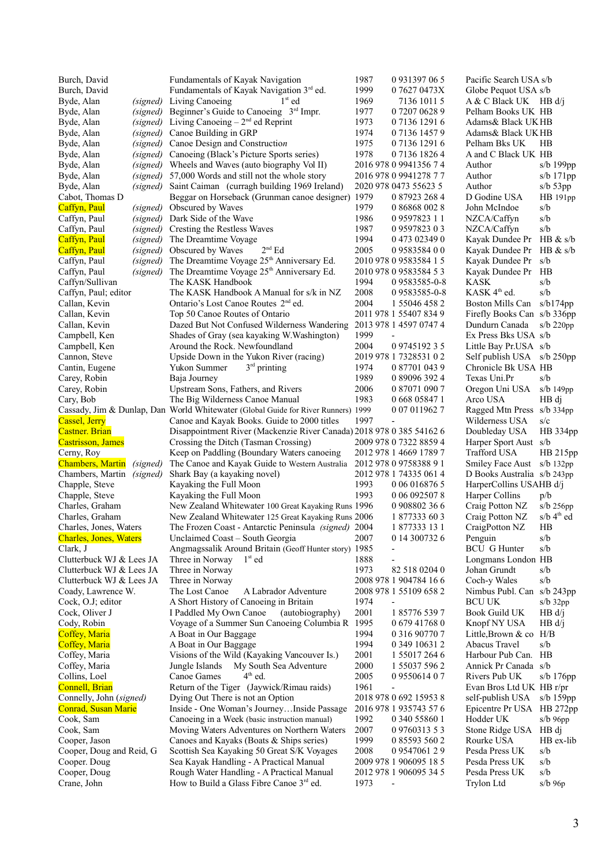| Burch, David                     |          | Fundamentals of Kayak Navigation                                                  | 1987 | 0 9 3 1 3 9 7 0 6 5          | Pacific Search USA s/b      |                          |
|----------------------------------|----------|-----------------------------------------------------------------------------------|------|------------------------------|-----------------------------|--------------------------|
| Burch, David                     |          | Fundamentals of Kayak Navigation 3rd ed.                                          | 1999 | 0 7627 0473X                 | Globe Pequot USA s/b        |                          |
| Byde, Alan                       | (signed) | Living Canoeing<br>$1st$ ed                                                       | 1969 | 7136 1011 5                  | $A & C$ Black UK HB d/j     |                          |
| Byde, Alan                       | (signed) | Beginner's Guide to Canoeing 3rd Impr.                                            | 1977 | 0 7207 0628 9                | Pelham Books UK HB          |                          |
| Byde, Alan                       | (signed) | Living Canoeing $-2nd$ ed Reprint                                                 | 1973 | 0 7136 1291 6                | Adams & Black UK HB         |                          |
| Byde, Alan                       | (signed) | Canoe Building in GRP                                                             | 1974 | 0 7136 1457 9                | Adams& Black UK HB          |                          |
| Byde, Alan                       | (signed) | Canoe Design and Construction                                                     | 1975 | 0713612916                   | Pelham Bks UK               | <b>HB</b>                |
| Byde, Alan                       | (signed) | Canoeing (Black's Picture Sports series)                                          | 1978 | 0713618264                   | A and C Black UK HB         |                          |
| Byde, Alan                       | (signed) | Wheels and Waves (auto biography Vol II)                                          |      | 2016 978 0 9941356 7 4       | Author                      | $s/b$ 199 $pp$           |
| Byde, Alan                       | (signed) | 57,000 Words and still not the whole story                                        |      | 2016 978 0 9941278 7 7       | Author                      | s/b $171$ pp             |
| Byde, Alan                       | (signed) | Saint Caiman (curragh building 1969 Ireland)                                      |      | 2020 978 0473 55623 5        | Author                      | $s/b$ 53pp               |
| Cabot, Thomas D                  |          | Beggar on Horseback (Grunman canoe designer) 1979                                 |      | 0 87923 268 4                | D Godine USA                | HB 191pp                 |
| Caffyn, Paul                     | (signed) | Obscured by Waves                                                                 | 1979 | 0 86868 002 8                | John McIndoe                | s/b                      |
| Caffyn, Paul                     | (signed) | Dark Side of the Wave                                                             | 1986 | 09597823 11                  | NZCA/Caffyn                 | s/b                      |
| Caffyn, Paul                     | (signed) | Cresting the Restless Waves                                                       | 1987 | 0959782303                   | NZCA/Caffyn                 | s/b                      |
| Caffyn, Paul                     | (signed) | The Dreamtime Voyage                                                              | 1994 | 0 473 02349 0                | Kayak Dundee Pr HB & s/b    |                          |
| Caffyn, Paul                     | (signed) | $2^{nd}$ Ed<br>Obscured by Waves                                                  | 2005 | 0958358400                   | Kayak Dundee Pr             | HB & s/b                 |
| Caffyn, Paul                     | (signed) | The Dreamtime Voyage 25 <sup>th</sup> Anniversary Ed.                             |      | 2010 978 0 9583584 1 5       | Kayak Dundee Pr             | s/b                      |
| Caffyn, Paul                     | (signed) | The Dreamtime Voyage 25 <sup>th</sup> Anniversary Ed.                             |      | 2010 978 0 9583584 5 3       | Kayak Dundee Pr             | HВ                       |
| Caffyn/Sullivan                  |          | The KASK Handbook                                                                 | 1994 | 09583585-0-8                 | <b>KASK</b>                 | s/b                      |
| Caffyn, Paul; editor             |          | The KASK Handbook A Manual for s/k in NZ                                          | 2008 | 09583585-0-8                 | KASK 4 <sup>th</sup> ed.    | s/b                      |
|                                  |          | Ontario's Lost Canoe Routes 2 <sup>nd</sup> ed.                                   | 2004 | 1 55046 458 2                |                             |                          |
| Callan, Kevin                    |          |                                                                                   |      | 2011 978 1 55407 834 9       | Boston Mills Can s/b174pp   |                          |
| Callan, Kevin                    |          | Top 50 Canoe Routes of Ontario                                                    |      |                              | Firefly Books Can s/b 336pp |                          |
| Callan, Kevin                    |          | Dazed But Not Confused Wilderness Wandering                                       |      | 2013 978 1 4597 0747 4       | Dundurn Canada              | $s/b$ 220pp              |
| Campbell, Ken                    |          | Shades of Gray (sea kayaking W.Washington)                                        | 1999 | $\overline{\phantom{m}}$     | Ex Press Bks USA s/b        |                          |
| Campbell, Ken                    |          | Around the Rock. Newfoundland                                                     | 2004 | 0 9745192 3 5                | Little Bay Pr.USA s/b       |                          |
| Cannon, Steve                    |          | Upside Down in the Yukon River (racing)                                           |      | 2019 978 1 7328531 0 2       | Self publish USA s/b 250pp  |                          |
| Cantin, Eugene                   |          | $3rd$ printing<br>Yukon Summer                                                    | 1974 | 0 87701 043 9                | Chronicle Bk USA HB         |                          |
| Carey, Robin                     |          | Baja Journey                                                                      | 1989 | 0 89096 392 4                | Texas Uni.Pr                | s/b                      |
| Carey, Robin                     |          | Upstream Sons, Fathers, and Rivers                                                | 2006 | 0 87071 090 7                | Oregon Uni USA              | $s/b$ 149 $pp$           |
| Cary, Bob                        |          | The Big Wilderness Canoe Manual                                                   | 1983 | 0 668 05847 1                | Arco USA                    | HB di                    |
|                                  |          | Cassady, Jim & Dunlap, Dan World Whitewater (Global Guide for River Runners) 1999 |      | 0 07 011962 7                | Ragged Mtn Press s/b 334pp  |                          |
| Cassel, Jerry                    |          | Canoe and Kayak Books. Guide to 2000 titles                                       | 1997 |                              | Wilderness USA              | s/c                      |
| <b>Castner</b> . Brian           |          | Disappointment River (Mackenzie River Canada) 2018 978 0 385 54162 6              |      |                              | Doubleday USA               | HB 334pp                 |
| <b>Castrisson</b> , James        |          | Crossing the Ditch (Tasman Crossing)                                              |      | 2009 978 0 7322 8859 4       | Harper Sport Aust s/b       |                          |
| Cerny, Roy                       |          | Keep on Paddling (Boundary Waters canoeing                                        |      | 2012 978 1 4669 1789 7       | Trafford USA                | HB 215pp                 |
| <b>Chambers</b> , Martin         | (signed) | The Canoe and Kayak Guide to Western Australia                                    |      | 2012 978 0 9758388 9 1       | <b>Smiley Face Aust</b>     | $s/b$ 132 $pp$           |
| Chambers, Martin <i>(signed)</i> |          | Shark Bay (a kayaking novel)                                                      |      | 2012 978 1 74335 061 4       | D Books Australia s/b 243pp |                          |
| Chapple, Steve                   |          | Kayaking the Full Moon                                                            | 1993 | 0 06 016876 5                | HarperCollins USAHB d/j     |                          |
| Chapple, Steve                   |          | Kayaking the Full Moon                                                            | 1993 | 0 06 0925078                 | Harper Collins              | p/b                      |
| Charles, Graham                  |          | New Zealand Whitewater 100 Great Kayaking Runs 1996                               |      | 0 908802 36 6                | Craig Potton NZ             | s/b 256pp                |
| Charles, Graham                  |          | New Zealand Whitewater 125 Great Kayaking Runs 2006                               |      | 1 877333 60 3                | Craig Potton NZ             | $s/b$ 4 <sup>th</sup> ed |
| Charles, Jones, Waters           |          | The Frozen Coast - Antarctic Peninsula (signed) 2004                              |      | 1 877333 13 1                | CraigPotton NZ              | HB                       |
| <b>Charles, Jones, Waters</b>    |          | Unclaimed Coast - South Georgia                                                   | 2007 | 0 14 300732 6                | Penguin                     | s/b                      |
| Clark, J                         |          | Angmagssalik Around Britain (Geoff Hunter story) 1985                             |      |                              | <b>BCU</b> G Hunter         | s/b                      |
| Clutterbuck WJ & Lees JA         |          | $1st$ ed<br>Three in Norway                                                       | 1888 |                              | Longmans London HB          |                          |
| Clutterbuck WJ & Lees JA         |          | Three in Norway                                                                   | 1973 | 82 518 0204 0                | Johan Grundt                | s/b                      |
| Clutterbuck WJ & Lees JA         |          | Three in Norway                                                                   |      | 2008 978 1 904784 16 6       | Coch-y Wales                | s/b                      |
| Coady, Lawrence W.               |          | The Lost Canoe<br>A Labrador Adventure                                            |      | 2008 978 1 55109 658 2       | Nimbus Publ. Can s/b 243pp  |                          |
| Cock, O.J; editor                |          | A Short History of Canoeing in Britain                                            | 1974 | $\qquad \qquad \blacksquare$ | <b>BCU UK</b>               | $s/b$ 32 $pp$            |
|                                  |          | I Paddled My Own Canoe                                                            | 2001 | 1857765397                   | <b>Book Guild UK</b>        |                          |
| Cock, Oliver J                   |          | (autobiography)                                                                   |      |                              |                             | HB d/i                   |
| Cody, Robin                      |          | Voyage of a Summer Sun Canoeing Columbia R 1995                                   |      | 0 679 41768 0                | Knopf NY USA                | HB d/j                   |
| Coffey, Maria                    |          | A Boat in Our Baggage                                                             | 1994 | 0 316 90770 7                | Little, Brown $&$ co $H/B$  |                          |
| Coffey, Maria                    |          | A Boat in Our Baggage                                                             | 1994 | 0 349 10631 2                | Abacus Travel               | s/b                      |
| Coffey, Maria                    |          | Visions of the Wild (Kayaking Vancouver Is.)                                      | 2001 | 1 55017 264 6                | Harbour Pub Can. HB         |                          |
| Coffey, Maria                    |          | Jungle Islands<br>My South Sea Adventure                                          | 2000 | 1 55037 596 2                | Annick Pr Canada s/b        |                          |
| Collins, Loel                    |          | $4th$ ed.<br>Canoe Games                                                          | 2005 | 0955061407                   | Rivers Pub UK               | $s/b$ 176pp              |
| <b>Connell</b> , Brian           |          | Return of the Tiger (Jaywick/Rimau raids)                                         | 1961 | $\qquad \qquad \blacksquare$ | Evan Bros Ltd UK HB r/pr    |                          |
| Connelly, John (signed)          |          | Dying Out There is not an Option                                                  |      | 2018 978 0 692 15953 8       | self-publish USA            | s/b $159pp$              |
| <b>Conrad, Susan Marie</b>       |          | Inside - One Woman's JourneyInside Passage                                        |      | 2016 978 1 935743 57 6       | Epicentre Pr USA HB 272pp   |                          |
| Cook, Sam                        |          | Canoeing in a Week (basic instruction manual)                                     | 1992 | 0 340 55860 1                | Hodder UK                   | $s/b$ 96pp               |
| Cook, Sam                        |          | Moving Waters Adventures on Northern Waters                                       | 2007 | 0 9760313 5 3                | Stone Ridge USA HB dj       |                          |
| Cooper, Jason                    |          | Canoes and Kayaks (Boats & Ships series)                                          | 1999 | 0 85593 560 2                | Rourke USA                  | HB ex-lib                |
| Cooper, Doug and Reid, G         |          | Scottish Sea Kayaking 50 Great S/K Voyages                                        | 2008 | 0954706129                   | Pesda Press UK              | s/b                      |
| Cooper. Doug                     |          | Sea Kayak Handling - A Practical Manual                                           |      | 2009 978 1 906095 18 5       | Pesda Press UK              | s/b                      |
| Cooper, Doug                     |          | Rough Water Handling - A Practical Manual                                         |      | 2012 978 1 906095 34 5       | Pesda Press UK              | s/b                      |
| Crane, John                      |          | How to Build a Glass Fibre Canoe 3rd ed.                                          | 1973 |                              | Trylon Ltd                  | $s/b$ 96 $p$             |
|                                  |          |                                                                                   |      |                              |                             |                          |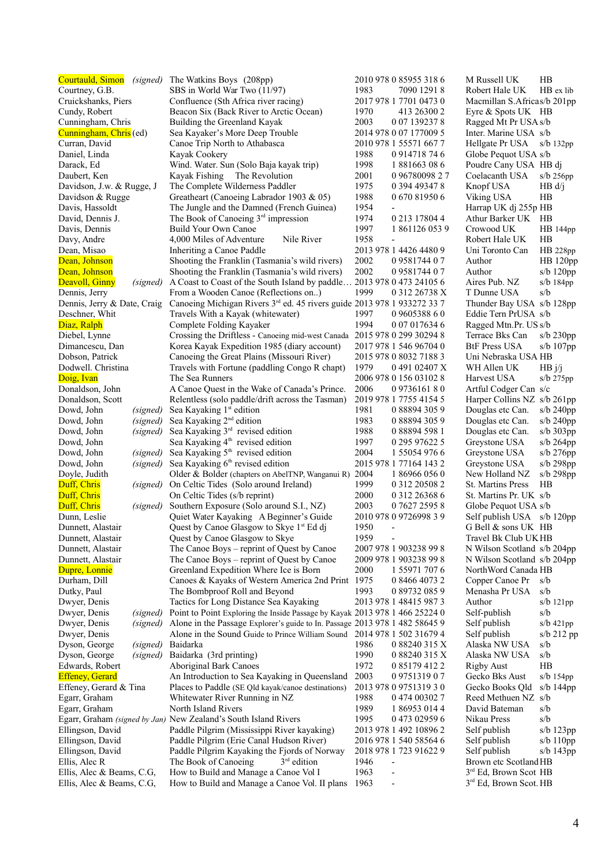| Courtauld, Simon<br>(signed) | The Watkins Boys (208pp)                                                            |      | 2010 978 0 85955 318 6   | M Russell UK                       | <b>HB</b>      |
|------------------------------|-------------------------------------------------------------------------------------|------|--------------------------|------------------------------------|----------------|
| Courtney, G.B.               | SBS in World War Two (11/97)                                                        | 1983 | 7090 1291 8              | Robert Hale UK                     | HB ex lib      |
| Cruickshanks, Piers          | Confluence (Sth Africa river racing)                                                |      | 2017 978 1 7701 0473 0   | Macmillan S.Africas/b 201pp        |                |
| Cundy, Robert                | Beacon Six (Back River to Arctic Ocean)                                             | 1970 | 413 26300 2              | Eyre & Spots UK HB                 |                |
| Cunningham, Chris            | Building the Greenland Kayak                                                        | 2003 | 0 07 139237 8            | Ragged Mt Pr USA s/b               |                |
| Cunningham, Chris (ed)       | Sea Kayaker's More Deep Trouble                                                     |      | 2014 978 0 07 177009 5   | Inter. Marine USA s/b              |                |
| Curran, David                | Canoe Trip North to Athabasca                                                       |      | 2010 978 1 55571 667 7   | Hellgate Pr USA                    | $s/b$ 132 $pp$ |
| Daniel, Linda                | Kayak Cookery                                                                       | 1988 | 0 9 14718 74 6           | Globe Pequot USA s/b               |                |
| Darack, Ed                   | Wind. Water. Sun (Solo Baja kayak trip)                                             | 1998 | 1881663086               | Poudre Cany USA HB dj              |                |
| Daubert, Ken                 | Kayak Fishing The Revolution                                                        | 2001 | 0 96780098 27            | Coelacanth USA                     | $s/b$ 256pp    |
| Davidson, J.w. & Rugge, J    | The Complete Wilderness Paddler                                                     | 1975 | 0 394 49347 8            | Knopf USA                          | HB d/j         |
| Davidson & Rugge             | Greatheart (Canoeing Labrador 1903 & 05)                                            | 1988 | 0 670 81950 6            | Viking USA                         | HВ             |
| Davis, Hassoldt              | The Jungle and the Damned (French Guinea)                                           | 1954 |                          | Harrap UK dj 255p HB               |                |
| David, Dennis J.             | The Book of Canoeing $3rd$ impression                                               | 1974 | 0 213 17804 4            | Athur Barker UK HB                 |                |
| Davis, Dennis                | Build Your Own Canoe                                                                | 1997 | 1 861126 053 9           | Crowood UK                         | $HB 144$ pp    |
| Davy, Andre                  | 4,000 Miles of Adventure<br>Nile River                                              | 1958 |                          | Robert Hale UK                     | HB             |
|                              |                                                                                     |      | 2013 978 1 4426 4480 9   | Uni Toronto Can                    |                |
| Dean, Misao                  | Inheriting a Canoe Paddle                                                           |      |                          |                                    | HB 228pp       |
| Dean, Johnson                | Shooting the Franklin (Tasmania's wild rivers)                                      | 2002 | 0958174407               | Author                             | HB 120pp       |
| Dean, Johnson                | Shooting the Franklin (Tasmania's wild rivers)                                      | 2002 | 0958174407               | Author                             | $s/b$ 120pp    |
| Deavoll, Ginny<br>(signed)   | A Coast to Coast of the South Island by paddle                                      |      | 2013 978 0 473 24105 6   | Aires Pub. NZ                      | $s/b$ 184pp    |
| Dennis, Jerry                | From a Wooden Canoe (Reflections on)                                                | 1999 | 0 312 26738 X            | T Dunne USA                        | s/b            |
| Dennis, Jerry & Date, Craig  | Canoeing Michigan Rivers 3 <sup>rd</sup> ed. 45 rivers guide 2013 978 1 933272 33 7 |      |                          | Thunder Bay USA s/b 128pp          |                |
| Deschner, Whit               | Travels With a Kayak (whitewater)                                                   | 1997 | 0 9605388 6 0            | Eddie Tern PrUSA s/b               |                |
| Diaz, Ralph                  | Complete Folding Kayaker                                                            | 1994 | 0 07 017634 6            | Ragged Mtn.Pr. US s/b              |                |
| Diebel, Lynne                | Crossing the Driftless - Canoeing mid-west Canada 2015 978 0 299 30294 8            |      |                          | Terrace Bks Can                    | $s/b$ 230pp    |
| Dimancescu, Dan              | Korea Kayak Expedition 1985 (diary account)                                         |      | 2017 978 1 546 96704 0   | <b>BtF Press USA</b>               | s/b $107$ pp   |
| Dobson, Patrick              | Canoeing the Great Plains (Missouri River)                                          |      | 2015 978 0 8032 7188 3   | Uni Nebraska USA HB                |                |
| Dodwell. Christina           | Travels with Fortune (paddling Congo R chapt)                                       | 1979 | 0491 02407 X             | WH Allen UK                        | HB j/j         |
| Doig, Ivan                   | The Sea Runners                                                                     |      | 2006 978 0 156 03102 8   | Harvest USA                        | $s/b$ 275 $pp$ |
| Donaldson, John              | A Canoe Quest in the Wake of Canada's Prince.                                       | 2006 | 0973616180               | Artful Codger Can s/c              |                |
| Donaldson, Scott             | Relentless (solo paddle/drift across the Tasman)                                    |      | 2019 978 1 7755 4154 5   | Harper Collins NZ s/b 261pp        |                |
| Dowd, John<br>(signed)       | Sea Kayaking 1 <sup>st</sup> edition                                                | 1981 | 0 88894 305 9            | Douglas etc Can.                   | $s/b$ 240pp    |
| Dowd, John<br>(signed)       | Sea Kayaking 2 <sup>nd</sup> edition                                                | 1983 | 0 88894 305 9            | Douglas etc Can.                   | $s/b$ 240pp    |
| Dowd, John<br>(signed)       | Sea Kayaking 3 <sup>rd</sup> revised edition                                        | 1988 | 0 88894 598 1            | Douglas etc Can.                   | $s/b$ 303pp    |
| Dowd, John                   | Sea Kayaking 4 <sup>th</sup> revised edition                                        | 1997 | 0 295 97622 5            | Greystone USA                      | $s/b$ 264pp    |
| Dowd, John<br>(signed)       | Sea Kayaking 5 <sup>th</sup> revised edition                                        | 2004 | 1 55054 976 6            | Greystone USA                      | $s/b$ 276pp    |
| (signed)<br>Dowd, John       | Sea Kayaking 6 <sup>th</sup> revised edition                                        |      | 2015 978 1 77164 143 2   | Greystone USA                      | $s/b$ 298pp    |
| Doyle, Judith                | Older & Bolder (chapters on AbelTNP, Wanganui R) 2004                               |      | 1 86966 056 0            | New Holland NZ                     | s/b 298pp      |
| Duff, Chris                  |                                                                                     | 1999 | 0 312 20508 2            |                                    | HB             |
| (signed)                     | On Celtic Tides (Solo around Ireland)                                               |      |                          | St. Martins Press                  |                |
| Duff, Chris                  | On Celtic Tides (s/b reprint)                                                       | 2000 | 0 312 26368 6            | St. Martins Pr. UK s/b             |                |
| Duff, Chris<br>(signed)      | Southern Exposure (Solo around S.I., NZ)                                            | 2003 | 0 7627 2595 8            | Globe Pequot USA s/b               |                |
| Dunn, Leslie                 | Quiet Water Kayaking A Beginner's Guide                                             |      | 2010 978 0 9726998 3 9   | Self publish USA s/b 120pp         |                |
| Dunnett, Alastair            | Quest by Canoe Glasgow to Skye 1st Ed dj                                            | 1950 | $\sim$ $ \sim$           | G Bell & sons UK HB                |                |
| Dunnett, Alastair            | Quest by Canoe Glasgow to Skye                                                      | 1959 | $\overline{\phantom{a}}$ | Travel Bk Club UK HB               |                |
| Dunnett, Alastair            | The Canoe Boys – reprint of Quest by Canoe                                          |      | 2007 978 1 903238 99 8   | N Wilson Scotland s/b 204pp        |                |
| Dunnett, Alastair            | The Canoe Boys - reprint of Quest by Canoe                                          |      | 2009 978 1 903238 99 8   | N Wilson Scotland s/b 204pp        |                |
| Dupre, Lonnie                | Greenland Expedition Where Ice is Born                                              | 2000 | 1 55971 707 6            | NorthWord Canada HB                |                |
| Durham, Dill                 | Canoes & Kayaks of Western America 2nd Print 1975                                   |      | 0 8466 4073 2            | Copper Canoe Pr                    | s/b            |
| Dutky, Paul                  | The Bombproof Roll and Beyond                                                       | 1993 | 0 89732 085 9            | Menasha Pr USA                     | s/b            |
| Dwyer, Denis                 | Tactics for Long Distance Sea Kayaking                                              |      | 2013 978 1 48415 987 3   | Author                             | $s/b$ 121 $pp$ |
| Dwyer, Denis<br>(signed)     | Point to Point Exploring the Inside Passage by Kayak 2013 978 1 466 25224 0         |      |                          | Self-publish                       | s/b            |
| Dwyer, Denis<br>(signed)     | Alone in the Passage Explorer's guide to In. Passage 2013 978 1 482 58645 9         |      |                          | Self publish                       | $s/b$ 421 $pp$ |
| Dwyer, Denis                 | Alone in the Sound Guide to Prince William Sound                                    |      | 2014 978 1 502 31679 4   | Self publish                       | $s/b$ 212 pp   |
| Dyson, George<br>(signed)    | Baidarka                                                                            | 1986 | 0 88240 315 X            | Alaska NW USA                      | s/b            |
| Dyson, George<br>(signed)    | Baidarka (3rd printing)                                                             | 1990 | 0 88240 315 X            | Alaska NW USA                      | s/b            |
| Edwards, Robert              | Aboriginal Bark Canoes                                                              | 1972 | 0 85179 412 2            | <b>Rigby Aust</b>                  | HB             |
| <b>Effeney</b> , Gerard      | An Introduction to Sea Kayaking in Queensland                                       | 2003 | 0975131907               | Gecko Bks Aust                     | $s/b$ 154pp    |
| Effeney, Gerard & Tina       | Places to Paddle (SE Qld kayak/canoe destinations)                                  |      | 2013 978 0 9751319 3 0   | Gecko Books Qld                    | s/b $144$ pp   |
| Egarr, Graham                | Whitewater River Running in NZ                                                      | 1988 | 0 474 00302 7            | Reed Methuen NZ s/b                |                |
| Egarr, Graham                | North Island Rivers                                                                 | 1989 | 1 86953 014 4            | David Bateman                      | s/b            |
|                              | Egarr, Graham (signed by Jan) New Zealand's South Island Rivers                     | 1995 | 0 473 02959 6            | Nikau Press                        | s/b            |
| Ellingson, David             | Paddle Pilgrim (Mississippi River kayaking)                                         |      | 2013 978 1 492 10896 2   | Self publish                       | s/b $123pp$    |
| Ellingson, David             | Paddle Pilgrim (Erie Canal Hudson River)                                            |      | 2016 978 1 540 58564 6   | Self publish                       | s/b $110pp$    |
| Ellingson, David             | Paddle Pilgrim Kayaking the Fjords of Norway                                        |      | 2018 978 1 723 91622 9   | Self publish                       | s/b $143$ pp   |
| Ellis, Alec R                | The Book of Canoeing<br>$3rd$ edition                                               | 1946 | $\overline{a}$           | Brown etc Scotland HB              |                |
| Ellis, Alec & Beams, C.G,    | How to Build and Manage a Canoe Vol I                                               | 1963 | ÷,                       | $3rd$ Ed, Brown Scot HB            |                |
|                              |                                                                                     | 1963 |                          |                                    |                |
| Ellis, Alec & Beams, C.G,    | How to Build and Manage a Canoe Vol. II plans                                       |      | ÷,                       | 3 <sup>rd</sup> Ed, Brown Scot. HB |                |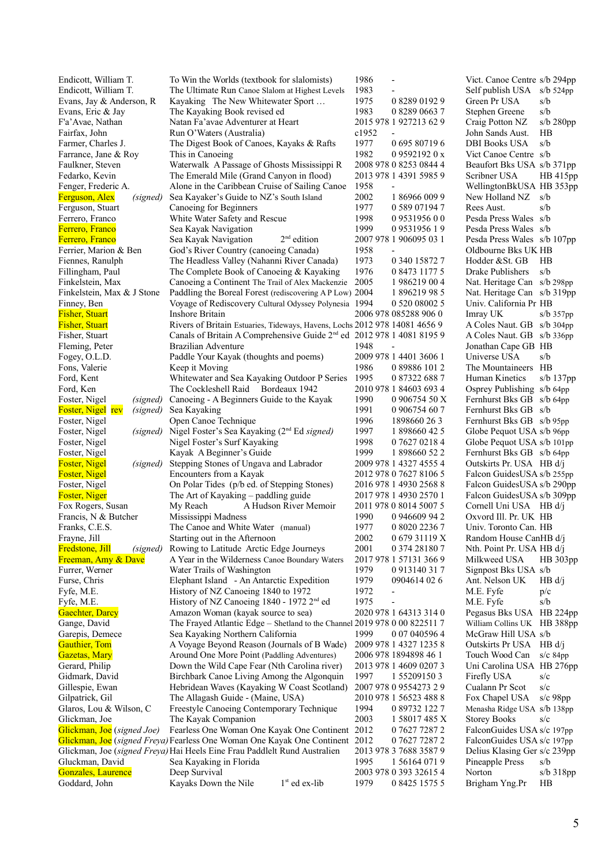| Endicott, William T.                 | To Win the Worlds (textbook for slalomists)                                       | 1986                              | Vict. Canoe Centre s/b 294pp          |
|--------------------------------------|-----------------------------------------------------------------------------------|-----------------------------------|---------------------------------------|
| Endicott, William T.                 | The Ultimate Run Canoe Slalom at Highest Levels                                   | 1983                              | Self publish USA<br>$s/b$ 524pp       |
| Evans, Jay & Anderson, R             | Kayaking The New Whitewater Sport                                                 | 1975<br>0 8289 0192 9             | s/b<br>Green Pr USA                   |
| Evans, Eric & Jay                    | The Kayaking Book revised ed                                                      | 1983<br>0 8289 0663 7             | s/b<br>Stephen Greene                 |
| F'a' Avae, Nathan                    | Natan Fa'avae Adventurer at Heart                                                 | 2015 978 1 927213 62 9            | Craig Potton NZ<br>$s/b$ 280pp        |
| Fairfax, John                        | Run O'Waters (Australia)                                                          | c1952<br>$\overline{\phantom{0}}$ | John Sands Aust.<br>HВ                |
| Farmer, Charles J.                   | The Digest Book of Canoes, Kayaks & Rafts                                         | 1977<br>0695807196                | <b>DBI Books USA</b><br>s/b           |
| Farrance, Jane & Roy                 | This in Canoeing                                                                  | 1982<br>0.95921920x               | Vict Canoe Centre s/b                 |
| Faulkner, Steven                     | Waterwalk A Passage of Ghosts Mississippi R                                       | 2008 978 0 8253 0844 4            | Beaufort Bks USA s/b 371pp            |
| Fedarko, Kevin                       | The Emerald Mile (Grand Canyon in flood)                                          | 2013 978 1 4391 5985 9            | Scribner USA<br>HB415pp               |
| Fenger, Frederic A.                  | Alone in the Caribbean Cruise of Sailing Canoe                                    | 1958                              | WellingtonBkUSA HB 353pp              |
| <b>Ferguson</b> , Alex<br>(signed)   | Sea Kayaker's Guide to NZ's South Island                                          | 2002<br>1 86966 009 9             | New Holland NZ<br>s/b                 |
| Ferguson, Stuart                     | Canoeing for Beginners                                                            | 1977<br>0 589 07194 7             | Rees Aust.<br>s/b                     |
| Ferrero, Franco                      | White Water Safety and Rescue                                                     | 1998<br>0953195600                | Pesda Press Wales s/b                 |
| Ferrero, Franco                      | Sea Kayak Navigation                                                              | 1999<br>0953195619                | Pesda Press Wales s/b                 |
| Ferrero, Franco                      | $2nd$ edition<br>Sea Kayak Navigation                                             | 2007 978 1 906095 03 1            | Pesda Press Wales s/b 107pp           |
| Ferrier, Marion & Ben                | God's River Country (canoeing Canada)                                             | 1958                              | Oldbourne Bks UK HB                   |
| Fiennes, Ranulph                     | The Headless Valley (Nahanni River Canada)                                        | 1973<br>0 340 15872 7             | Hodder & St. GB<br>HB                 |
| Fillingham, Paul                     | The Complete Book of Canoeing & Kayaking                                          | 1976<br>0 8473 1177 5             | Drake Publishers<br>s/b               |
| Finkelstein, Max                     | Canoeing a Continent The Trail of Alex Mackenzie 2005                             | 1986219 004                       | Nat. Heritage Can s/b 298pp           |
| Finkelstein, Max & J Stone           | Paddling the Boreal Forest (rediscovering AP Low) 2004                            | 1896219985                        | Nat. Heritage Can s/b 319pp           |
| Finney, Ben                          | Voyage of Rediscovery Cultural Odyssey Polynesia 1994                             | 0 520 08002 5                     | Univ. California Pr HB                |
| <b>Fisher, Stuart</b>                | <b>Inshore Britain</b>                                                            | 2006 978 085288 906 0             | Imray UK<br>$s/b$ 357pp               |
|                                      |                                                                                   |                                   |                                       |
| <b>Fisher, Stuart</b>                | Rivers of Britain Estuaries, Tideways, Havens, Lochs 2012 978 14081 4656 9        |                                   | A Coles Naut. GB s/b 304pp            |
| Fisher, Stuart                       | Canals of Britain A Comprehensive Guide 2 <sup>nd</sup> ed 2012 978 1 4081 8195 9 |                                   | A Coles Naut. GB s/b 336pp            |
| Fleming, Peter                       | Brazilian Adventure                                                               | 1948<br>$\overline{a}$            | Jonathan Cape GB HB                   |
| Fogey, O.L.D.                        | Paddle Your Kayak (thoughts and poems)                                            | 2009 978 1 4401 3606 1            | Universe USA<br>s/b                   |
| Fons, Valerie                        | Keep it Moving                                                                    | 1986<br>0 89886 101 2             | The Mountaineers HB                   |
| Ford, Kent                           | Whitewater and Sea Kayaking Outdoor P Series                                      | 1995<br>0 87322 688 7             | Human Kinetics<br>s/b $137pp$         |
| Ford, Ken                            | The Cockleshell Raid Bordeaux 1942                                                | 2010 978 1 84603 693 4            | Osprey Publishing s/b 64pp            |
| Foster, Nigel<br>(signed)            | Canoeing - A Beginners Guide to the Kayak                                         | 1990<br>0 906754 50 X             | Fernhurst Bks GB s/b 64pp             |
| <b>Foster, Nigel rev</b><br>(signed) | Sea Kayaking                                                                      | 1991<br>0 906754 60 7             | Fernhurst Bks GB s/b                  |
| Foster, Nigel                        | Open Canoe Technique                                                              | 1996<br>1898660 26 3              | Fernhurst Bks GB s/b 95pp             |
| Foster, Nigel                        | (signed) Nigel Foster's Sea Kayaking (2 <sup>nd</sup> Ed signed)                  | 1997<br>1 898660 42 5             | Globe Pequot USA s/b 96pp             |
| Foster, Nigel                        | Nigel Foster's Surf Kayaking                                                      | 1998<br>0 7627 0218 4             | Globe Pequot USA s/b 101pp            |
| Foster, Nigel                        | Kayak A Beginner's Guide                                                          | 1999<br>1 898660 52 2             | Fernhurst Bks GB s/b 64pp             |
| <b>Foster</b> , Nigel<br>(signed)    | Stepping Stones of Ungava and Labrador                                            | 2009 978 1 4327 4555 4            | Outskirts Pr. USA HB d/j              |
| <b>Foster, Nigel</b>                 | Encounters from a Kayak                                                           | 2012 978 0 7627 8106 5            | Falcon GuidesUSA s/b 255pp            |
| Foster, Nigel                        | On Polar Tides (p/b ed. of Stepping Stones)                                       | 2016 978 1 4930 2568 8            | Falcon GuidesUSA s/b 290pp            |
| Foster, Niger                        | The Art of Kayaking - paddling guide                                              | 2017 978 1 4930 2570 1            | Falcon GuidesUSA s/b 309pp            |
| Fox Rogers, Susan                    | A Hudson River Memoir<br>My Reach                                                 | 2011 978 0 8014 5007 5            | Cornell Uni USA HB d/j                |
| Francis, N & Butcher                 | Mississippi Madness                                                               | 1990<br>0 946609 94 2             | Oxvord Ill. Pr. UK HB                 |
| Franks, C.E.S.                       | The Canoe and White Water (manual)                                                | 1977<br>0 8020 2236 7             | Univ. Toronto Can. HB                 |
| Frayne, Jill                         | Starting out in the Afternoon                                                     | 2002<br>067931119X                | Random House CanHB d/j                |
| <b>Fredstone</b> , Jill<br>(signed)  | Rowing to Latitude Arctic Edge Journeys                                           | 2001<br>0 374 28180 7             | Nth. Point Pr. USA HB d/j             |
| Freeman, Amy & Dave                  | A Year in the Wilderness Canoe Boundary Waters                                    | 2017 978 1 57131 366 9            | Milkweed USA<br>HB 303pp              |
| Furrer, Werner                       | Water Trails of Washington                                                        | 1979<br>0913140317                | Signpost Bks USA s/b                  |
| Furse, Chris                         | Elephant Island - An Antarctic Expedition                                         | 1979<br>0904614 02 6              | Ant. Nelson UK<br>HB d/i              |
| Fyfe, M.E.                           | History of NZ Canoeing 1840 to 1972                                               | 1972                              | M.E. Fyfe<br>p/c                      |
| Fyfe, M.E.                           | History of NZ Canoeing 1840 - 1972 2 <sup>nd</sup> ed                             | 1975                              | M.E. Fyfe<br>s/b                      |
| <b>Gaechter</b> , Darcy              | Amazon Woman (kayak source to sea)                                                | 2020 978 1 64313 314 0            | Pegasus Bks USA HB 224pp              |
| Gange, David                         | The Frayed Atlantic Edge - Shetland to the Channel 2019 978 0 00 822511 7         |                                   | William Collins UK HB 388pp           |
| Garepis, Demece                      | Sea Kayaking Northern California                                                  | 1999<br>0 07 040596 4             | McGraw Hill USA s/b                   |
| Gauthier, Tom                        | A Voyage Beyond Reason (Journals of B Wade)                                       | 2009 978 1 4327 1235 8            | Outskirts Pr USA HB d/j               |
| Gazetas, Mary                        | Around One More Point (Paddling Adventures)                                       | 2006 978 1894898 46 1             | Touch Wood Can<br>s/ $c$ 84pp         |
| Gerard, Philip                       | Down the Wild Cape Fear (Nth Carolina river)                                      | 2013 978 1 4609 0207 3            | Uni Carolina USA HB 276pp             |
| Gidmark, David                       |                                                                                   | 1997<br>1 55209150 3              | s/c                                   |
|                                      | Birchbark Canoe Living Among the Algonquin                                        | 2007 978 0 9554273 2 9            | Firefly USA<br>Cualann Pr Scot<br>s/c |
| Gillespie, Ewan                      | Hebridean Waves (Kayaking W Coast Scotland)                                       |                                   |                                       |
| Gilpatrick, Gil                      | The Allagash Guide - (Maine, USA)                                                 | 2010 978 1 56523 488 8            | Fox Chapel USA<br>$s/c$ 98pp          |
| Glaros, Lou & Wilson, C              | Freestyle Canoeing Contemporary Technique                                         | 1994<br>0 89732 122 7             | Menasha Ridge USA s/b 138pp           |
| Glickman, Joe                        | The Kayak Companion                                                               | 2003<br>1 58017 485 X             | <b>Storey Books</b><br>s/c            |
| Glickman, Joe (signed Joe)           | Fearless One Woman One Kayak One Continent 2012                                   | 0 7627 7287 2                     | FalconGuides USA s/c 197pp            |
|                                      | Glickman, Joe (signed Freya) Fearless One Woman One Kayak One Continent 2012      | 0 7627 7287 2                     | FalconGuides USA s/c 197pp            |
|                                      | Glickman, Joe (signed Freya) Hai Heels Eine Frau Paddlelt Rund Australien         | 2013 978 3 7688 3587 9            | Delius Klasing Ger s/c 239pp          |
| Gluckman, David                      | Sea Kayaking in Florida                                                           | 1995<br>1 5 6 1 6 4 0 7 1 9       | Pineapple Press<br>s/b                |
| Gonzales, Laurence                   | Deep Survival                                                                     | 2003 978 0 393 32615 4            | Norton<br>s/b 318pp                   |
| Goddard, John                        | $1st$ ed ex-lib<br>Kayaks Down the Nile                                           | 1979<br>0 8425 1575 5             | Brigham Yng.Pr<br>HВ                  |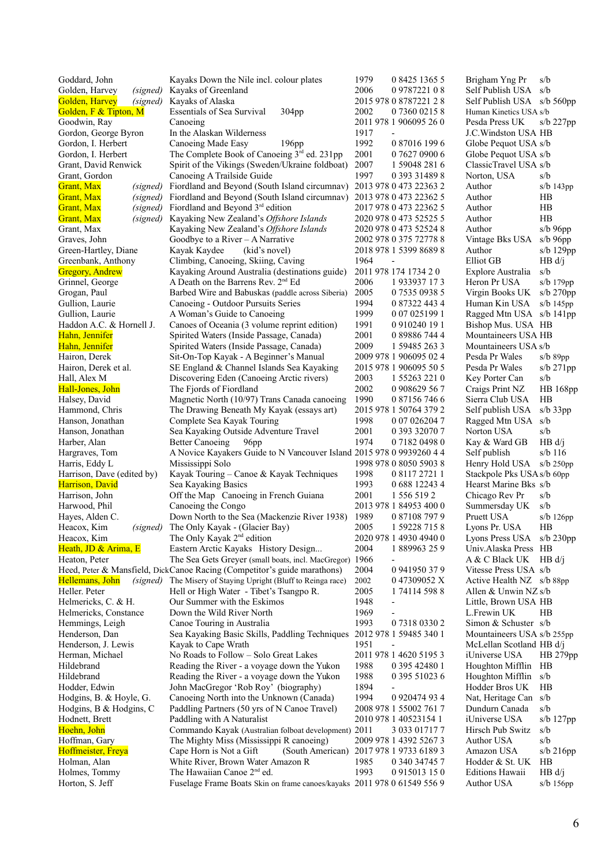| Goddard, John              | Kayaks Down the Nile incl. colour plates                                 | 1979<br>0 8425 1365 5                | Brigham Yng Pr<br>s/b             |
|----------------------------|--------------------------------------------------------------------------|--------------------------------------|-----------------------------------|
| Golden, Harvey<br>(signed) | Kayaks of Greenland                                                      | 2006<br>0978722108                   | Self Publish USA<br>s/b           |
| Golden, Harvey<br>(signed) | Kayaks of Alaska                                                         | 2015 978 0 8787221 2 8               | Self Publish USA<br>s/b 560pp     |
| Golden, F & Tipton, M      | <b>Essentials of Sea Survival</b><br>304 <sub>pp</sub>                   | 2002<br>0 7360 0215 8                | Human Kinetics USA s/b            |
| Goodwin, Ray               | Canoeing                                                                 | 2011 978 1 906095 26 0               | Pesda Press UK<br>$s/b$ 227pp     |
| Gordon, George Byron       | In the Alaskan Wilderness                                                | 1917                                 | J.C. Windston USA HB              |
|                            | Canoeing Made Easy<br>196 <sub>pp</sub>                                  | 1992<br>0 87016 199 6                |                                   |
| Gordon, I. Herbert         |                                                                          |                                      | Globe Pequot USA s/b              |
| Gordon, I. Herbert         | The Complete Book of Canoeing 3rd ed. 231pp                              | 2001<br>0 7627 0900 6                | Globe Pequot USA s/b              |
| Grant, David Renwick       | Spirit of the Vikings (Sweden/Ukraine foldboat)                          | 2007<br>1 59048 281 6                | ClassicTravel USA s/b             |
| Grant, Gordon              | Canoeing A Trailside Guide                                               | 1997<br>0 393 31489 8                | Norton, USA<br>s/b                |
| <b>Grant</b> , Max         | (signed) Fiordland and Beyond (South Island circumnav)                   | 2013 978 0 473 22363 2               | $s/b$ 143 $pp$<br>Author          |
| <b>Grant</b> , Max         | (signed) Fiordland and Beyond (South Island circumnav)                   | 2013 978 0 473 22362 5               | Author<br>HB                      |
| <b>Grant</b> , Max         | (signed) Fiordland and Beyond 3 <sup>rd</sup> edition                    | 2017 978 0 473 22362 5               | Author<br>HB                      |
| <b>Grant</b> , Max         | (signed) Kayaking New Zealand's Offshore Islands                         | 2020 978 0 473 52525 5               | Author<br>HB                      |
|                            | Kayaking New Zealand's Offshore Islands                                  | 2020 978 0 473 52524 8               | Author                            |
| Grant, Max                 |                                                                          |                                      | $s/b$ 96pp                        |
| Graves, John               | Goodbye to a River $-$ A Narrative                                       | 2002 978 0 375 72778 8               | Vintage Bks USA<br>$s/b$ 96pp     |
| Green-Hartley, Diane       | Kayak Kaydee<br>(kid's novel)                                            | 2018 978 1 5399 8689 8               | Author<br>s/b $129pp$             |
| Greenbank, Anthony         | Climbing, Canoeing, Skiing, Caving                                       | 1964<br>$\overline{\phantom{a}}$     | Elliot GB<br>HB d/i               |
| <b>Gregory, Andrew</b>     | Kayaking Around Australia (destinations guide)                           | 2011 978 174 1734 20                 | s/b<br>Explore Australia          |
| Grinnel, George            | A Death on the Barrens Rev. 2 <sup>nd</sup> Ed                           | 2006<br>1 933937 173                 | Heron Pr USA<br>s/b 179pp         |
| Grogan, Paul               | Barbed Wire and Babuskas (paddle across Siberia)                         | 2005<br>0 7535 0938 5                | Virgin Books UK<br>$s/b$ 270pp    |
| Gullion, Laurie            | Canoeing - Outdoor Pursuits Series                                       | 1994<br>0 87322 443 4                | Human Kin USA<br>s/b 145pp        |
| Gullion, Laurie            |                                                                          |                                      |                                   |
|                            | A Woman's Guide to Canoeing                                              | 1999<br>0 07 025199 1                | Ragged Mtn USA s/b 141pp          |
| Haddon A.C. & Hornell J.   | Canoes of Oceania (3 volume reprint edition)                             | 1991<br>0 910240 19 1                | Bishop Mus. USA HB                |
| Hahn, Jennifer             | Spirited Waters (Inside Passage, Canada)                                 | 2001<br>0 89886 744 4                | Mountaineers USA HB               |
| Hahn, Jennifer             | Spirited Waters (Inside Passage, Canada)                                 | 2009<br>1 59485 263 3                | Mountaineers USA s/b              |
| Hairon, Derek              | Sit-On-Top Kayak - A Beginner's Manual                                   | 2009 978 1 906095 02 4               | Pesda Pr Wales<br>$s/b$ 89pp      |
| Hairon, Derek et al.       | SE England & Channel Islands Sea Kayaking                                | 2015 978 1 906095 50 5               | Pesda Pr Wales<br>$s/b$ 271pp     |
| Hall, Alex M               | Discovering Eden (Canoeing Arctic rivers)                                | 2003<br>1 55263 221 0                | s/b<br>Key Porter Can             |
| Hall-Jones, John           | The Fjords of Fiordland                                                  | 2002<br>0 908629 56 7                | Craigs Print NZ<br>HB 168pp       |
|                            |                                                                          |                                      |                                   |
| Halsey, David              | Magnetic North (10/97) Trans Canada canoeing                             | 1990<br>0 87156 746 6                | Sierra Club USA<br>HB             |
| Hammond, Chris             | The Drawing Beneath My Kayak (essays art)                                | 2015 978 1 50764 379 2               | Self publish USA<br>$s/b$ 33 $pp$ |
| Hanson, Jonathan           | Complete Sea Kayak Touring                                               | 1998<br>0 07 026204 7                | Ragged Mtn USA s/b                |
| Hanson, Jonathan           | Sea Kayaking Outside Adventure Travel                                    | 2001<br>0 393 32070 7                | s/b<br>Norton USA                 |
| Harber, Alan               | <b>Better Canoeing</b><br>96pp                                           | 1974<br>0 7182 0498 0                | Kay & Ward GB<br>HB d/j           |
| Hargraves, Tom             | A Novice Kayakers Guide to N Vancouver Island 2015 978 0 9939260 4 4     |                                      | Self publish<br>$s/b$ 116         |
| Harris, Eddy L             | Mississippi Solo                                                         | 1998 978 0 8050 5903 8               | Henry Hold USA<br>$s/b$ 250pp     |
| Harrison, Dave (edited by) | Kayak Touring - Canoe & Kayak Techniques                                 | 1998<br>0 8117 2721 1                | Stackpole Pks USA s/b 60pp        |
|                            |                                                                          | 1993                                 |                                   |
| Harrison, David            | Sea Kayaking Basics                                                      | 0 688 12243 4                        | Hearst Marine Bks s/b             |
| Harrison, John             | Off the Map Canoeing in French Guiana                                    | 2001<br>1 556 519 2                  | Chicago Rev Pr<br>s/b             |
| Harwood, Phil              | Canoeing the Congo                                                       | 2013 978 1 84953 400 0               | Summersday UK<br>s/b              |
| Hayes, Alden C.            | Down North to the Sea (Mackenzie River 1938)                             | 1989<br>0 87108 797 9                | Pruett USA<br>$s/b$ 126pp         |
| (signed)<br>Heacox, Kim    | The Only Kayak - (Glacier Bay)                                           | 2005<br>1 59228 715 8                | HB<br>Lyons Pr. USA               |
| Heacox, Kim                | The Only Kayak 2 <sup>nd</sup> edition                                   | 2020 978 1 4930 4940 0               | Lyons Press USA s/b 230pp         |
| Heath, JD & Arima, E       | Eastern Arctic Kayaks History Design                                     | 2004<br>1889963259                   | Univ.Alaska Press HB              |
| Heaton, Peter              | The Sea Gets Greyer (small boats, incl. MacGregor) 1966                  |                                      | $A & C$ Black UK HB d/j           |
|                            | Heed, Peter & Mansfield, DickCanoe Racing (Competitor's guide marathons) | 2004<br>0 941950 37 9                | Vitesse Press USA s/b             |
| Hellemans, John            | (signed) The Misery of Staying Upright (Bluff to Reinga race)            | 047309052 X<br>2002                  | Active Health NZ s/b 88pp         |
|                            |                                                                          |                                      |                                   |
| Heller. Peter              | Hell or High Water - Tibet's Tsangpo R.                                  | 2005<br>1741145988                   | Allen & Unwin NZ s/b              |
| Helmericks, C. & H.        | Our Summer with the Eskimos                                              | 1948<br>$\qquad \qquad \blacksquare$ | Little, Brown USA HB              |
| Helmericks, Constance      | Down the Wild River North                                                | 1969                                 | L.Frewin UK<br>HB                 |
| Hemmings, Leigh            | Canoe Touring in Australia                                               | 1993<br>0 7318 0330 2                | Simon & Schuster s/b              |
| Henderson, Dan             | Sea Kayaking Basic Skills, Paddling Techniques                           | 2012 978 1 59485 340 1               | Mountaineers USA s/b 255pp        |
| Henderson, J. Lewis        | Kayak to Cape Wrath                                                      | 1951                                 | McLellan Scotland HB d/j          |
| Herman, Michael            | No Roads to Follow – Solo Great Lakes                                    | 2011 978 1 4620 5195 3               | iUniverse USA<br>$HB 279$ pp      |
| Hildebrand                 | Reading the River - a voyage down the Yukon                              | 1988<br>0 395 42480 1                | Houghton Mifflin HB               |
| Hildebrand                 | Reading the River - a voyage down the Yukon                              | 1988<br>0 395 51023 6                | s/b                               |
|                            |                                                                          |                                      | Houghton Mifflin                  |
| Hodder, Edwin              | John MacGregor 'Rob Roy' (biography)                                     | 1894                                 | Hodder Bros UK<br>HB              |
| Hodgins, B. & Hoyle, G.    | Canoeing North into the Unknown (Canada)                                 | 1994<br>0 9 20 4 7 4 9 3 4           | Nat, Heritage Can s/b             |
| Hodgins, B & Hodgins, C    | Paddling Partners (50 yrs of N Canoe Travel)                             | 2008 978 1 55002 761 7               | Dundurn Canada<br>s/b             |
| Hodnett, Brett             | Paddling with A Naturalist                                               | 2010 978 1 40523154 1                | iUniverse USA<br>s/b 127pp        |
| Hoehn, John                | Commando Kayak (Australian folboat development) 2011                     | 3 033 01717 7                        | Hirsch Pub Switz<br>s/b           |
| Hoffman, Gary              | The Mighty Miss (Mississippi R canoeing)                                 | 2009 978 1 4392 5267 3               | s/b<br>Author USA                 |
| Hoffmeister, Freya         | Cape Horn is Not a Gift<br>(South American)                              | 2017 978 1 9733 6189 3               | Amazon USA<br>$s/b$ 216pp         |
| Holman, Alan               | White River, Brown Water Amazon R                                        | 1985<br>0 340 34745 7                | Hodder & St. UK<br>HB             |
| Holmes, Tommy              | The Hawaiian Canoe 2 <sup>nd</sup> ed.                                   | 1993<br>0 9 1 5 0 1 3 1 5 0          | <b>Editions Hawaii</b>            |
|                            |                                                                          |                                      | HB d/j                            |
| Horton, S. Jeff            | Fuselage Frame Boats Skin on frame canoes/kayaks 2011 978 0 61549 556 9  |                                      | Author USA<br>s/b 156pp           |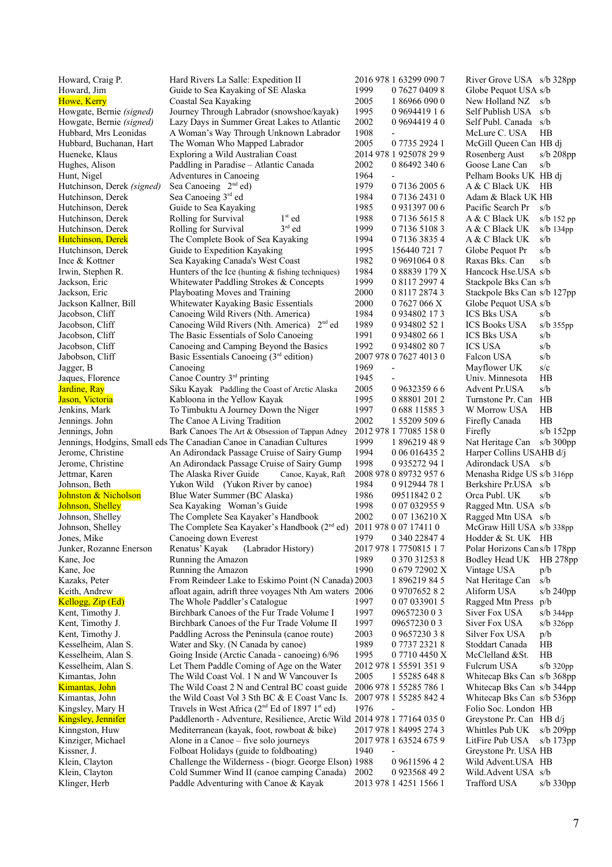| Howard, Craig P.           | Hard Rivers La Salle: Expedition II                                            | 2016 978 1 63299 090 7           | River Grove USA s/b 328pp           |
|----------------------------|--------------------------------------------------------------------------------|----------------------------------|-------------------------------------|
| Howard, Jim                | Guide to Sea Kayaking of SE Alaska                                             | 1999<br>0 7627 0409 8            | Globe Pequot USA s/b                |
| Howe, Kerry                | Coastal Sea Kayaking                                                           | 2005<br>1 86966 090 0            | New Holland NZ<br>s/b               |
| Howgate, Bernie (signed)   | Journey Through Labrador (snowshoe/kayak)                                      | 1995<br>0969441916               | Self Publish USA<br>s/b             |
| Howgate, Bernie (signed)   | Lazy Days in Summer Great Lakes to Atlantic                                    | 2002<br>0 9 6 9 4 4 1 9 4 0      | Self Publ. Canada s/b               |
| Hubbard, Mrs Leonidas      | A Woman's Way Through Unknown Labrador                                         | 1908                             | HB<br>McLure C. USA                 |
|                            |                                                                                |                                  |                                     |
| Hubbard, Buchanan, Hart    | The Woman Who Mapped Labrador                                                  | 2005<br>0 7735 2924 1            | McGill Queen Can HB dj              |
| Hueneke, Klaus             | Exploring a Wild Australian Coast                                              | 2014 978 1 925078 29 9           | Rosenberg Aust<br>$s/b$ 208pp       |
| Hughes, Alison             | Paddling in Paradise - Atlantic Canada                                         | 2002<br>0 86492 340 6            | Goose Lane Can<br>s/b               |
| Hunt, Nigel                | Adventures in Canoeing                                                         | 1964                             | Pelham Books UK HB di               |
| Hutchinson, Derek (signed) | Sea Canoeing $2nd$ ed)                                                         | 1979<br>0 7136 2005 6            | A & C Black UK HB                   |
| Hutchinson, Derek          | Sea Canoeing 3rd ed                                                            | 1984<br>0 7136 2431 0            | Adam & Black UK HB                  |
| Hutchinson, Derek          | Guide to Sea Kayaking                                                          | 1985<br>0 931397 00 6            | Pacific Search Pr<br>s/b            |
|                            | $1st$ ed                                                                       |                                  |                                     |
| Hutchinson, Derek          | Rolling for Survival                                                           | 1988<br>0 7136 5615 8            | A & C Black UK<br>$s/b$ 152 pp      |
| Hutchinson, Derek          | $3rd$ ed<br>Rolling for Survival                                               | 1999<br>0 7136 5108 3            | A & C Black UK<br>$s/b$ 134 $pp$    |
| <b>Hutchinson</b> , Derek  | The Complete Book of Sea Kayaking                                              | 1994<br>0 7136 3835 4            | s/b<br>A & C Black UK               |
| Hutchinson, Derek          | Guide to Expedition Kayaking                                                   | 1995<br>156440 721 7             | Globe Pequot Pr<br>s/b              |
| Ince & Kottner             | Sea Kayaking Canada's West Coast                                               | 1982<br>0 9691064 0 8            | Raxas Bks. Can<br>s/b               |
| Irwin, Stephen R.          | Hunters of the Ice (hunting & fishing techniques)                              | 1984<br>0 88839 179 X            | Hancock Hse.USA s/b                 |
| Jackson, Eric              | Whitewater Paddling Strokes & Concepts                                         | 1999<br>0 8117 2997 4            | Stackpole Bks Can s/b               |
| Jackson, Eric              | Playboating Moves and Training                                                 | 2000<br>0 8117 2874 3            | Stackpole Bks Can s/b 127pp         |
|                            |                                                                                |                                  |                                     |
| Jackson Kallner, Bill      | Whitewater Kayaking Basic Essentials                                           | 2000<br>0 7627 066 X             | Globe Pequot USA s/b                |
| Jacobson, Cliff            | Canoeing Wild Rivers (Nth. America)                                            | 1984<br>0 9 3 4 8 0 2 1 7 3      | <b>ICS Bks USA</b><br>s/b           |
| Jacobson, Cliff            | Canoeing Wild Rivers (Nth. America) 2 <sup>nd</sup> ed                         | 1989<br>0 9 3 4 8 0 2 5 2 1      | <b>ICS Books USA</b><br>$s/b$ 355pp |
| Jacobson, Cliff            | The Basic Essentials of Solo Canoeing                                          | 1991<br>0 934802 66 1            | <b>ICS Bks USA</b><br>s/b           |
| Jacobson, Cliff            | Canoeing and Camping Beyond the Basics                                         | 1992<br>0 934802 80 7            | <b>ICS USA</b><br>s/b               |
| Jabobson, Cliff            | Basic Essentials Canoeing (3rd edition)                                        | 2007 978 0 7627 4013 0           | s/b<br>Falcon USA                   |
| Jagger, B                  | Canoeing                                                                       | 1969                             | s/c<br>Mayflower UK                 |
|                            |                                                                                | 1945                             | HB<br>Univ. Minnesota               |
| Jaques, Florence           | Canoe Country 3rd printing                                                     |                                  |                                     |
| Jardine, Ray               | Siku Kayak Paddling the Coast of Arctic Alaska                                 | 2005<br>0 9632359 6 6            | s/b<br>Advent Pr.USA                |
| Jason, Victoria            | Kabloona in the Yellow Kayak                                                   | 1995<br>0 88801 201 2            | Turnstone Pr. Can HB                |
| Jenkins, Mark              | To Timbuktu A Journey Down the Niger                                           | 1997<br>0 688 11585 3            | HB<br>W Morrow USA                  |
| Jennings. John             | The Canoe A Living Tradition                                                   | 2002<br>1 55209 509 6            | Firefly Canada<br>HB                |
| Jennings, John             | Bark Canoes The Art & Obsession of Tappan Adney                                | 2012 978 1 77085 158 0           | Firefly<br>$s/b$ 152 $pp$           |
|                            | Jennings, Hodgins, Small eds The Canadian Canoe in Canadian Cultures           | 1999<br>1896219489               | Nat Heritage Can s/b 300pp          |
| Jerome, Christine          |                                                                                | 1994<br>0 06 016435 2            | Harper Collins USAHB d/j            |
|                            | An Adirondack Passage Cruise of Sairy Gump                                     |                                  |                                     |
| Jerome, Christine          | An Adirondack Passage Cruise of Sairy Gump                                     | 1998<br>0 935272 94 1            | Adirondack USA<br>s/b               |
| Jettmar, Karen             | The Alaska River Guide<br>Canoe, Kayak, Raft                                   | 2008 978 0 89732 957 6           | Menasha Ridge US s/b 316pp          |
| Johnson, Beth              | Yukon Wild (Yukon River by canoe)                                              | 1984<br>0912944781               | Berkshire Pr.USA s/b                |
| Johnston & Nicholson       | Blue Water Summer (BC Alaska)                                                  | 1986<br>09511842 0 2             | Orca Publ. UK<br>s/b                |
| Johnson, Shelley           | Sea Kayaking Woman's Guide                                                     | 1998<br>0 07 032955 9            | Ragged Mtn. USA s/b                 |
| Johnson, Shelley           | The Complete Sea Kayaker's Handbook                                            | 2002<br>007136210X               | Ragged Mtn USA s/b                  |
| Johnson, Shelley           | The Complete Sea Kayaker's Handbook (2 <sup>nd</sup> ed) 2011 978 0 07 17411 0 |                                  | McGraw Hill USA s/b 338pp           |
|                            |                                                                                | 1979                             | Hodder & St. UK HB                  |
| Jones, Mike                | Canoeing down Everest                                                          | 0 340 22847 4                    |                                     |
| Junker, Rozanne Enerson    | Renatus' Kayak<br>(Labrador History)                                           | 2017 978 1 7750815 1 7           | Polar Horizons Cans/b 178pp         |
| Kane, Joe                  | Running the Amazon                                                             | 1989<br>0 370 31253 8            | Bodley Head UK<br>HB 278pp          |
| Kane, Joe                  | Running the Amazon                                                             | 1990<br>0 679 72902 X            | Vintage USA<br>p/b                  |
| Kazaks, Peter              | From Reindeer Lake to Eskimo Point (N Canada) 2003                             | 1 896219 84 5                    | Nat Heritage Can<br>s/b             |
| Keith, Andrew              | afloat again, adrift three voyages Nth Am waters 2006                          | 0970765282                       | Aliform USA<br>$s/b$ 240pp          |
| Kellogg, Zip (Ed)          | The Whole Paddler's Catalogue                                                  | 1997<br>0 07 033901 5            | Ragged Mtn Press p/b                |
| Kent, Timothy J.           | Birchbark Canoes of the Fur Trade Volume I                                     | 1997<br>0965723003               | Siver Fox USA<br>s/b 344pp          |
|                            | Birchbark Canoes of the Fur Trade Volume II                                    | 1997<br>0965723003               | Siver Fox USA                       |
| Kent, Timothy J.           |                                                                                |                                  | $s/b$ 326pp                         |
| Kent, Timothy J.           | Paddling Across the Peninsula (canoe route)                                    | 2003<br>0 9657230 3 8            | Silver Fox USA<br>p/b               |
| Kesselheim, Alan S.        | Water and Sky. (N Canada by canoe)                                             | 1989<br>0 7737 2321 8            | Stoddart Canada<br>HB               |
| Kesselheim, Alan S.        | Going Inside (Arctic Canada - canoeing) 6/96                                   | 1995<br>077104450X               | McClelland & St.<br>HB              |
| Kesselheim, Alan S.        | Let Them Paddle Coming of Age on the Water                                     | 2012 978 1 55591 351 9           | Fulcrum USA<br>$s/b$ 320pp          |
| Kimantas, John             | The Wild Coast Vol. 1 N and W Vancouver Is                                     | 2005<br>1 5 5 2 8 5 6 4 8 8      | Whitecap Bks Can s/b 368pp          |
| <b>Kimantas</b> , John     | The Wild Coast 2 N and Central BC coast guide                                  | 2006 978 1 55285 786 1           | Whitecap Bks Can s/b 344pp          |
| Kimantas, John             | the Wild Coast Vol 3 Sth BC & E Coast Vanc Is.                                 | 2007 978 1 55285 842 4           | Whitecap Bks Can s/b 536pp          |
|                            |                                                                                |                                  |                                     |
| Kingsley, Mary H           | Travels in West Africa (2 <sup>nd</sup> Ed of 1897 1 <sup>st</sup> ed)         | 1976<br>$\overline{\phantom{0}}$ | Folio Soc. London HB                |
| <b>Kingsley</b> , Jennifer | Paddlenorth - Adventure, Resilience, Arctic Wild 2014 978 1 77164 035 0        |                                  | Greystone Pr. Can HB d/j            |
| Kinngston, Huw             | Mediterranean (kayak, foot, rowboat & bike)                                    | 2017 978 1 84995 274 3           | Whittles Pub UK s/b 209pp           |
| Kinziger, Michael          | Alone in a Canoe – five solo journeys                                          | 2017 978 1 63524 675 9           | LitFire Pub USA<br>s/b $173$ pp     |
| Kissner, J.                | Folboat Holidays (guide to foldboating)                                        | 1940                             | Greystone Pr. USA HB                |
| Klein, Clayton             | Challenge the Wilderness - (biogr. George Elson) 1988                          | 0 9611596 4 2                    | Wild Advent.USA HB                  |
| Klein, Clayton             | Cold Summer Wind II (canoe camping Canada)                                     | 2002<br>0 923568 49 2            | Wild.Advent USA s/b                 |
| Klinger, Herb              | Paddle Adventuring with Canoe & Kayak                                          | 2013 978 1 4251 1566 1           | <b>Trafford USA</b><br>s/b 330pp    |
|                            |                                                                                |                                  |                                     |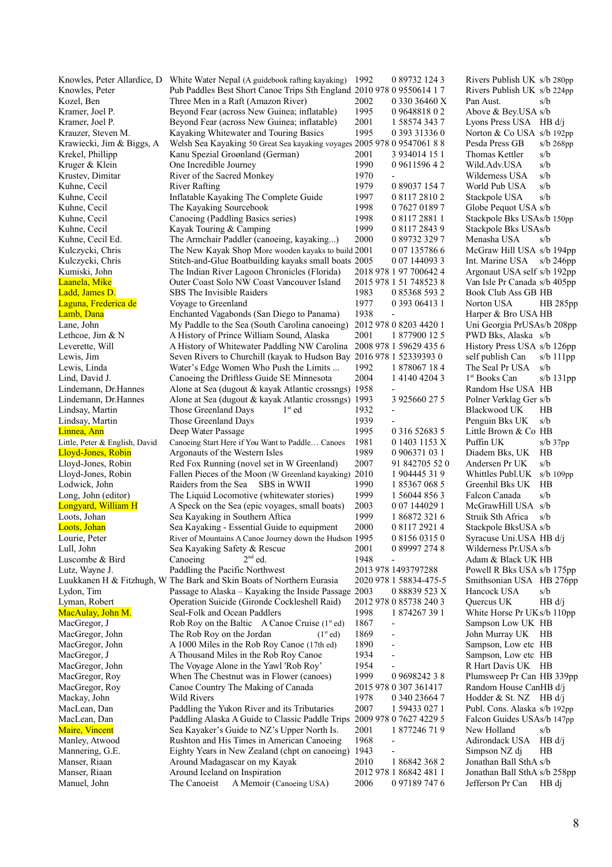|                                | Knowles, Peter Allardice, D White Water Nepal (A guidebook rafting kayaking) | 1992<br>0 89732 124 3                | Rivers Publish UK s/b 280pp              |
|--------------------------------|------------------------------------------------------------------------------|--------------------------------------|------------------------------------------|
| Knowles, Peter                 | Pub Paddles Best Short Canoe Trips Sth England 2010 978 0 9550614 1 7        |                                      | Rivers Publish UK s/b 224pp              |
| Kozel, Ben                     | Three Men in a Raft (Amazon River)                                           | 2002<br>0 330 36460 X                | s/b<br>Pan Aust.                         |
| Kramer, Joel P.                | Beyond Fear (across New Guinea; inflatable)                                  | 1995<br>0964881802                   | Above & Bey.USA s/b                      |
| Kramer, Joel P.                | Beyond Fear (across New Guinea; inflatable)                                  | 2001<br>1 58574 343 7                | Lyons Press USA HB d/j                   |
| Krauzer, Steven M.             |                                                                              | 1995<br>0 393 31336 0                | Norton & Co USA $s/b$ 192pp              |
|                                | Kayaking Whitewater and Touring Basics                                       |                                      |                                          |
| Krawiecki, Jim & Biggs, A      | Welsh Sea Kayaking 50 Great Sea kayaking voyages 2005 978 0 9547061 8 8      |                                      | Pesda Press GB<br>$s/b$ 268pp            |
| Krekel, Phillipp               | Kanu Spezial Groønland (German)                                              | 2001<br>3 934014 15 1                | Thomas Kettler<br>s/b                    |
| Kruger & Klein                 | One Incredible Journey                                                       | 1990<br>0 9611596 4 2                | Wild.Adv.USA<br>s/b                      |
| Krustev, Dimitar               | River of the Sacred Monkey                                                   | 1970                                 | s/b<br>Wilderness USA                    |
| Kuhne, Cecil                   | <b>River Rafting</b>                                                         | 1979<br>0 89037 154 7                | World Pub USA<br>s/b                     |
| Kuhne, Cecil                   | Inflatable Kayaking The Complete Guide                                       | 1997<br>0 8117 2810 2                | s/b<br>Stackpole USA                     |
| Kuhne, Cecil                   | The Kayaking Sourcebook                                                      | 1998<br>0 7627 0189 7                | Globe Pequot USA s/b                     |
| Kuhne, Cecil                   | Canoeing (Paddling Basics series)                                            | 1998<br>0 8117 2881 1                | Stackpole Bks USAs/b 150pp               |
| Kuhne, Cecil                   | Kayak Touring & Camping                                                      | 1999<br>0 8117 2843 9                | Stackpole Bks USAs/b                     |
|                                |                                                                              |                                      |                                          |
| Kuhne, Cecil Ed.               | The Armchair Paddler (canoeing, kayaking)                                    | 2000<br>0 89732 329 7                | Menasha USA<br>s/b                       |
| Kulczycki, Chris               | The New Kayak Shop More wooden kayaks to build 2001                          | 0 07 135786 6                        | McGraw Hill USA s/b 194pp                |
| Kulczycki, Chris               | Stitch-and-Glue Boatbuilding kayaks small boats 2005                         | 0 07 144093 3                        | Int. Marine USA<br>s/b $246pp$           |
| Kumiski, John                  | The Indian River Lagoon Chronicles (Florida)                                 | 2018 978 1 97 700642 4               | Argonaut USA self s/b 192pp              |
| Laanela, Mike                  | Outer Coast Solo NW Coast Vancouver Island                                   | 2015 978 1 51 748523 8               | Van Isle Pr Canada s/b 405pp             |
| Ladd, James D.                 | SBS The Invisible Raiders                                                    | 1983<br>0 85368 593 2                | <b>Book Club Ass GB HB</b>               |
| Laguna, Frederica de           | Voyage to Greenland                                                          | 1977<br>0 393 0 6413 1               | Norton USA<br>HB 285pp                   |
| Lamb, Dana                     | Enchanted Vagabonds (San Diego to Panama)                                    | 1938                                 | Harper & Bro USA HB                      |
| Lane, John                     | My Paddle to the Sea (South Carolina canoeing)                               | 2012 978 0 8203 4420 1               | Uni Georgia PrUSAs/b 208pp               |
|                                |                                                                              | 2001                                 |                                          |
| Lethcoe, Jim & N               | A History of Prince William Sound, Alaska                                    | 1 877900 12 5                        | PWD Bks, Alaska s/b                      |
| Leverette, Will                | A History of Whitewater Paddling NW Carolina 2008 978 1 59629 435 6          |                                      | History Press USA s/b 126pp              |
| Lewis, Jim                     | Seven Rivers to Churchill (kayak to Hudson Bay 2016 978 1 52339393 0         |                                      | self publish Can<br>s/b $111pp$          |
| Lewis, Linda                   | Water's Edge Women Who Push the Limits                                       | 1992<br>1 878067 18 4                | s/b<br>The Seal Pr USA                   |
| Lind, David J.                 | Canoeing the Driftless Guide SE Minnesota                                    | 2004<br>1 4 1 4 0 4 2 0 4 3          | 1 <sup>st</sup> Books Can<br>$s/b$ 131pp |
| Lindemann, Dr.Hannes           | Alone at Sea (dugout & kayak Atlantic crossngs) 1958                         |                                      | Random Hse USA HB                        |
| Lindemann, Dr.Hannes           | Alone at Sea (dugout & kayak Atlantic crossngs) 1993                         | 3 925660 27 5                        | Polner Verklag Ger s/b                   |
| Lindsay, Martin                | Those Greenland Days<br>$1st$ ed                                             | 1932                                 | HB<br>Blackwood UK                       |
| Lindsay, Martin                | Those Greenland Days                                                         | 1939                                 | Penguin Bks UK<br>s/b                    |
|                                | Deep Water Passage                                                           | 1995<br>0 316 52683 5                | Little Brown & Co HB                     |
| Linnea, Ann                    |                                                                              |                                      |                                          |
| Little, Peter & English, David | Canoeing Start Here if You Want to Paddle Canoes                             | 1981<br>0 1403 1153 X                | Puffin UK<br>$s/b$ 37 $pp$               |
| Lloyd-Jones, Robin             | Argonauts of the Western Isles                                               | 1989<br>0 906371 03 1                | Diadem Bks, UK<br>HB                     |
| Lloyd-Jones, Robin             | Red Fox Running (novel set in W Greenland)                                   | 2007<br>91 842705 52 0               | Andersen Pr UK<br>s/b                    |
| Lloyd-Jones, Robin             | Fallen Pieces of the Moon (W Greenland kayaking) 2010                        | 1 904445 31 9                        | Whittles Publ.UK<br>$s/b$ 109pp          |
| Lodwick, John                  | SBS in WWII<br>Raiders from the Sea                                          | 1990<br>1 85367 068 5                | Greenhil Bks UK<br>HB                    |
| Long, John (editor)            | The Liquid Locomotive (whitewater stories)                                   | 1999<br>1 56044 856 3                | Falcon Canada<br>s/b                     |
| Longyard, William H            | A Speck on the Sea (epic voyages, small boats)                               | 2003<br>0 07 144029 1                | McGrawHill USA s/b                       |
| Loots, Johan                   | Sea Kayaking in Southern Aftica                                              | 1999<br>1868723216                   | Struik Sth Africa<br>s/b                 |
| Loots, Johan                   | Sea Kayaking - Essential Guide to equipment                                  | 2000<br>0 8117 2921 4                | Stackpole BksUSA s/b                     |
| Lourie, Peter                  | River of Mountains A Canoe Journey down the Hudson 1995                      | 0 8156 0315 0                        | Syracuse Uni.USA HB d/j                  |
|                                | Sea Kayaking Safety & Rescue                                                 | 0 89997 274 8                        |                                          |
| Lull, John                     |                                                                              | 2001                                 | Wilderness Pr.USA s/b                    |
| Luscombe & Bird                | $2nd$ ed.<br>Canoeing                                                        | 1948                                 | Adam & Black UK HB                       |
| Lutz, Wayne J.                 | Paddling the Pacific Northwest                                               | 2013 978 1493797288                  | Powell R Bks USA s/b 175pp               |
|                                | Luukkanen H & Fitzhugh, W The Bark and Skin Boats of Northern Eurasia        | 2020 978 1 58834-475-5               | Smithsonian USA HB 276pp                 |
| Lydon, Tim                     | Passage to Alaska - Kayaking the Inside Passage 2003                         | 0 88839 523 X                        | Hancock USA<br>s/b                       |
| Lyman, Robert                  | Operation Suicide (Gironde Cockleshell Raid)                                 | 2012 978 0 85738 240 3               | Quercus UK<br>HB d/j                     |
| MacAulay, John M.              | Seal-Folk and Ocean Paddlers                                                 | 1998<br>1874267391                   | White Horse Pr UK s/b 110pp              |
| MacGregor, J                   | Rob Roy on the Baltic A Canoe Cruise $(1^{\text{st}}$ ed)                    | 1867                                 | Sampson Low UK HB                        |
| MacGregor, John                | The Rob Roy on the Jordan<br>(1 <sup>st</sup> ed)                            | 1869                                 | John Murray UK HB                        |
| MacGregor, John                | A 1000 Miles in the Rob Roy Canoe (17th ed)                                  | 1890<br>$\qquad \qquad \blacksquare$ | Sampson, Low etc HB                      |
| MacGregor, J                   | A Thousand Miles in the Rob Roy Canoe                                        | 1934                                 | Sampson, Low etc HB                      |
|                                |                                                                              |                                      |                                          |
| MacGregor, John                | The Voyage Alone in the Yawl 'Rob Roy'                                       | 1954                                 | R Hart Davis UK HB                       |
| MacGregor, Roy                 | When The Chestnut was in Flower (canoes)                                     | 1999<br>0 9 6 9 8 2 4 2 3 8          | Plumsweep Pr Can HB 339pp                |
| MacGregor, Roy                 | Canoe Country The Making of Canada                                           | 2015 978 0 307 361417                | Random House CanHB d/j                   |
| Mackay, John                   | <b>Wild Rivers</b>                                                           | 1978<br>0 340 23664 7                | Hodder & St. NZ HB $d/j$                 |
| MacLean, Dan                   | Paddling the Yukon River and its Tributaries                                 | 2007<br>1 59433 027 1                | Publ. Cons. Alaska s/b 192pp             |
| MacLean, Dan                   | Paddling Alaska A Guide to Classic Paddle Trips 2009 978 0 7627 4229 5       |                                      | Falcon Guides USAs/b 147pp               |
| <b>Maire</b> , Vincent         | Sea Kayaker's Guide to NZ's Upper North Is.                                  | 2001<br>1 877246 71 9                | New Holland<br>s/b                       |
| Manley, Atwood                 | Rushton and His Times in American Canoeing                                   | 1968<br>٠                            | Adirondack USA<br>HB d/i                 |
| Mannering, G.E.                | Eighty Years in New Zealand (chpt on canoeing) 1943                          |                                      | Simpson NZ dj<br>HB                      |
| Manser, Riaan                  | Around Madagascar on my Kayak                                                | 2010<br>1 86842 368 2                | Jonathan Ball SthA s/b                   |
|                                |                                                                              | 2012 978 1 86842 481 1               |                                          |
| Manser, Riaan                  | Around Iceland on Inspiration                                                |                                      | Jonathan Ball SthA s/b 258pp             |
| Manuel, John                   | The Canoeist<br>A Memoir (Canoeing USA)                                      | 2006<br>0 97189 747 6                | Jefferson Pr Can<br>HB di                |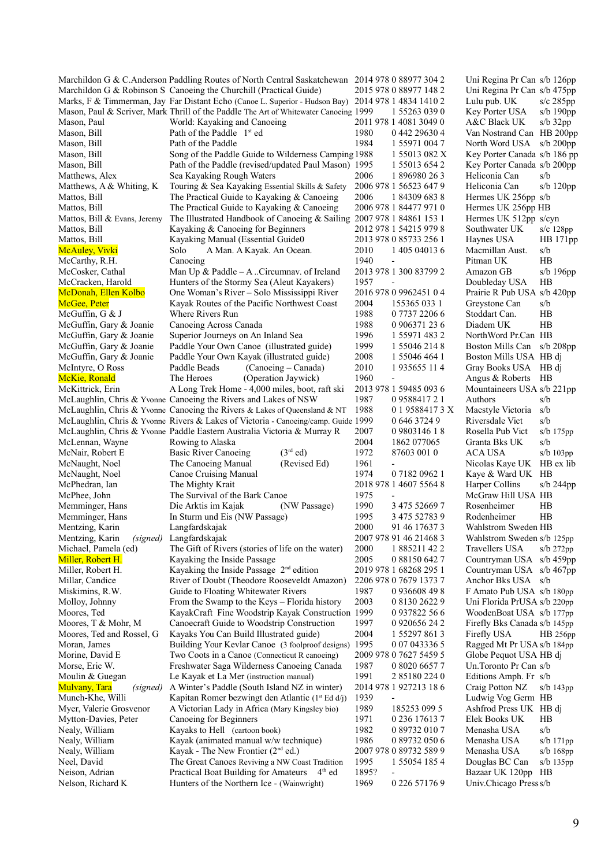|                                         | Marchildon G & C. Anderson Paddling Routes of North Central Saskatchewan 2014 978 0 88977 304 2    |       |                          | Uni Regina Pr Can s/b 126pp  |                |
|-----------------------------------------|----------------------------------------------------------------------------------------------------|-------|--------------------------|------------------------------|----------------|
|                                         | Marchildon G & Robinson S Canoeing the Churchill (Practical Guide)                                 |       | 2015 978 0 88977 148 2   | Uni Regina Pr Can s/b 475pp  |                |
|                                         | Marks, F & Timmerman, Jay Far Distant Echo (Canoe L. Superior - Hudson Bay) 2014 978 1 4834 1410 2 |       |                          | Lulu pub. UK                 | $s/c$ 285pp    |
|                                         | Mason, Paul & Scriver, Mark Thrill of the Paddle The Art of Whitewater Canoeing 1999               |       | 1 55263 039 0            | Key Porter USA               | $s/b$ 190 $pp$ |
| Mason, Paul                             | World: Kayaking and Canoeing                                                                       |       | 2011 978 1 4081 3049 0   | A&C Black UK                 | $s/b$ 32pp     |
| Mason, Bill                             | Path of the Paddle $1st$ ed                                                                        | 1980  | 0 442 29630 4            | Van Nostrand Can HB 200pp    |                |
| Mason, Bill                             | Path of the Paddle                                                                                 | 1984  | 1 55971 004 7            | North Word USA s/b 200pp     |                |
| Mason, Bill                             | Song of the Paddle Guide to Wilderness Camping 1988                                                |       | 1 55013 082 X            | Key Porter Canada s/b 186 pp |                |
| Mason, Bill                             | Path of the Paddle (revised/updated Paul Mason) 1995                                               |       | 1 55013 654 2            | Key Porter Canada s/b 200pp  |                |
| Matthews, Alex                          | Sea Kayaking Rough Waters                                                                          | 2006  | 1 896980 26 3            | Heliconia Can                | s/b            |
| Matthews, A & Whiting, K                | Touring & Sea Kayaking Essential Skills & Safety                                                   |       | 2006 978 1 56523 647 9   | Heliconia Can                | $s/b$ 120pp    |
| Mattos, Bill                            | The Practical Guide to Kayaking & Canoeing                                                         | 2006  | 1 84309 683 8            | Hermes UK 256pp s/b          |                |
| Mattos, Bill                            | The Practical Guide to Kayaking & Canoeing                                                         |       | 2006 978 1 84477 971 0   | Hermes UK 256pp HB           |                |
| Mattos, Bill & Evans, Jeremy            | The Illustrated Handbook of Canoeing & Sailing 2007 978 1 84861 153 1                              |       |                          | Hermes UK 512pp s/cyn        |                |
| Mattos, Bill                            | Kayaking & Canoeing for Beginners                                                                  |       | 2012 978 1 54215 979 8   | Southwater UK                | $s/c$ 128pp    |
| Mattos, Bill                            | Kayaking Manual (Essential Guide0                                                                  |       | 2013 978 0 85733 256 1   | Haynes USA                   | HB 171pp       |
| <b>McAuley</b> , Vivki                  | Solo<br>A Man. A Kayak. An Ocean.                                                                  | 2010  | 1 405 04013 6            | Macmillan Aust.              | s/b            |
| McCarthy, R.H.                          | Canoeing                                                                                           | 1940  |                          | Pitman UK                    | HB             |
| McCosker, Cathal                        | Man Up & Paddle $-A$ . Circumnav. of Ireland                                                       |       | 2013 978 1 300 83799 2   | Amazon GB                    | $s/b$ 196pp    |
| McCracken, Harold                       | Hunters of the Stormy Sea (Aleut Kayakers)                                                         | 1957  | $\overline{\phantom{a}}$ | Doubleday USA                | HB             |
| McDonah, Ellen Kolbo                    | One Woman's River - Solo Mississippi River                                                         |       | 2016 978 0 9962451 0 4   | Prairie R Pub USA s/b 420pp  |                |
| McGee, Peter                            | Kayak Routes of the Pacific Northwest Coast                                                        | 2004  | 155365 033 1             | Greystone Can                | s/b            |
| McGuffin, $G$ & J                       | Where Rivers Run                                                                                   | 1988  | 0 7737 2206 6            | Stoddart Can.                | HB             |
| McGuffin, Gary & Joanie                 | Canoeing Across Canada                                                                             | 1988  | 0 906371 23 6            | Diadem UK                    | HB             |
| McGuffin, Gary & Joanie                 | Superior Journeys on An Inland Sea                                                                 | 1996  | 1 55971 483 2            | NorthWord Pr.Can HB          |                |
| McGuffin, Gary & Joanie                 | Paddle Your Own Canoe (illustrated guide)                                                          | 1999  | 1 55046 214 8            | Boston Mills Can s/b 208pp   |                |
| McGuffin, Gary & Joanie                 | Paddle Your Own Kayak (illustrated guide)                                                          | 2008  | 1 55046 464 1            | Boston Mills USA HB dj       |                |
| McIntyre, O Ross                        | Paddle Beads<br>(Canoeing – Canada)                                                                | 2010  | 1935655 114              | Gray Books USA HB dj         |                |
| McKie, Ronald                           | The Heroes<br>(Operation Jaywick)                                                                  | 1960  | $\overline{\phantom{a}}$ | Angus & Roberts              | HB             |
| McKittrick, Erin                        | A Long Trek Home - 4,000 miles, boot, raft ski                                                     |       | 2013 978 1 59485 093 6   | Mountaineers USA s/b 221pp   |                |
|                                         | McLaughlin, Chris & Yvonne Canoeing the Rivers and Lakes of NSW                                    | 1987  | 0958841721               | Authors                      | s/b            |
|                                         | McLaughlin, Chris & Yvonne Canoeing the Rivers & Lakes of Queensland & NT                          | 1988  | 0 1 9588417 3 X          | Macstyle Victoria            | s/b            |
|                                         | McLaughlin, Chris & Yvonne Rivers & Lakes of Victoria - Canoeing/camp. Guide 1999                  |       | 0 646 3724 9             | Riversdale Vict              | s/b            |
|                                         | McLaughlin, Chris & Yvonne Paddle Eastern Australia Victoria & Murray R                            | 2007  | 0 9 8 0 3 1 4 6 1 8      | Rosella Pub Vict             | $s/b$ 175 $pp$ |
| McLennan, Wayne                         | Rowing to Alaska                                                                                   | 2004  | 1862 077065              | Granta Bks UK                | s/b            |
| McNair, Robert E                        | $(3rd$ ed)<br><b>Basic River Canoeing</b>                                                          | 1972  | 87603 001 0              | ACA USA                      | s/b 103pp      |
| McNaught, Noel                          | The Canoeing Manual<br>(Revised Ed)                                                                | 1961  |                          | Nicolas Kaye UK HB ex lib    |                |
| McNaught, Noel                          | Canoe Cruising Manual                                                                              | 1974  | 0 7182 0962 1            | Kaye & Ward UK HB            |                |
| McPhedran, Ian                          | The Mighty Krait                                                                                   |       | 2018 978 1 4607 5564 8   | Harper Collins               | s/b $244$ pp   |
| McPhee, John                            | The Survival of the Bark Canoe                                                                     | 1975  |                          | McGraw Hill USA HB           |                |
| Memminger, Hans                         | (NW Passage)<br>Die Arktis im Kajak                                                                | 1990  | 3 475 52669 7            | Rosenheimer                  | HB             |
| Memminger, Hans                         | In Sturm und Eis (NW Passage)                                                                      | 1995  | 3 475 52783 9            | Rodenheimer                  | HB             |
| Mentzing, Karin                         | Langfardskajak                                                                                     | 2000  | 91 46 17637 3            | Wahlstrom Sweden HB          |                |
| Mentzing, Karin (signed) Langfardskajak |                                                                                                    |       | 2007 978 91 46 21468 3   | Wahlstrom Sweden s/b 125pp   |                |
| Michael, Pamela (ed)                    | The Gift of Rivers (stories of life on the water)                                                  | 2000  | 1 885211 42 2            | Travellers USA               | $s/b$ 272 $pp$ |
| Miller, Robert H.                       | Kayaking the Inside Passage                                                                        | 2005  | 0 88150 642 7            | Countryman USA s/b 459pp     |                |
| Miller, Robert H.                       | Kayaking the Inside Passage $2nd$ edition                                                          |       | 2019 978 1 68268 295 1   | Countryman USA s/b 467pp     |                |
| Millar, Candice                         | River of Doubt (Theodore Rooseveldt Amazon)                                                        |       | 2206 978 0 7679 1373 7   | Anchor Bks USA s/b           |                |
| Miskimins, R.W.                         |                                                                                                    | 1987  | 0 936608 49 8            |                              |                |
|                                         | Guide to Floating Whitewater Rivers<br>From the Swamp to the Keys - Florida history                | 2003  |                          | F Amato Pub USA s/b 180pp    |                |
| Molloy, Johnny                          |                                                                                                    |       | 0 8130 2622 9            | Uni Florida PrUSA s/b 220pp  |                |
| Moores, Ted                             | KayakCraft Fine Woodstrip Kayak Construction 1999                                                  |       | 0937822 56 6             | WoodenBoat USA s/b 177pp     |                |
| Moores, T & Mohr, M                     | Canoecraft Guide to Woodstrip Construction                                                         | 1997  | 0 920656 24 2            | Firefly Bks Canada s/b 145pp |                |
| Moores, Ted and Rossel, G               | Kayaks You Can Build Illustrated guide)                                                            | 2004  | 1 5 5 2 9 7 8 6 1 3      | Firefly USA                  | HB 256pp       |
| Moran, James                            | Building Your Kevlar Canoe (3 foolproof designs)                                                   | 1995  | 0 07 043336 5            | Ragged Mt Pr USA s/b 184pp   |                |
| Morine, David E                         | Two Coots in a Canoe (Connecticut R canoeing)                                                      |       | 2009 978 0 7627 5459 5   | Globe Pequot USA HB dj       |                |
| Morse, Eric W.                          | Freshwater Saga Wilderness Canoeing Canada                                                         | 1987  | 0 8020 6657 7            | Un.Toronto Pr Can s/b        |                |
| Moulin & Guegan                         | Le Kayak et La Mer (instruction manual)                                                            | 1991  | 2 85180 224 0            | Editions Amph. Fr s/b        |                |
| <b>Mulvany</b> , Tara<br>(signed)       | A Winter's Paddle (South Island NZ in winter)                                                      |       | 2014 978 1 927213 18 6   | Craig Potton NZ              | $s/b$ 143 $pp$ |
| Munch-Khe, Willi                        | Kapitan Romer bezwingt den Atlantic ( $1^{\text{st}}$ Ed d/j)                                      | 1939  |                          | Ludwig Vog Germ HB           |                |
| Myer, Valerie Grosvenor                 | A Victorian Lady in Africa (Mary Kingsley bio)                                                     | 1989  | 185253 099 5             | Ashfrod Press UK HB dj       |                |
| Mytton-Davies, Peter                    | Canoeing for Beginners                                                                             | 1971  | 0 236 17613 7            | Elek Books UK                | HВ             |
| Nealy, William                          | Kayaks to Hell (cartoon book)                                                                      | 1982  | 0 89732 010 7            | Menasha USA                  | s/b            |
| Nealy, William                          | Kayak (animated manual w/w technique)                                                              | 1986  | 0 89732 050 6            | Menasha USA                  | $s/b$ 171 $pp$ |
| Nealy, William                          | Kayak - The New Frontier $(2nd$ ed.)                                                               |       | 2007 978 0 89732 589 9   | Menasha USA                  | $s/b$ 168pp    |
| Neel, David                             | The Great Canoes Reviving a NW Coast Tradition                                                     | 1995  | 1 55054 185 4            | Douglas BC Can               | $s/b$ 135 $pp$ |
| Neison, Adrian                          | Practical Boat Building for Amateurs<br>$4th$ ed                                                   | 1895? | $\overline{\phantom{a}}$ | Bazaar UK 120pp HB           |                |
| Nelson, Richard K                       | Hunters of the Northern Ice - (Wainwright)                                                         | 1969  | 0 226 57176 9            | Univ.Chicago Press s/b       |                |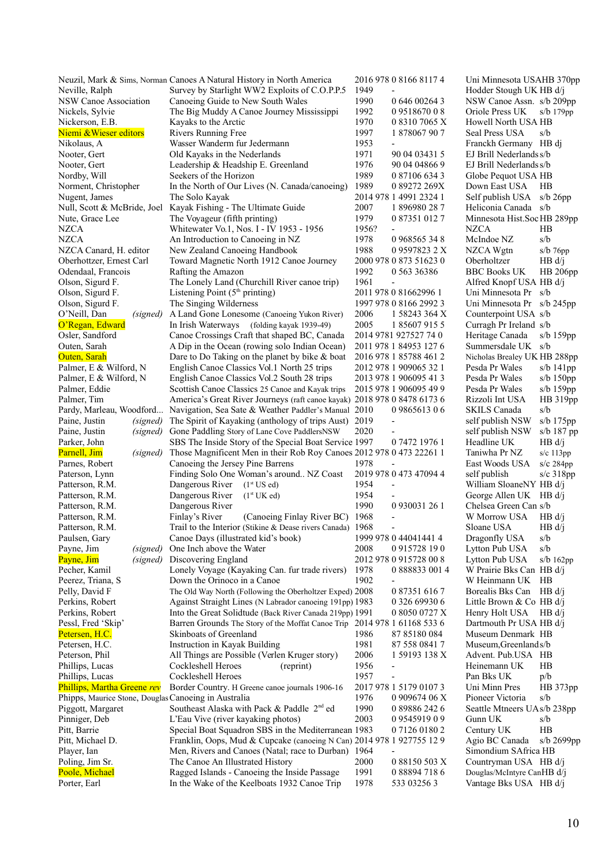|                                                      | Neuzil, Mark & Sims, Norman Canoes A Natural History in North America    |       | 2016 978 0 8166 8117 4       | Uni Minnesota USAHB 370pp    |                 |
|------------------------------------------------------|--------------------------------------------------------------------------|-------|------------------------------|------------------------------|-----------------|
| Neville, Ralph                                       | Survey by Starlight WW2 Exploits of C.O.P.P.5                            | 1949  |                              | Hodder Stough UK HB d/j      |                 |
| NSW Canoe Association                                | Canoeing Guide to New South Wales                                        | 1990  | 0 646 00264 3                | NSW Canoe Assn. s/b 209pp    |                 |
| Nickels, Sylvie                                      | The Big Muddy A Canoe Journey Mississippi                                | 1992  | 0951867008                   | Oriole Press UK              | $s/b$ 179 $pp$  |
| Nickerson, E.B.                                      | Kayaks to the Arctic                                                     | 1970  | 0 8310 7065 X                | Howell North USA HB          |                 |
| Niemi & Wieser editors                               | Rivers Running Free                                                      | 1997  | 1 878067 90 7                | Seal Press USA               | s/b             |
| Nikolaus, A                                          | Wasser Wanderm fur Jedermann                                             | 1953  |                              | Franckh Germany HB dj        |                 |
| Nooter, Gert                                         | Old Kayaks in the Nederlands                                             | 1971  | 90 04 03431 5                | EJ Brill Nederlands s/b      |                 |
| Nooter, Gert                                         | Leadership & Headship E. Greenland                                       | 1976  | 90 04 04 866 9               | EJ Brill Nederlands s/b      |                 |
| Nordby, Will                                         | Seekers of the Horizon                                                   | 1989  | 0 87106 634 3                | Globe Pequot USA HB          |                 |
| Norment, Christopher                                 | In the North of Our Lives (N. Canada/canoeing)                           | 1989  | 0 89272 269X                 | Down East USA                | HB              |
| Nugent, James                                        | The Solo Kayak                                                           |       | 2014 978 1 4991 2324 1       | Self publish USA             | s/b $26pp$      |
| Null, Scott & McBride, Joel                          | Kayak Fishing - The Ultimate Guide                                       | 2007  | 1896980287                   | Heliconia Canada s/b         |                 |
| Nute, Grace Lee                                      | The Voyageur (fifth printing)                                            | 1979  | 0 87351 012 7                | Minnesota Hist.Soc HB 289pp  |                 |
| <b>NZCA</b>                                          | Whitewater Vo.1, Nos. I - IV 1953 - 1956                                 | 1956? |                              | <b>NZCA</b>                  | HB              |
| <b>NZCA</b>                                          | An Introduction to Canoeing in NZ                                        | 1978  | 0 968565 34 8                | McIndoe NZ                   | s/b             |
| NZCA Canard, H. editor                               | New Zealand Canoeing Handbook                                            | 1988  | 0 9597823 2 X                | NZCA Wgtn                    | $s/b$ 76pp      |
| Oberhottzer, Ernest Carl                             | Toward Magnetic North 1912 Canoe Journey                                 |       | 2000 978 0 873 51623 0       | Oberholtzer                  | HB d/i          |
| Odendaal, Francois                                   | Rafting the Amazon                                                       | 1992  | 0 563 36386                  | <b>BBC Books UK</b>          | <b>HB</b> 206pp |
| Olson, Sigurd F.                                     | The Lonely Land (Churchill River canoe trip)                             | 1961  | $\qquad \qquad \blacksquare$ | Alfred Knopf USA HB d/j      |                 |
| Olson, Sigurd F.                                     | Listening Point $(5th$ printing)                                         |       | 2011 978 0 81662996 1        | Uni Minnesota Pr s/b         |                 |
| Olson, Sigurd F.                                     | The Singing Wilderness                                                   |       | 1997 978 0 8166 2992 3       | Uni Minnesota Pr s/b 245pp   |                 |
| O'Neill, Dan<br>(signed)                             | A Land Gone Lonesome (Canoeing Yukon River)                              | 2006  | 1 58243 364 X                | Counterpoint USA s/b         |                 |
| O'Regan, Edward                                      | In Irish Waterways (folding kayak 1939-49)                               | 2005  | 1 85607 915 5                | Curragh Pr Ireland s/b       |                 |
| Osler, Sandford                                      | Canoe Crossings Craft that shaped BC, Canada                             |       | 2014 9781 927527 74 0        | Heritage Canada              | s/b $159pp$     |
| Outen, Sarah                                         | A Dip in the Ocean (rowing solo Indian Ocean)                            |       | 2011 978 1 84953 127 6       | Summersdale UK s/b           |                 |
| Outen, Sarah                                         | Dare to Do Taking on the planet by bike $\&$ boat                        |       | 2016 978 1 85788 461 2       | Nicholas Brealey UK HB 288pp |                 |
| Palmer, E & Wilford, N                               | English Canoe Classics Vol.1 North 25 trips                              |       | 2012 978 1 909065 32 1       | Pesda Pr Wales               | s/b $141$ pp    |
| Palmer, E & Wilford, N                               | English Canoe Classics Vol.2 South 28 trips                              |       | 2013 978 1 906095 41 3       | Pesda Pr Wales               | $s/b$ 150pp     |
| Palmer, Eddie                                        | Scottish Canoe Classics 25 Canoe and Kayak trips                         |       | 2015 978 1 906095 49 9       | Pesda Pr Wales               | $s/b$ 159pp     |
| Palmer, Tim                                          | America's Great River Journeys (raft canoe kayak) 2018 978 0 8478 6173 6 |       |                              | Rizzoli Int USA              | HB 319pp        |
| Pardy, Marleau, Woodford                             | Navigation, Sea Sate & Weather Paddler's Manual                          | 2010  | 0986561306                   | <b>SKILS Canada</b>          | s/b             |
| Paine, Justin<br>(signed)                            | The Spirit of Kayaking (anthology of trips Aust)                         | 2019  |                              | self publish NSW             | s/b $175$ pp    |
| Paine, Justin<br>(signed)                            | Gone Paddling Story of Lane Cove PaddlersNSW                             | 2020  | $\overline{\phantom{0}}$     | self publish NSW             | s/b $187$ pp    |
| Parker, John                                         | SBS The Inside Story of the Special Boat Service 1997                    |       | 0 7472 1976 1                | Headline UK                  | HB d/i          |
| Parnell, Jim<br>(signed)                             | Those Magnificent Men in their Rob Roy Canoes 2012 978 0 473 22261 1     |       |                              | Taniwha Pr NZ                | $s/c$ 113 $pp$  |
| Parnes, Robert                                       | Canoeing the Jersey Pine Barrens                                         | 1978  |                              | East Woods USA               | $s/c$ 284pp     |
| Paterson, Lynn                                       | Finding Solo One Woman's around NZ Coast                                 |       | 2019 978 0 473 47094 4       | self publish                 | $s/c$ 318pp     |
| Patterson, R.M.                                      | Dangerous River $(1st US ed)$                                            | 1954  | $\overline{a}$               | William SloaneNY HB d/j      |                 |
| Patterson, R.M.                                      | Dangerous River<br>(1 <sup>st</sup> UK ed)                               | 1954  |                              | George Allen UK HB d/j       |                 |
| Patterson, R.M.                                      | Dangerous River                                                          | 1990  | 0 930031 26 1                | Chelsea Green Can s/b        |                 |
| Patterson, R.M.                                      | Finlay's River<br>(Canoeing Finlay River BC) 1968                        |       |                              | W Morrow USA                 | HB d/i          |
| Patterson, R.M.                                      | Trail to the Interior (Stikine & Dease rivers Canada) 1968               |       |                              | Sloane USA                   | HB d/i          |
| Paulsen, Gary                                        | Canoe Days (illustrated kid's book) 1999 978 0 44041441 4                |       |                              | Dragonfly USA s/b            |                 |
| Payne, Jim<br>(signed)                               | One Inch above the Water                                                 | 2008  | 0915728 190                  | Lytton Pub USA               | s/b             |
| Payne, Jim<br>(signed)                               | Discovering England                                                      |       | 2012 978 0 915728 00 8       | Lytton Pub USA               | $s/b$ 162pp     |
| Pecher, Kamil                                        | Lonely Voyage (Kayaking Can. fur trade rivers)                           | 1978  | 0 888833 001 4               | W Prairie Bks Can HB d/j     |                 |
| Peerez, Triana, S                                    | Down the Orinoco in a Canoe                                              | 1902  |                              | W Heinmann UK HB             |                 |
| Pelly, David F                                       | The Old Way North (Following the Oberholtzer Exped) 2008                 |       | 0 87351 616 7                | Borealis Bks Can HB d/i      |                 |
| Perkins, Robert                                      | Against Straight Lines (N Labrador canoeing 191pp) 1983                  |       | 0 326 69930 6                | Little Brown & Co HB $d/j$   |                 |
| Perkins, Robert                                      | Into the Great Solidtude (Back River Canada 219pp) 1991                  |       | 0 8050 0727 X                | Henry Holt USA HB d/j        |                 |
| Pessl, Fred 'Skip'                                   | Barren Grounds The Story of the Moffat Canoe Trip                        |       | 2014 978 1 61168 533 6       | Dartmouth Pr USA HB d/j      |                 |
| Petersen, H.C.                                       | Skinboats of Greenland                                                   | 1986  | 87 85180 084                 | Museum Denmark HB            |                 |
| Petersen, H.C.                                       | Instruction in Kayak Building                                            | 1981  | 87 558 0841 7                | Museum, Greenland s/b        |                 |
| Peterson, Phil                                       | All Things are Possible (Verlen Kruger story)                            | 2006  | 1 59193 138 X                | Advent. Pub.USA HB           |                 |
| Phillips, Lucas                                      | Cockleshell Heroes<br>(reprint)                                          | 1956  | $\overline{\phantom{0}}$     | Heinemann UK                 | HB              |
| Phillips, Lucas                                      | Cockleshell Heroes                                                       | 1957  |                              | Pan Bks UK                   | p/b             |
| <b>Phillips, Martha Greene rev</b>                   | Border Country. H Greene canoe journals 1906-16                          |       | 2017 978 1 5179 0107 3       | Uni Minn Pres                | HB 373pp        |
| Phipps, Maurice Stone, Douglas Canoeing in Australia |                                                                          | 1976  | 0 909674 06 X                | Pioneer Victoria             | s/b             |
| Piggott, Margaret                                    | Southeast Alaska with Pack & Paddle 2 <sup>nd</sup> ed                   | 1990  | 0 89886 242 6                | Seattle Mtneers UAs/b 238pp  |                 |
| Pinniger, Deb                                        | L'Eau Vive (river kayaking photos)                                       | 2003  | 0954591909                   | Gunn UK                      | s/b             |
| Pitt, Barrie                                         | Special Boat Squadron SBS in the Mediterranean 1983                      |       | 07126 01802                  | Century UK                   | HB              |
| Pitt, Michael D.                                     | Franklin, Oops, Mud & Cupcake (canoeing N Can) 2014 978 1 927755 12 9    |       |                              | Agio BC Canada               | s/b $2699$ pp   |
| Player, Ian                                          | Men, Rivers and Canoes (Natal; race to Durban) 1964                      |       |                              | Simondium SAfrica HB         |                 |
| Poling, Jim Sr.                                      | The Canoe An Illustrated History                                         | 2000  | 0 88150 503 X                | Countryman USA HB d/j        |                 |
| Poole, Michael                                       | Ragged Islands - Canoeing the Inside Passage                             | 1991  | 0 88894 718 6                | Douglas/McIntyre CanHB d/j   |                 |
| Porter, Earl                                         | In the Wake of the Keelboats 1932 Canoe Trip                             | 1978  | 533 03256 3                  | Vantage Bks USA HB d/j       |                 |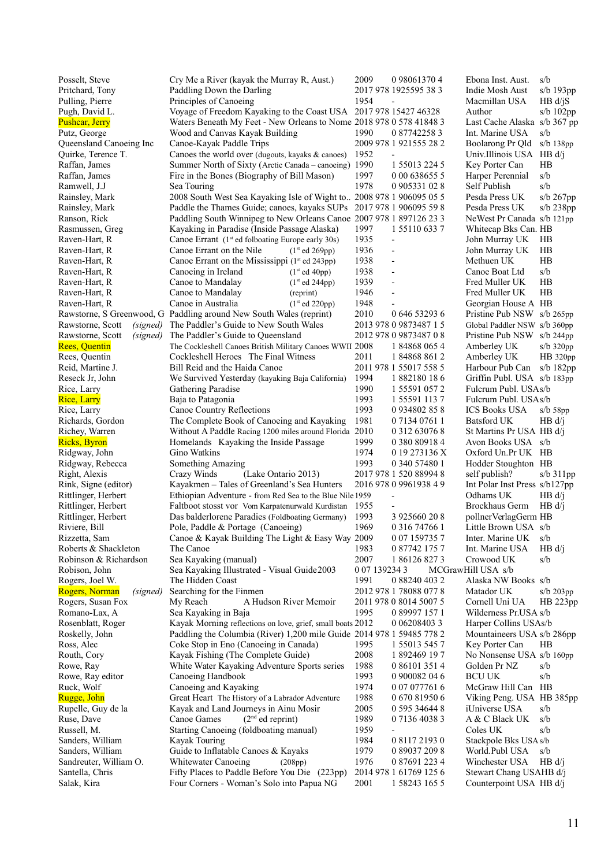| Posselt, Steve             | Cry Me a River (kayak the Murray R, Aust.)                            | 2009          | 0 98061370 4             | Ebona Inst. Aust.             | s/b            |
|----------------------------|-----------------------------------------------------------------------|---------------|--------------------------|-------------------------------|----------------|
| Pritchard, Tony            | Paddling Down the Darling                                             |               | 2017 978 1925595 38 3    | Indie Mosh Aust               | $s/b$ 193 $pp$ |
| Pulling, Pierre            | Principles of Canoeing                                                | 1954          |                          | Macmillan USA                 | $HB d/{}iS$    |
| Pugh, David L.             | Voyage of Freedom Kayaking to the Coast USA 2017 978 15427 46328      |               |                          | Author                        | s/b $102pp$    |
| <b>Pushcar, Jerry</b>      | Waters Beneath My Feet - New Orleans to Nome 2018 978 0 578 41848 3   |               |                          | Last Cache Alaska s/b 367 pp  |                |
| Putz, George               | Wood and Canvas Kayak Building                                        | 1990          | 0 87742258 3             | Int. Marine USA               | s/b            |
| Queensland Canoeing Inc    | Canoe-Kayak Paddle Trips                                              |               | 2009 978 1 921555 28 2   | Boolarong Pr Qld              | $s/b$ 138 $pp$ |
| Quirke, Terence T.         | Canoes the world over (dugouts, kayaks & canoes)                      | 1952          |                          | Univ.Illinois USA HB d/j      |                |
| Raffan, James              | Summer North of Sixty (Arctic Canada - canoeing) 1990                 |               | 1 55013 224 5            | Key Porter Can                | HB             |
| Raffan, James              | Fire in the Bones (Biography of Bill Mason)                           | 1997          | 0 00 638655 5            | Harper Perennial              | s/b            |
| Ramwell, J.J               | Sea Touring                                                           | 1978          | 0 905331 02 8            | Self Publish                  | s/b            |
| Rainsley, Mark             | 2008 South West Sea Kayaking Isle of Wight to 2008 978 1 906095 05 5  |               |                          | Pesda Press UK                | s/b 267pp      |
| Rainsley, Mark             | Paddle the Thames Guide; canoes, kayaks SUPs 2017 978 1 906095 59 8   |               |                          | Pesda Press UK                | $s/b$ 238pp    |
| Ranson, Rick               | Paddling South Winnipeg to New Orleans Canoe 2007 978 1 897126 23 3   |               |                          | NeWest Pr Canada s/b 121pp    |                |
| Rasmussen, Greg            | Kayaking in Paradise (Inside Passage Alaska)                          | 1997          | 1 5 5 1 1 0 6 3 3 7      | Whitecap Bks Can. HB          |                |
| Raven-Hart, R              | Canoe Errant (1 <sup>st</sup> ed folboating Europe early 30s)         | 1935          | $\overline{\phantom{a}}$ | John Murray UK                | HB             |
| Raven-Hart, R              | Canoe Errant on the Nile<br>(1 <sup>st</sup> ed 269pp)                | 1936          | $\overline{\phantom{a}}$ | John Murray UK                | HB             |
| Raven-Hart, R              | Canoe Errant on the Mississippi $(1st$ ed 243pp)                      | 1938          | $\overline{\phantom{a}}$ | Methuen UK                    | HB             |
| Raven-Hart, R              | Canoeing in Ireland<br>(1 <sup>st</sup> ed 40pp)                      | 1938          | $\overline{\phantom{a}}$ | Canoe Boat Ltd                | s/b            |
| Raven-Hart, R              | Canoe to Mandalay<br>(1 <sup>st</sup> ed 244pp)                       | 1939          | $\overline{\phantom{a}}$ | Fred Muller UK                | HB             |
| Raven-Hart, R              | Canoe to Mandalay<br>(reprint)                                        | 1946          | $\overline{\phantom{a}}$ | Fred Muller UK                | HB             |
| Raven-Hart, R              | Canoe in Australia<br>(1 <sup>st</sup> ed 220pp)                      | 1948          |                          | Georgian House A HB           |                |
|                            | Rawstorne, S Greenwood, G Paddling around New South Wales (reprint)   | 2010          | 0 646 53293 6            | Pristine Pub NSW s/b 265pp    |                |
| Rawstorne, Scott           | <i>(signed)</i> The Paddler's Guide to New South Wales                |               | 2013 978 0 9873487 1 5   | Global Paddler NSW s/b 360pp  |                |
| Rawstorne, Scott           | (signed) The Paddler's Guide to Queensland                            |               | 2012 978 0 9873487 0 8   | Pristine Pub NSW s/b 244pp    |                |
| <b>Rees, Quentin</b>       | The Cockleshell Canoes British Military Canoes WWII 2008              |               | 1 84868 065 4            | Amberley UK                   | $s/b$ 320pp    |
| Rees, Quentin              | Cockleshell Heroes The Final Witness                                  | 2011          | 1848688612               | Amberley UK                   | HB 320pp       |
| Reid, Martine J.           | Bill Reid and the Haida Canoe                                         |               | 2011 978 1 55017 558 5   | Harbour Pub Can s/b 182pp     |                |
| Reseck Jr, John            | We Survived Yesterday (kayaking Baja California)                      | 1994          | 1882180186               | Griffin Publ. USA s/b 183pp   |                |
| Rice, Larry                | Gathering Paradise                                                    | 1990          | 1 55591 057 2            | Fulcrum Publ. USAs/b          |                |
| <b>Rice</b> , Larry        | Baja to Patagonia                                                     | 1993          | 1 55591 113 7            | Fulcrum Publ. USAs/b          |                |
| Rice, Larry                | Canoe Country Reflections                                             | 1993          | 0934802858               | <b>ICS Books USA</b>          | $s/b$ 58pp     |
| Richards, Gordon           | The Complete Book of Canoeing and Kayaking                            | 1981          | 0 7134 0761 1            | Batsford UK                   | HB d/i         |
| Richey, Warren             | Without A Paddle Racing 1200 miles around Florida 2010                |               | 0 312 63076 8            | St Martins Pr USA HB d/j      |                |
| <b>Ricks</b> , Byron       | Homelands Kayaking the Inside Passage                                 | 1999          | 0 380 80918 4            | Avon Books USA s/b            |                |
| Ridgway, John              | Gino Watkins                                                          | 1974          | 0 19 273136 X            | Oxford Un.Pr UK HB            |                |
| Ridgway, Rebecca           | Something Amazing                                                     | 1993          | 0 340 57480 1            | Hodder Stoughton HB           |                |
| Right, Alexis              | Crazy Winds<br>(Lake Ontario 2013)                                    |               | 2017 978 1 520 88994 8   | self publish?                 | $s/b$ 311pp    |
| Rink, Signe (editor)       | Kayakmen - Tales of Greenland's Sea Hunters                           |               | 2016 978 0 9961938 4 9   | Int Polar Inst Press s/b127pp |                |
| Rittlinger, Herbert        | Ethiopian Adventure - from Red Sea to the Blue Nile 1959              |               |                          | Odhams UK                     | HB d/i         |
| Rittlinger, Herbert        | Faltboot stosst vor Vom Karpatenurwald Kurdistan 1955                 |               |                          | <b>Brockhaus Germ</b>         | HB d/i         |
| Rittlinger, Herbert        | Das balderlorene Paradies (Foldboating Germany)                       | 1993          | 3 925660 20 8            | pollnerVerlagGerm HB          |                |
| Riviere, Bill              | Pole, Paddle & Portage (Canoeing)                                     | 1969          | 0 3 1 6 7 4 7 6 6 1      | Little Brown USA s/b          |                |
| Rizzetta, Sam              | Canoe & Kayak Building The Light & Easy Way 2009                      |               | 0 07 159735 7            | Inter. Marine UK              | s/b            |
| Roberts & Shackleton       | The Canoe                                                             | 1983          | 0 87742 175 7            | Int. Marine USA               | HB d/i         |
| Robinson & Richardson      | Sea Kayaking (manual)                                                 | 2007          | 1861268273               | Crowood UK                    | s/b            |
| Robison, John              | Sea Kayaking Illustrated - Visual Guide2003                           | 0 07 139234 3 |                          | MCGrawHill USA s/b            |                |
| Rogers, Joel W.            | The Hidden Coast                                                      | 1991          | 0 88240 403 2            | Alaska NW Books s/b           |                |
| Rogers, Norman<br>(signed) | Searching for the Finmen                                              |               | 2012 978 1 78088 077 8   | Matador UK                    | $s/b$ 203pp    |
| Rogers, Susan Fox          | A Hudson River Memoir<br>My Reach                                     |               | 2011 978 0 8014 5007 5   | Cornell Uni UA                | HB 223pp       |
| Romano-Lax, A              | Sea Kayaking in Baja                                                  | 1995          | 0 89997 157 1            | Wilderness Pr.USA s/b         |                |
| Rosenblatt, Roger          | Kayak Morning reflections on love, grief, small boats 2012            |               | 0 0 6 2 0 8 4 0 3 3      | Harper Collins USAs/b         |                |
| Roskelly, John             | Paddling the Columbia (River) 1,200 mile Guide 2014 978 1 59485 778 2 |               |                          | Mountaineers USA s/b 286pp    |                |
| Ross, Alec                 | Coke Stop in Eno (Canoeing in Canada)                                 | 1995          | 1 55013 545 7            | Key Porter Can                | HВ             |
|                            | Kayak Fishing (The Complete Guide)                                    | 2008          | 1 892469 19 7            |                               |                |
| Routh, Cory                |                                                                       |               |                          | No Nonsense USA s/b 160pp     |                |
| Rowe, Ray                  | White Water Kayaking Adventure Sports series                          | 1988<br>1993  | 0 86101 351 4            | Golden Pr NZ<br><b>BCU UK</b> | s/b            |
| Rowe, Ray editor           | Canoeing Handbook                                                     |               | 0 900082 04 6            |                               | s/b            |
| Ruck, Wolf                 | Canoeing and Kayaking                                                 | 1974          | 0 07 077761 6            | McGraw Hill Can HB            |                |
| Rugge, John                | Great Heart The History of a Labrador Adventure                       | 1988          | 0 670 81950 6            | Viking Peng. USA HB 385pp     |                |
| Rupelle, Guy de la         | Kayak and Land Journeys in Ainu Mosir                                 | 2005          | 0 595 34644 8            | <i>i</i> Universe USA         | s/b            |
| Ruse, Dave                 | $(2nd$ ed reprint)<br>Canoe Games                                     | 1989          | 0 7136 4038 3            | A & C Black UK                | s/b            |
| Russell, M.                | Starting Canoeing (foldboating manual)                                | 1959          |                          | Coles UK                      | s/b            |
| Sanders, William           | Kayak Touring                                                         | 1984          | 0 8117 2193 0            | Stackpole Bks USA s/b         |                |
| Sanders, William           | Guide to Inflatable Canoes & Kayaks                                   | 1979          | 0 89037 209 8            | World.Publ USA                | s/b            |
| Sandreuter, William O.     | Whitewater Canoeing<br>(208pp)                                        | 1976          | 0 87691 223 4            | Winchester USA                | HB d/i         |
| Santella, Chris            | Fifty Places to Paddle Before You Die (223pp)                         |               | 2014 978 1 61769 125 6   | Stewart Chang USAHB d/j       |                |
| Salak, Kira                | Four Corners - Woman's Solo into Papua NG                             | 2001          | 1 58243 165 5            | Counterpoint USA HB d/j       |                |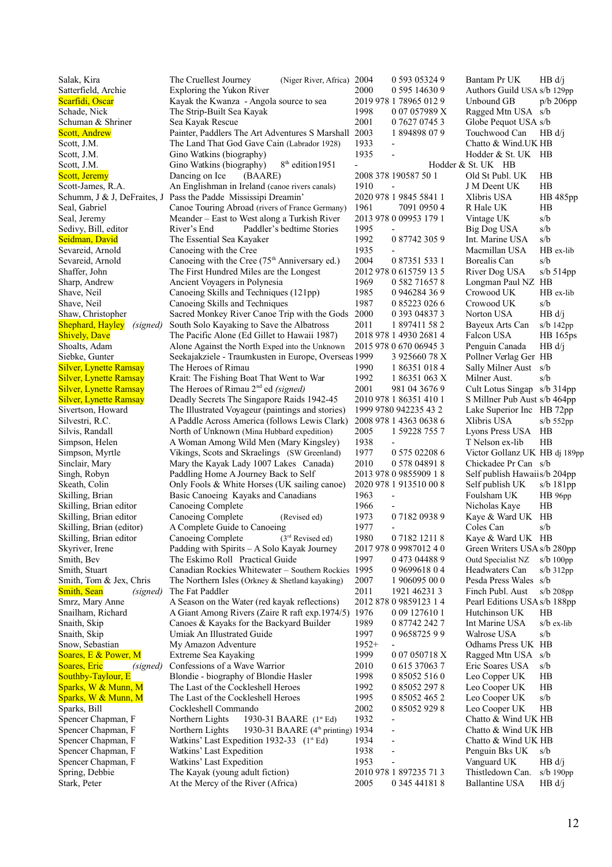| Salak, Kira                         | The Cruellest Journey<br>(Niger River, Africa) 2004                            |                                      | 0 593 0 5324 9                          | Bantam Pr UK                                  | HB d/i          |
|-------------------------------------|--------------------------------------------------------------------------------|--------------------------------------|-----------------------------------------|-----------------------------------------------|-----------------|
| Satterfield, Archie                 | Exploring the Yukon River                                                      | 2000                                 | 0 595 14630 9                           | Authors Guild USA s/b 129pp                   |                 |
| Scarfidi, Oscar                     | Kayak the Kwanza - Angola source to sea                                        |                                      | 2019 978 1 78965 012 9                  | Unbound GB                                    | p/b 206pp       |
| Schade, Nick                        | The Strip-Built Sea Kayak                                                      | 1998                                 | 0 07 057989 X                           | Ragged Mtn USA s/b                            |                 |
| Schuman & Shriner                   | Sea Kayak Rescue                                                               | 2001                                 | 0 7627 0745 3                           | Globe Pequot USA s/b                          |                 |
| <b>Scott, Andrew</b>                | Painter, Paddlers The Art Adventures S Marshall 2003                           |                                      | 1894898079                              | Touchwood Can                                 | HB d/i          |
| Scott, J.M.                         | The Land That God Gave Cain (Labrador 1928)                                    | 1933                                 |                                         | Chatto & Wind.UK HB                           |                 |
| Scott, J.M.                         | Gino Watkins (biography)                                                       | 1935                                 |                                         | Hodder & St. UK HB                            |                 |
| Scott, J.M.                         | 8 <sup>th</sup> edition1951<br>Gino Watkins (biography)                        | $\overline{\phantom{0}}$             |                                         | Hodder & St. UK HB                            |                 |
| <b>Scott</b> , Jeremy               | Dancing on Ice<br>(BAARE)                                                      | 2008 378 190587 50 1                 |                                         | Old St Publ. UK                               | HB              |
| Scott-James, R.A.                   | An Englishman in Ireland (canoe rivers canals)                                 | 1910<br>$\overline{\phantom{a}}$     |                                         | J M Deent UK                                  | HB              |
|                                     | Schumm, J & J, DeFraites, J Pass the Padde Mississipi Dreamin'                 |                                      | 2020 978 1 9845 5841 1                  | Xlibris USA                                   | HB 485pp        |
| Seal, Gabriel                       | Canoe Touring Abroad (rivers of France Germany)                                | 1961                                 | 7091 0950 4                             | R Hale UK                                     | HB              |
| Seal, Jeremy                        | Meander - East to West along a Turkish River                                   |                                      | 2013 978 0 09953 179 1                  | Vintage UK                                    | s/b             |
| Sedivy, Bill, editor                | River's End<br>Paddler's bedtime Stories                                       | 1995                                 |                                         | Big Dog USA                                   | s/b             |
| Seidman, David                      | The Essential Sea Kayaker                                                      | 1992                                 | 0 87742 305 9                           | Int. Marine USA                               | s/b             |
| Sevareid, Arnold                    | Canoeing with the Cree                                                         | 1935                                 |                                         | Macmillan USA                                 | HB ex-lib       |
| Sevareid, Arnold                    | Canoeing with the Cree $(75th$ Anniversary ed.)                                | 2004                                 | 0 87351 533 1                           | Borealis Can                                  | s/b             |
| Shaffer, John                       | The First Hundred Miles are the Longest                                        |                                      | 2012 978 0 615759 13 5                  | River Dog USA                                 | $s/b$ 514pp     |
| Sharp, Andrew                       | Ancient Voyagers in Polynesia                                                  | 1969                                 | 0 582 716578                            | Longman Paul NZ HB                            |                 |
| Shave, Neil                         | Canoeing Skills and Techniques (121pp)                                         | 1985                                 | 0 946284 36 9                           | Crowood UK                                    | HB ex-lib       |
| Shave, Neil                         | Canoeing Skills and Techniques                                                 | 1987                                 | 0 85223 026 6                           | Crowood UK                                    | s/b             |
| Shaw, Christopher                   | Sacred Monkey River Canoe Trip with the Gods 2000                              |                                      | 0 393 04837 3                           | Norton USA                                    | HB d/j          |
| <b>Shephard, Hayley</b><br>(signed) | South Solo Kayaking to Save the Albatross                                      | 2011                                 | 1 897411 58 2                           | Bayeux Arts Can                               | $s/b$ 142 $pp$  |
| <b>Shively, Dave</b>                | The Pacific Alone (Ed Gillet to Hawaii 1987)                                   |                                      | 2018 978 1 4930 2681 4                  | Falcon USA                                    | <b>HB</b> 165ps |
| Shoalts, Adam                       | Alone Against the North Exped into the Unknown                                 |                                      | 2015 978 0 670 06945 3                  | Penguin Canada                                | HB d/j          |
| Siebke, Gunter                      | Seekajakziele - Traumkusten in Europe, Overseas 1999                           |                                      | 3 925660 78 X                           | Pollner Verlag Ger HB                         |                 |
| <b>Silver, Lynette Ramsay</b>       | The Heroes of Rimau                                                            | 1990                                 | 1 86351 018 4                           | Sally Milner Aust                             | s/b             |
| <b>Silver, Lynette Ramsay</b>       | Krait: The Fishing Boat That Went to War                                       | 1992                                 | 1 86351 063 X                           | Milner Aust.                                  | s/b             |
| <b>Silver, Lynette Ramsay</b>       | The Heroes of Rimau 2 <sup>nd</sup> ed (signed)                                | 2001                                 | 981 04 3676 9                           | Cult Lotus Singap s/b 314pp                   |                 |
| <b>Silver, Lynette Ramsay</b>       | Deadly Secrets The Singapore Raids 1942-45                                     |                                      | 2010 978 1 86351 410 1                  | S Millner Pub Aust s/b 464pp                  |                 |
| Sivertson, Howard                   | The Illustrated Voyageur (paintings and stories)                               |                                      | 1999 9780 942235 43 2                   | Lake Superior Inc HB 72pp                     |                 |
| Silvestri, R.C.                     | A Paddle Across America (follows Lewis Clark)                                  |                                      | 2008 978 1 4363 0638 6                  | Xlibris USA                                   | $s/b$ 552pp     |
| Silvis, Randall                     | North of Unknown (Mina Hubbard expedition)                                     | 2005                                 | 1 59228 755 7                           | Lyons Press USA                               | HB              |
| Simpson, Helen                      | A Woman Among Wild Men (Mary Kingsley)                                         | 1938                                 |                                         | T Nelson ex-lib                               | HВ              |
| Simpson, Myrtle                     | Vikings, Scots and Skraelings (SW Greenland)                                   | 1977                                 | 0 575 02208 6                           | Victor Gollanz UK HB dj 189pp                 |                 |
| Sinclair, Mary                      | Mary the Kayak Lady 1007 Lakes Canada)                                         | 2010                                 | 0 578 04891 8                           | Chickadee Pr Can s/b                          |                 |
| Singh, Robyn                        | Paddling Home A Journey Back to Self                                           |                                      | 2013 978 0 9855909 18                   | Self publish Hawaiis/b 204pp                  |                 |
| Skeath, Colin                       | Only Fools & White Horses (UK sailing canoe)                                   |                                      | 2020 978 1 913510 00 8                  | Self publish UK                               | $s/b$ 181pp     |
| Skilling, Brian                     | Basic Canoeing Kayaks and Canadians                                            | 1963<br>$\qquad \qquad \blacksquare$ |                                         | Foulsham UK                                   | HB96pp          |
| Skilling, Brian editor              | Canoeing Complete                                                              | 1966                                 |                                         | Nicholas Kaye                                 | HB              |
| Skilling, Brian editor              | Canoeing Complete<br>(Revised ed)                                              | 1973                                 | 0718209389                              | Kaye & Ward UK HB                             |                 |
| Skilling, Brian (editor)            | A Complete Guide to Canoeing                                                   | 1977                                 |                                         | Coles Can                                     | s/b             |
| Skilling, Brian editor              | Canoeing Complete $(3rd \text{Revised ed})$                                    | 1980                                 | 0718212118                              | Kaye & Ward UK HB                             |                 |
| Skyriver, Irene                     | Padding with Spirits - A Solo Kayak Journey                                    |                                      | 2017 978 0 9987012 4 0                  | Green Writers USA s/b 280pp                   |                 |
| Smith, Bev                          | The Eskimo Roll Practical Guide                                                | 1997                                 | 0473 04488 9                            | Outd Specialist NZ                            | $s/b$ 100pp     |
| Smith, Stuart                       | Canadian Rockies Whitewater - Southern Rockies 1995                            |                                      | 0969961804                              | Headwaters Can                                | $s/b$ 312pp     |
| Smith, Tom & Jex, Chris             | The Northern Isles (Orkney & Shetland kayaking)                                | 2007                                 | 1 906095 00 0                           | Pesda Press Wales s/b                         |                 |
| <b>Smith, Sean</b><br>(signed)      | The Fat Paddler                                                                | 2011                                 | 1921 46231 3                            | Finch Publ. Aust                              | $s/b$ 208pp     |
| Smrz, Mary Anne                     | A Season on the Water (red kayak reflections)                                  |                                      | 2012 878 0 9859123 1 4<br>0 09 127610 1 | Pearl Editions USA s/b 188pp<br>Hutchinson UK |                 |
| Snailham, Richard                   | A Giant Among Rivers (Zaire R raft exp. 1974/5) 1976                           |                                      |                                         |                                               | HВ              |
| Snaith, Skip                        | Canoes & Kayaks for the Backyard Builder                                       | 1989                                 | 0 87742 242 7                           | Int Marine USA                                | $s/b$ ex-lib    |
| Snaith, Skip<br>Snow, Sebastian     | Umiak An Illustrated Guide                                                     | 1997<br>$1952+$                      | 0965872599                              | Walrose USA<br>Odhams Press UK HB             | s/b             |
|                                     | My Amazon Adventure                                                            | 1999                                 | 007050718X                              |                                               |                 |
| Soares, E & Power, M                | Extreme Sea Kayaking                                                           | 2010                                 |                                         | Ragged Mtn USA s/b                            |                 |
| Soares, Eric<br>(signed)            | Confessions of a Wave Warrior                                                  |                                      | 0 615 37063 7                           | Eric Soares USA                               | s/b             |
| Southby-Taylour, E                  | Blondie - biography of Blondie Hasler<br>The Last of the Cockleshell Heroes    | 1998<br>1992                         | 0 85052 516 0<br>0 85052 297 8          | Leo Copper UK<br>Leo Cooper UK                | HB<br>HB        |
| Sparks, W & Munn, M                 | The Last of the Cockleshell Heroes                                             | 1995                                 | 0 85052 465 2                           |                                               | s/b             |
| Sparks, W & Munn, M                 |                                                                                |                                      |                                         | Leo Cooper UK                                 |                 |
| Sparks, Bill<br>Spencer Chapman, F  | Cockleshell Commando                                                           | 2002<br>1932                         | 0 85052 929 8                           | Leo Cooper UK<br>Chatto & Wind UK HB          | HB              |
| Spencer Chapman, F                  | Northern Lights<br>1930-31 BAARE (1st Ed)<br>1930-31 BAARE (4th printing) 1934 |                                      |                                         | Chatto & Wind UK HB                           |                 |
| Spencer Chapman, F                  | Northern Lights<br>Watkins' Last Expedition 1932-33 $(1^st Ed)$                | 1934<br>$\overline{a}$               |                                         | Chatto & Wind UK HB                           |                 |
| Spencer Chapman, F                  | Watkins' Last Expedition                                                       | 1938                                 |                                         | Penguin Bks UK                                | s/b             |
| Spencer Chapman, F                  | Watkins' Last Expedition                                                       | 1953                                 |                                         | Vanguard UK                                   | HB d/i          |
| Spring, Debbie                      | The Kayak (young adult fiction)                                                |                                      | 2010 978 1 897235 71 3                  | Thistledown Can.                              | $s/b$ 190 $pp$  |
| Stark, Peter                        | At the Mercy of the River (Africa)                                             | 2005                                 | 0 345 44181 8                           | <b>Ballantine USA</b>                         | HB d/j          |
|                                     |                                                                                |                                      |                                         |                                               |                 |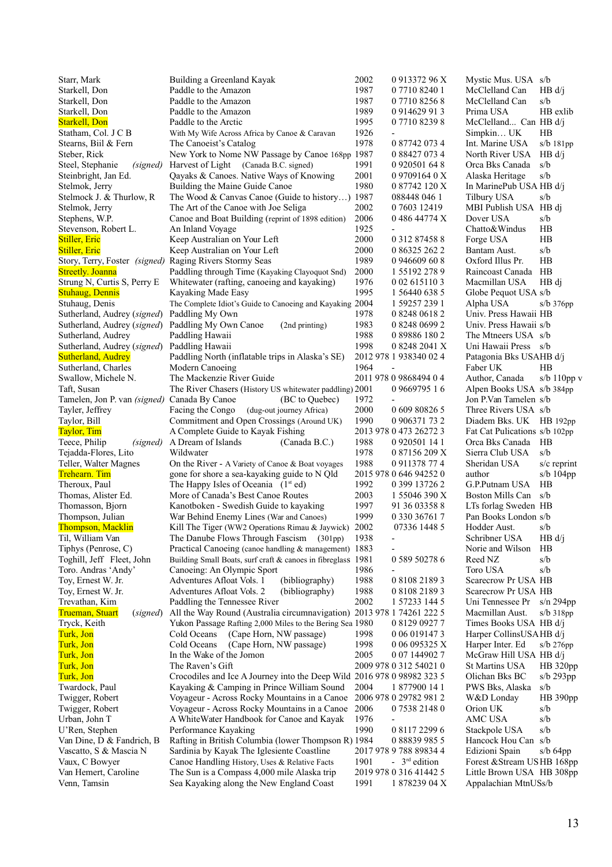| Starr, Mark                                             | Building a Greenland Kayak                                                              | 2002 | 0 913372 96 X                           | Mystic Mus. USA s/b                               |                 |
|---------------------------------------------------------|-----------------------------------------------------------------------------------------|------|-----------------------------------------|---------------------------------------------------|-----------------|
| Starkell, Don                                           | Paddle to the Amazon                                                                    | 1987 | 0 7710 8240 1                           | McClelland Can                                    | HB d/i          |
| Starkell, Don                                           | Paddle to the Amazon                                                                    | 1987 | 0 7710 8256 8                           | McClelland Can                                    | s/b             |
| Starkell, Don                                           | Paddle to the Amazon                                                                    | 1989 | 0 914629 913                            | Prima USA                                         | HB exlib        |
| <b>Starkell, Don</b>                                    | Paddle to the Arctic                                                                    | 1995 | 0 7710 8239 8                           | McClelland Can HB $d/i$                           |                 |
| Statham, Col. J C B                                     | With My Wife Across Africa by Canoe & Caravan                                           | 1926 |                                         | Simpkin UK                                        | HВ              |
| Stearns, Biil & Fern                                    | The Canoeist's Catalog                                                                  | 1978 | 0 87742 073 4                           | Int. Marine USA                                   | $s/b$ 181pp     |
| Steber, Rick                                            | New York to Nome NW Passage by Canoe 168pp 1987                                         |      | 0 88427 073 4                           | North River USA                                   | HB d/i          |
| Steel, Stephanie<br>(signed)                            | Harvest of Light (Canada B.C. signed)                                                   | 1991 | 0 9 20 5 0 1 6 4 8                      | Orca Bks Canada                                   | s/b             |
| Steinbright, Jan Ed.                                    | Qayaks & Canoes. Native Ways of Knowing                                                 | 2001 | 0 9709164 0 X                           | Alaska Heritage                                   | s/b             |
| Stelmok, Jerry                                          | Building the Maine Guide Canoe                                                          | 1980 | 0 87742 120 X                           | In MarinePub USA HB d/j                           |                 |
| Stelmock J. & Thurlow, R.                               | The Wood & Canvas Canoe (Guide to history) 1987                                         |      | 088448 046 1                            | Tilbury USA                                       | s/b             |
| Stelmok, Jerry                                          | The Art of the Canoe with Joe Seliga                                                    | 2002 | 0 7603 12419                            | MBI Publish USA HB di                             |                 |
| Stephens, W.P.                                          | Canoe and Boat Building (reprint of 1898 edition)                                       | 2006 | 0 486 44774 X                           | Dover USA                                         | s/b             |
| Stevenson, Robert L.                                    | An Inland Voyage                                                                        | 1925 |                                         | Chatto&Windus                                     | HB              |
| Stiller, Eric                                           | Keep Australian on Your Left                                                            | 2000 | 0 3 1 2 8 7 4 5 8 8                     | Forge USA                                         | HB              |
| <b>Stiller</b> , Eric                                   | Keep Australian on Your Left                                                            | 2000 | 0 86325 262 2                           | Bantam Aust.                                      | s/b             |
| Story, Terry, Foster (signed) Raging Rivers Stormy Seas |                                                                                         | 1989 | 0 946609 60 8                           | Oxford Illus Pr.                                  | HB              |
| <b>Streetly. Joanna</b>                                 | Paddling through Time (Kayaking Clayoquot Snd)                                          | 2000 | 1 5 5 1 9 2 2 7 8 9                     | Raincoast Canada                                  | HB              |
| Strung N, Curtis S, Perry E                             | Whitewater (rafting, canoeing and kayaking)                                             | 1976 | 0 02 615110 3                           | Macmillan USA                                     | HB di           |
| <b>Stuhaug, Dennis</b>                                  | Kayaking Made Easy                                                                      | 1995 | 1 56440 638 5                           | Globe Pequot USA s/b                              |                 |
| Stuhaug, Denis                                          | The Complete Idiot's Guide to Canoeing and Kayaking 2004                                |      | 1 59257 239 1                           | Alpha USA                                         | $s/b$ 376pp     |
| Sutherland, Audrey (signed)                             | Paddling My Own                                                                         | 1978 | 0 8248 0618 2                           | Univ. Press Hawaii HB                             |                 |
| Sutherland, Audrey (signed)                             | Paddling My Own Canoe<br>(2nd printing)                                                 | 1983 | 0 8248 0699 2                           | Univ. Press Hawaii s/b                            |                 |
| Sutherland, Audrey                                      | Paddling Hawaii                                                                         | 1988 | 0 89886 180 2                           | The Mtneers USA s/b                               |                 |
| Sutherland, Audrey (signed)                             | Paddling Hawaii                                                                         | 1998 | 0 8248 2041 X                           | Uni Hawaii Press s/b                              |                 |
| <b>Sutherland, Audrey</b>                               | Paddling North (inflatable trips in Alaska's SE)                                        |      | 2012 978 1 938340 02 4                  | Patagonia Bks USAHB d/j                           |                 |
| Sutherland, Charles                                     | Modern Canoeing                                                                         | 1964 |                                         | Faber UK                                          | HВ              |
| Swallow, Michele N.                                     | The Mackenzie River Guide                                                               |      | 2011 978 0 9868494 0 4                  | Author, Canada                                    | s/b $110$ pp v  |
| Taft, Susan                                             | The River Chasers (History US whitewater paddling) 2001                                 |      | 0 9669795 1 6                           | Alpen Books USA s/b 384pp                         |                 |
| Tamelen, Jon P. van <i>(signed)</i> Canada By Canoe     | (BC to Quebec)                                                                          | 1972 |                                         | Jon P.Van Tamelen s/b                             |                 |
| Tayler, Jeffrey                                         | Facing the Congo<br>(dug-out journey Africa)                                            | 2000 | 0 609 80826 5                           | Three Rivers USA s/b                              |                 |
| Taylor, Bill                                            | Commitment and Open Crossings (Around UK)                                               | 1990 | 0 906371 73 2                           | Diadem Bks. UK HB 192pp                           |                 |
| Taylor, Tim                                             | A Complete Guide to Kayak Fishing                                                       |      | 2013 978 0 473 26272 3                  | Fat Cat Pulications s/b 102pp                     |                 |
| Teece, Philip<br>(signed)                               | A Dream of Islands<br>(Canada B.C.)                                                     | 1988 | 0 9 20 5 0 1 4 1                        | Orca Bks Canada                                   | HB.             |
| Tejadda-Flores, Lito                                    | Wildwater                                                                               | 1978 | 0 87156 209 X                           | Sierra Club USA                                   | s/b             |
| Teller, Walter Magnes                                   | On the River - A Variety of Canoe & Boat voyages                                        | 1988 | 0 911378 77 4                           | Sheridan USA                                      | $s/c$ reprint   |
| <b>Trehearn. Tim</b>                                    | gone for shore a sea-kayaking guide to N Qld                                            |      | 2015 978 0 646 94252 0                  | author                                            | s/b $104$ pp    |
| Theroux, Paul                                           | The Happy Isles of Oceania $(1st ed)$                                                   | 1992 | 0 399 13726 2                           | G.P.Putnam USA                                    | HB              |
| Thomas, Alister Ed.                                     | More of Canada's Best Canoe Routes                                                      | 2003 | 1 55046 390 X                           | Boston Mills Can                                  | s/b             |
| Thomasson, Bjorn                                        | Kanotboken - Swedish Guide to kayaking                                                  | 1997 | 91 36 03358 8                           | LTs forlag Sweden HB                              |                 |
| Thompson, Julian                                        | War Behind Enemy Lines (War and Canoes)                                                 | 1999 | 0 330 36761 7                           | Pan Books London s/b                              |                 |
| <b>Thompson</b> , Macklin                               | Kill The Tiger (WW2 Operations Rimau & Jaywick) 2002                                    |      | 07336 1448 5                            | Hodder Aust.                                      | s/b             |
| Til, William Van                                        | The Danube Flows Through Fascism (301pp) 1938                                           |      |                                         | Schribner USA                                     | HB d/j          |
| Tiphys (Penrose, C)                                     | Practical Canoeing (canoe handling & management) 1883                                   |      |                                         | Norie and Wilson                                  | HB              |
| Toghill, Jeff Fleet, John                               | Building Small Boats, surf craft & canoes in fibreglass 1981                            |      | 0 589 50278 6                           | Reed NZ                                           | s/b             |
| Toro. Andras 'Andy'                                     | Canoeing: An Olympic Sport                                                              | 1986 |                                         | Toro USA                                          | s/b             |
| Toy, Ernest W. Jr.                                      | Adventures Afloat Vols. 1<br>(bibliography)                                             | 1988 | 0 8108 2189 3                           | Scarecrow Pr USA HB                               |                 |
| Toy, Ernest W. Jr.                                      | Adventures Afloat Vols. 2<br>(bibliography)                                             | 1988 | 0 8108 2189 3                           | Scarecrow Pr USA HB                               |                 |
| Trevathan, Kim                                          | Paddling the Tennessee River                                                            | 2002 | 1 57233 144 5                           | Uni Tennessee Pr                                  | $s/n$ 294 $pp$  |
| <b>Trueman, Stuart</b><br>(signed)                      | All the Way Round (Australia circumnavigation) 2013 978 1 74261 222 5                   |      |                                         | Macmillan Aust.                                   | $s/b$ 318pp     |
| Tryck, Keith                                            | Yukon Passage Rafting 2,000 Miles to the Bering Sea 1980                                |      | 0 8129 0927 7                           | Times Books USA HB d/i                            |                 |
| Turk, Jon                                               | (Cape Horn, NW passage)<br>Cold Oceans                                                  | 1998 | 0 06 019147 3                           | Harper CollinsUSAHB d/j                           |                 |
| Turk, Jon                                               | Cold Oceans<br>(Cape Horn, NW passage)                                                  | 1998 | 0 06 095325 X                           | Harper Inter. Ed                                  |                 |
| Turk, Jon                                               | In the Wake of the Jomon                                                                | 2005 | 0 07 144902 7                           | McGraw Hill USA HB d/j                            | $s/b$ 276pp     |
| Turk, Jon                                               | The Raven's Gift                                                                        |      | 2009 978 0 312 54021 0                  | St Martins USA                                    | HB 320pp        |
|                                                         |                                                                                         |      |                                         | Olichan Bks BC                                    |                 |
| Turk, Jon                                               | Crocodiles and Ice A Journey into the Deep Wild 2016 978 0 98982 323 5                  | 2004 |                                         |                                                   | $s/b$ 293 $pp$  |
| Twardock, Paul                                          |                                                                                         |      | 1 877900 14 1                           | PWS Bks, Alaska                                   | s/b             |
|                                                         | Kayaking & Camping in Prince William Sound                                              |      |                                         |                                                   |                 |
| Twigger, Robert                                         | Voyageur - Across Rocky Mountains in a Canoe                                            |      | 2006 978 0 29782 981 2                  | W&D Londay                                        | <b>HB</b> 390pp |
| Twigger, Robert                                         | Voyageur - Across Rocky Mountains in a Canoe                                            | 2006 | 0 7538 2148 0                           | Orion UK                                          | s/b             |
| Urban, John T                                           | A White Water Handbook for Canoe and Kayak                                              | 1976 |                                         | AMC USA                                           | s/b             |
| U'Ren, Stephen                                          | Performance Kayaking                                                                    | 1990 | 0 8117 2299 6                           | Stackpole USA                                     | s/b             |
| Van Dine, D & Fandrich, B                               | Rafting in British Columbia (lower Thompson R) 1984                                     |      | 0 88839 985 5                           | Hancock Hou Can s/b                               |                 |
| Vascatto, S & Mascia N                                  | Sardinia by Kayak The Iglesiente Coastline                                              |      | 2017 978 9 788 89834 4                  | Edizioni Spain                                    | $s/b$ 64pp      |
| Vaux, C Bowyer                                          | Canoe Handling History, Uses & Relative Facts                                           | 1901 | $-3^{rd}$ edition                       | Forest & Stream USHB 168pp                        |                 |
| Van Hemert, Caroline<br>Venn, Tamsin                    | The Sun is a Compass 4,000 mile Alaska trip<br>Sea Kayaking along the New England Coast | 1991 | 2019 978 0 316 41442 5<br>1 878239 04 X | Little Brown USA HB 308pp<br>Appalachian MtnUSs/b |                 |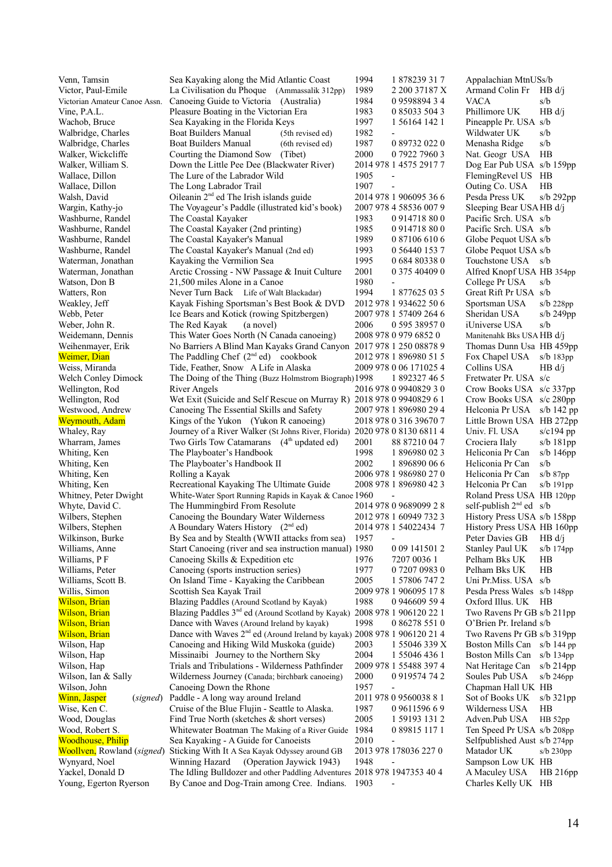| Venn, Tamsin                       | Sea Kayaking along the Mid Atlantic Coast                                            | 1994 | 1 878239 31 7                | Appalachian MtnUSs/b         |                |
|------------------------------------|--------------------------------------------------------------------------------------|------|------------------------------|------------------------------|----------------|
| Victor, Paul-Emile                 | La Civilisation du Phoque (Ammassalik 312pp)                                         | 1989 | 2 200 37187 X                | Armand Colin Fr              | HB d/i         |
| Victorian Amateur Canoe Assn.      | Canoeing Guide to Victoria (Australia)                                               | 1984 | 0959889434                   | <b>VACA</b>                  | s/b            |
| Vine, P.A.L.                       | Pleasure Boating in the Victorian Era                                                | 1983 | 0 85033 504 3                | Phillimore UK                | HB d/j         |
| Wachob, Bruce                      | Sea Kayaking in the Florida Keys                                                     | 1997 | 1 56164 142 1                | Pineapple Pr. USA s/b        |                |
| Walbridge, Charles                 | <b>Boat Builders Manual</b><br>(5th revised ed)                                      | 1982 | $\overline{\phantom{0}}$     | Wildwater UK                 | s/b            |
| Walbridge, Charles                 | <b>Boat Builders Manual</b><br>(6th revised ed)                                      | 1987 | 0 89732 022 0                | Menasha Ridge                | s/b            |
| Walker, Wickcliffe                 | Courting the Diamond Sow (Tibet)                                                     | 2000 | 0 7922 7960 3                | Nat. Geogr USA               | HB             |
| Walker, William S.                 | Down the Little Pee Dee (Blackwater River)                                           |      | 2014 978 1 4575 2917 7       | Dog Ear Pub USA s/b 159pp    |                |
| Wallace, Dillon                    | The Lure of the Labrador Wild                                                        | 1905 | $\overline{\phantom{a}}$     | FlemingRevel US HB           |                |
| Wallace, Dillon                    | The Long Labrador Trail                                                              | 1907 | $\qquad \qquad \blacksquare$ | Outing Co. USA               | H B            |
| Walsh, David                       | Oileanin 2 <sup>nd</sup> ed The Irish islands guide                                  |      | 2014 978 1 906095 36 6       | Pesda Press UK               | s/b 292pp      |
| Wargin, Kathy-jo                   | The Voyageur's Paddle (illustrated kid's book)                                       |      | 2007 978 4 58536 007 9       | Sleeping Bear USA HB d/j     |                |
| Washburne, Randel                  | The Coastal Kayaker                                                                  | 1983 | 0914718800                   | Pacific Srch. USA s/b        |                |
| Washburne, Randel                  | The Coastal Kayaker (2nd printing)                                                   | 1985 | 0914718800                   | Pacific Srch. USA s/b        |                |
| Washburne, Randel                  | The Coastal Kayaker's Manual                                                         | 1989 | 0 87106 610 6                | Globe Pequot USA s/b         |                |
| Washburne, Randel                  | The Coastal Kayaker's Manual (2nd ed)                                                | 1993 | 0 56440 153 7                | Globe Pequot USA s/b         |                |
| Waterman, Jonathan                 | Kayaking the Vermilion Sea                                                           | 1995 | 0 684 80338 0                | Touchstone USA               | s/b            |
| Waterman, Jonathan                 | Arctic Crossing - NW Passage & Inuit Culture                                         | 2001 | 0 375 40409 0                | Alfred Knopf USA HB 354pp    |                |
| Watson, Don B                      | 21,500 miles Alone in a Canoe                                                        | 1980 | $\qquad \qquad \blacksquare$ | College Pr USA               | s/b            |
| Watters, Ron                       | Never Turn Back Life of Walt Blackadar)                                              | 1994 | 1877625035                   | Great Rift Pr USA s/b        |                |
| Weakley, Jeff                      | Kayak Fishing Sportsman's Best Book & DVD                                            |      | 2012 978 1 934622 50 6       | Sportsman USA                | $s/b$ 228pp    |
| Webb, Peter                        | Ice Bears and Kotick (rowing Spitzbergen)                                            |      | 2007 978 1 57409 264 6       | Sheridan USA                 | $s/b$ 249pp    |
| Weber, John R.                     | The Red Kayak<br>(a novel)                                                           | 2006 | 0 595 38957 0                | iUniverse USA                | s/b            |
| Weidemann, Dennis                  | This Water Goes North (N Canada canoeing)                                            |      | 2008 978 0 979 6852 0        | Manitenahk Bks USA HB d/j    |                |
| Weihenmayer, Erik                  | No Barriers A Blind Man Kayaks Grand Canyon 2017 978 1 250 08878 9                   |      |                              | Thomas Dunn Usa HB 459pp     |                |
| Weimer, Dian                       | The Paddling Chef $(2nd ed)$ cookbook                                                |      | 2012 978 1 896980 51 5       | Fox Chapel USA               | $s/b$ 183 $pp$ |
|                                    | Tide, Feather, Snow A Life in Alaska                                                 |      | 2009 978 0 06 171025 4       | Collins USA                  |                |
| Weiss, Miranda                     |                                                                                      |      |                              |                              | HB d/i         |
| Welch Conley Dimock                | The Doing of the Thing (Buzz Holmstrom Biograph) 1998                                |      | 1 892327 46 5                | Fretwater Pr. USA s/c        |                |
| Wellington, Rod                    | <b>River Angels</b>                                                                  |      | 2016 978 0 9940829 3 0       | Crow Books USA s/c 337pp     |                |
| Wellington, Rod                    | Wet Exit (Suicide and Self Rescue on Murray R) 2018 978 0 9940829 6 1                |      |                              | Crow Books USA s/c 280pp     |                |
| Westwood, Andrew                   | Canoeing The Essential Skills and Safety                                             |      | 2007 978 1 896980 29 4       | Helconia Pr USA              | s/b 142 pp     |
| <b>Weymouth, Adam</b>              | Kings of the Yukon (Yukon R canoeing)                                                |      | 2018 978 0 316 39670 7       | Little Brown USA HB 272pp    |                |
| Whaley, Ray                        | Journey of a River Walker (St Johns River, Florida)                                  |      | 2020 978 0 8130 6811 4       | Univ. Fl. USA                | s/c194 pp      |
| Wharram, James                     | Two Girls Tow Catamarans (4 <sup>th</sup> updated ed)                                | 2001 | 88 87210 04 7                | Crociera Ilaly               | s/b 181pp      |
| Whiting, Ken                       | The Playboater's Handbook                                                            | 1998 | 1 896980 02 3                | Heliconia Pr Can             | s/b $146pp$    |
| Whiting, Ken                       | The Playboater's Handbook II                                                         | 2002 | 1896890066                   | Heliconia Pr Can             | s/b            |
| Whiting, Ken                       | Rolling a Kayak                                                                      |      | 2006 978 1 986980 27 0       | Heliconia Pr Can             | $s/b$ 87pp     |
| Whiting, Ken                       | Recreational Kayaking The Ultimate Guide                                             |      | 2008 978 1 896980 42 3       | Helconia Pr Can              | $s/b$ 191 $pp$ |
| Whitney, Peter Dwight              | White-Water Sport Running Rapids in Kayak & Canoe 1960                               |      | $\overline{a}$               | Roland Press USA HB 120pp    |                |
| Whyte, David C.                    | The Hummingbird From Resolute                                                        |      | 2014 978 0 9689099 2 8       | self-publish $2nd$ ed s/b    |                |
| Wilbers, Stephen                   | Canoeing the Boundary Water Wilderness                                               |      | 2012 978 1 60949 732 3       | History Press USA s/b 158pp  |                |
| Wilbers, Stephen                   | A Boundary Waters History (2 <sup>nd</sup> ed)                                       |      | 2014 978 1 54022434 7        | History Press USA HB 160pp   |                |
| Wilkinson, Burke                   | By Sea and by Stealth (WWII attacks from sea) 1957                                   |      |                              | Peter Davies GB HB d/j       |                |
| Williams, Anne                     | Start Canoeing (river and sea instruction manual) 1980                               |      | 0 09 141501 2                | Stanley Paul UK              | $s/b$ 174 $pp$ |
| Williams, PF                       | Canoeing Skills & Expedition etc                                                     | 1976 | 7207 0036 1                  | Pelham Bks UK                | HВ             |
| Williams, Peter                    | Canoeing (sports instruction series)                                                 | 1977 | 0 7207 0983 0                | Pelham Bks UK                | HB             |
| Williams, Scott B.                 | On Island Time - Kayaking the Caribbean                                              | 2005 | 1 57806 747 2                | Uni Pr.Miss. USA s/b         |                |
| Willis, Simon                      | Scottish Sea Kayak Trail                                                             |      | 2009 978 1 906095 17 8       | Pesda Press Wales s/b 148pp  |                |
| Wilson, Brian                      | Blazing Paddles (Around Scotland by Kayak)                                           | 1988 | 0 946609 59 4                | Oxford Illus. UK             | - HB           |
| Wilson, Brian                      | Blazing Paddles 3 <sup>nd</sup> ed (Around Scotland by Kayak)                        |      | 2008 978 1 906120 22 1       | Two Ravens Pr GB s/b 211pp   |                |
| <b>Wilson</b> , Brian              | Dance with Waves (Around Ireland by kayak)                                           | 1998 | 0 86278 551 0                | O'Brien Pr. Ireland s/b      |                |
| Wilson, Brian                      | Dance with Waves 2 <sup>nd</sup> ed (Around Ireland by kayak) 2008 978 1 906120 21 4 |      |                              | Two Ravens Pr GB s/b 319pp   |                |
| Wilson, Hap                        | Canoeing and Hiking Wild Muskoka (guide)                                             | 2003 | 1 55046 339 X                | Boston Mills Can s/b 144 pp  |                |
| Wilson, Hap                        | Missinaibi Journey to the Northern Sky                                               | 2004 | 1 55046 436 1                | Boston Mills Can             | $s/b$ 134pp    |
|                                    |                                                                                      |      | 2009 978 1 55488 397 4       |                              |                |
| Wilson, Hap                        | Trials and Tribulations - Wilderness Pathfinder                                      |      |                              | Nat Heritage Can             | $s/b$ 214pp    |
| Wilson, Ian & Sally                | Wilderness Journey (Canada; birchbark canoeing)                                      | 2000 | 0919574742                   | Soules Pub USA               | s/b 246pp      |
| Wilson, John                       | Canoeing Down the Rhone                                                              | 1957 |                              | Chapman Hall UK HB           |                |
| Winn, Jasper<br>(signed)           | Paddle - A long way around Ireland                                                   |      | 2011 978 0 9560038 8 1       | Sot of Books UK              | s/b $321pp$    |
| Wise, Ken C.                       | Cruise of the Blue Flujin - Seattle to Alaska.                                       | 1987 | 0 9611596 6 9                | Wilderness USA               | HB             |
| Wood, Douglas                      | Find True North (sketches $&$ short verses)                                          | 2005 | 1 59193 131 2                | Adven.Pub USA                | HB 52pp        |
| Wood, Robert S.                    | Whitewater Boatman The Making of a River Guide                                       | 1984 | 0 89815 117 1                | Ten Speed Pr USA s/b 208pp   |                |
| <b>Woodhouse</b> , Philip          | Sea Kayaking - A Guide for Canoeists                                                 | 2010 | $\overline{\phantom{0}}$     | Selfpublished Aust s/b 274pp |                |
| <b>Woollven</b> , Rowland (signed) | Sticking With It A Sea Kayak Odyssey around GB                                       |      | 2013 978 178036 227 0        | Matador UK                   | $s/b$ 230pp    |
| Wynyard, Noel                      | (Operation Jaywick 1943)<br>Winning Hazard                                           | 1948 |                              | Sampson Low UK HB            |                |
| Yackel, Donald D                   | The Idling Bulldozer and other Paddling Adventures 2018 978 1947353 40 4             |      |                              | A Maculey USA                | HB 216pp       |
| Young, Egerton Ryerson             | By Canoe and Dog-Train among Cree. Indians.                                          | 1903 |                              | Charles Kelly UK HB          |                |
|                                    |                                                                                      |      |                              |                              |                |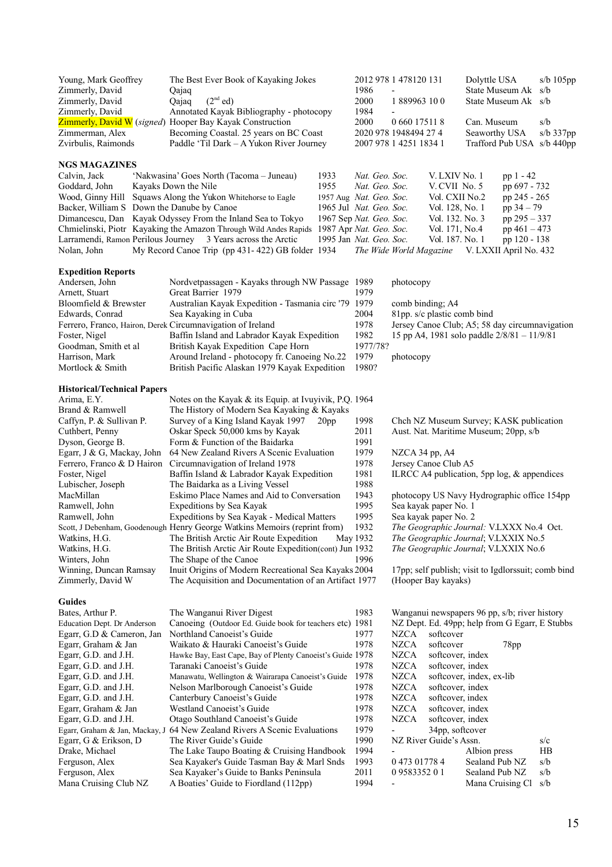| Young, Mark Geoffrey                                         | The Best Ever Book of Kayaking Jokes                                                     |                  |                         | 2012 978 1 478120 131    |                             | Dolyttle USA             |                                                     | $s/b$ 105 $pp$             |
|--------------------------------------------------------------|------------------------------------------------------------------------------------------|------------------|-------------------------|--------------------------|-----------------------------|--------------------------|-----------------------------------------------------|----------------------------|
| Zimmerly, David                                              | Qajaq                                                                                    |                  | 1986                    |                          |                             |                          | State Museum Ak                                     | s/b                        |
| Zimmerly, David                                              | (2 <sup>nd</sup> ed)<br>Qajaq                                                            |                  | 2000                    | 1889963100               |                             |                          | State Museum Ak                                     | s/b                        |
| Zimmerly, David                                              | Annotated Kayak Bibliography - photocopy                                                 |                  | 1984                    |                          |                             |                          |                                                     |                            |
|                                                              | Zimmerly, David W (signed) Hooper Bay Kayak Construction                                 |                  | 2000                    | 0 660 17511 8            |                             | Can. Museum              |                                                     | s/b                        |
| Zimmerman, Alex                                              | Becoming Coastal. 25 years on BC Coast                                                   |                  |                         | 2020 978 1948494 27 4    |                             | Seaworthy USA            |                                                     | $s/b$ 337 $pp$             |
| Zvirbulis, Raimonds                                          | Paddle 'Til Dark - A Yukon River Journey                                                 |                  |                         | 2007 978 1 4251 1834 1   |                             |                          |                                                     | Trafford Pub USA s/b 440pp |
| <b>NGS MAGAZINES</b>                                         |                                                                                          |                  |                         |                          |                             |                          |                                                     |                            |
| Calvin, Jack                                                 | 'Nakwasina' Goes North (Tacoma – Juneau)                                                 | 1933             | Nat. Geo. Soc.          |                          | V. LXIV No. 1               |                          | $pp 1 - 42$                                         |                            |
| Goddard, John                                                | Kayaks Down the Nile                                                                     | 1955             | Nat. Geo. Soc.          |                          | V. CVII No. 5               |                          | pp 697 - 732                                        |                            |
| Wood, Ginny Hill                                             | Squaws Along the Yukon Whitehorse to Eagle                                               |                  | 1957 Aug Nat. Geo. Soc. |                          | Vol. CXII No.2              |                          | pp 245 - 265                                        |                            |
| Backer, William S Down the Danube by Canoe                   |                                                                                          |                  | 1965 Jul Nat. Geo. Soc. |                          | Vol. 128, No. 1             |                          | pp $34 - 79$                                        |                            |
|                                                              | Dimancescu, Dan Kayak Odyssey From the Inland Sea to Tokyo                               |                  | 1967 Sep Nat. Geo. Soc. |                          | Vol. 132. No. 3             |                          | pp $295 - 337$                                      |                            |
|                                                              | Chmielinski, Piotr Kayaking the Amazon Through Wild Andes Rapids 1987 Apr Nat. Geo. Soc. |                  |                         |                          | Vol. 171, No.4              |                          | pp $461 - 473$                                      |                            |
|                                                              | Larramendi, Ramon Perilous Journey 3 Years across the Arctic                             |                  | 1995 Jan Nat. Geo. Soc. |                          | Vol. 187. No. 1             |                          | pp 120 - 138                                        |                            |
| Nolan, John                                                  | My Record Canoe Trip (pp 431-422) GB folder 1934                                         |                  |                         | The Wide World Magazine  |                             |                          | V. LXXII April No. 432                              |                            |
|                                                              |                                                                                          |                  |                         |                          |                             |                          |                                                     |                            |
| <b>Expedition Reports</b>                                    |                                                                                          |                  |                         |                          |                             |                          |                                                     |                            |
| Andersen, John                                               | Nordvetpassagen - Kayaks through NW Passage 1989                                         |                  |                         | photocopy                |                             |                          |                                                     |                            |
| Arnett, Stuart                                               | Great Barrier 1979                                                                       |                  | 1979                    |                          |                             |                          |                                                     |                            |
| Bloomfield & Brewster                                        | Australian Kayak Expedition - Tasmania circ '79 1979                                     |                  |                         | comb binding; A4         |                             |                          |                                                     |                            |
| Edwards, Conrad                                              | Sea Kayaking in Cuba                                                                     |                  | 2004                    |                          | 81pp. s/c plastic comb bind |                          |                                                     |                            |
| Ferrero, Franco, Hairon, Derek Circumnavigation of Ireland   |                                                                                          |                  | 1978                    |                          |                             |                          | Jersey Canoe Club; A5; 58 day circumnavigation      |                            |
| Foster, Nigel                                                | Baffin Island and Labrador Kayak Expedition                                              |                  | 1982                    |                          |                             |                          | 15 pp A4, 1981 solo paddle $2/8/81 - 11/9/81$       |                            |
| Goodman, Smith et al                                         | British Kayak Expedition Cape Horn                                                       |                  | 1977/78?                |                          |                             |                          |                                                     |                            |
| Harrison, Mark                                               | Around Ireland - photocopy fr. Canoeing No.22                                            |                  | 1979                    | photocopy                |                             |                          |                                                     |                            |
| Mortlock & Smith                                             | British Pacific Alaskan 1979 Kayak Expedition                                            |                  | 1980?                   |                          |                             |                          |                                                     |                            |
|                                                              |                                                                                          |                  |                         |                          |                             |                          |                                                     |                            |
| <b>Historical/Technical Papers</b><br>Arima, E.Y.            | Notes on the Kayak & its Equip. at Ivuyivik, P.Q. 1964                                   |                  |                         |                          |                             |                          |                                                     |                            |
| Brand & Ramwell                                              | The History of Modern Sea Kayaking & Kayaks                                              |                  |                         |                          |                             |                          |                                                     |                            |
| Caffyn, P. & Sullivan P.                                     | Survey of a King Island Kayak 1997                                                       | 20 <sub>pp</sub> | 1998                    |                          |                             |                          | Chch NZ Museum Survey; KASK publication             |                            |
| Cuthbert, Penny                                              | Oskar Speck 50,000 kms by Kayak                                                          |                  | 2011                    |                          |                             |                          | Aust. Nat. Maritime Museum; 20pp, s/b               |                            |
| Dyson, George B.                                             | Form & Function of the Baidarka                                                          |                  | 1991                    |                          |                             |                          |                                                     |                            |
| Egarr, J & G, Mackay, John                                   | 64 New Zealand Rivers A Scenic Evaluation                                                |                  | 1979                    | NZCA 34 pp, A4           |                             |                          |                                                     |                            |
|                                                              | Ferrero, Franco & D Hairon Circumnavigation of Ireland 1978                              |                  | 1978                    |                          | Jersey Canoe Club A5        |                          |                                                     |                            |
| Foster, Nigel                                                | Baffin Island & Labrador Kayak Expedition                                                |                  | 1981                    |                          |                             |                          | ILRCC A4 publication, 5pp $log, \&$ appendices      |                            |
| Lubischer, Joseph                                            | The Baidarka as a Living Vessel                                                          |                  | 1988                    |                          |                             |                          |                                                     |                            |
| MacMillan                                                    | Eskimo Place Names and Aid to Conversation                                               |                  | 1943                    |                          |                             |                          | photocopy US Navy Hydrographic office 154pp         |                            |
| Ramwell, John                                                | Expeditions by Sea Kayak                                                                 |                  | 1995                    |                          | Sea kayak paper No. 1       |                          |                                                     |                            |
| Ramwell, John                                                | Expeditions by Sea Kayak - Medical Matters                                               |                  | 1995                    |                          | Sea kayak paper No. 2       |                          |                                                     |                            |
|                                                              | Scott, J Debenham, Goodenough Henry George Watkins Memoirs (reprint from)                |                  | 1932                    |                          |                             |                          | The Geographic Journal: V.LXXX No.4 Oct.            |                            |
|                                                              | Watkins, H.G. The British Arctic Air Route Expedition May 1932                           |                  |                         |                          |                             |                          | The Geographic Journal; V.LXXIX No.5                |                            |
| Watkins, H.G.                                                | The British Arctic Air Route Expedition(cont) Jun 1932                                   |                  |                         |                          |                             |                          | The Geographic Journal; V.LXXIX No.6                |                            |
| Winters, John                                                | The Shape of the Canoe                                                                   |                  | 1996                    |                          |                             |                          |                                                     |                            |
| Winning, Duncan Ramsay                                       | Inuit Origins of Modern Recreational Sea Kayaks 2004                                     |                  |                         |                          |                             |                          | 17pp; self publish; visit to Igdlorssuit; comb bind |                            |
| Zimmerly, David W                                            | The Acquisition and Documentation of an Artifact 1977                                    |                  |                         |                          | (Hooper Bay kayaks)         |                          |                                                     |                            |
| <b>Guides</b>                                                |                                                                                          |                  |                         |                          |                             |                          |                                                     |                            |
| Bates, Arthur P.                                             | The Wanganui River Digest                                                                |                  | 1983                    |                          |                             |                          | Wanganui newspapers 96 pp, s/b; river history       |                            |
| Education Dept. Dr Anderson                                  | Canoeing (Outdoor Ed. Guide book for teachers etc) 1981                                  |                  |                         |                          |                             |                          | NZ Dept. Ed. 49pp; help from G Egarr, E Stubbs      |                            |
| Egarr, G.D & Cameron, Jan                                    | Northland Canoeist's Guide                                                               |                  | 1977                    | <b>NZCA</b>              | softcover                   |                          |                                                     |                            |
| Egarr, Graham & Jan                                          | Waikato & Hauraki Canoeist's Guide                                                       |                  | 1978                    | <b>NZCA</b>              | softcover                   |                          | 78pp                                                |                            |
| Egarr, G.D. and J.H.                                         | Hawke Bay, East Cape, Bay of Plenty Canoeist's Guide 1978                                |                  |                         | <b>NZCA</b>              | softcover, index            |                          |                                                     |                            |
| Egarr, G.D. and J.H.                                         | Taranaki Canoeist's Guide                                                                |                  | 1978                    | <b>NZCA</b>              | softcover, index            |                          |                                                     |                            |
| Egarr, G.D. and J.H.                                         | Manawatu, Wellington & Wairarapa Canoeist's Guide                                        |                  | 1978                    | <b>NZCA</b>              |                             | softcover, index, ex-lib |                                                     |                            |
| Egarr, G.D. and J.H.                                         | Nelson Marlborough Canoeist's Guide                                                      |                  | 1978                    | <b>NZCA</b>              | softcover, index            |                          |                                                     |                            |
| Egarr, G.D. and J.H.                                         | Canterbury Canoeist's Guide                                                              |                  | 1978                    | <b>NZCA</b>              | softcover, index            |                          |                                                     |                            |
| Egarr, Graham & Jan                                          | Westland Canoeist's Guide                                                                |                  | 1978                    | <b>NZCA</b>              | softcover, index            |                          |                                                     |                            |
| Egarr, G.D. and J.H.                                         | Otago Southland Canoeist's Guide                                                         |                  | 1978                    | <b>NZCA</b>              | softcover, index            |                          |                                                     |                            |
|                                                              | Egarr, Graham & Jan, Mackay, J 64 New Zealand Rivers A Scenic Evaluations                |                  | 1979                    | $\overline{\phantom{0}}$ | 34pp, softcover             |                          |                                                     |                            |
| Egarr, G & Erikson, D                                        | The River Guide's Guide                                                                  |                  | 1990                    |                          | NZ River Guide's Assn.      |                          |                                                     | s/c                        |
| Drake, Michael<br>The Lake Taupo Boating & Cruising Handbook |                                                                                          |                  | 1994<br>1993            | $\overline{\phantom{0}}$ |                             | Albion press             |                                                     | HB                         |
| Ferguson, Alex                                               | Sea Kayaker's Guide Tasman Bay & Marl Snds                                               |                  |                         | 0 473 01778 4            |                             | Sealand Pub NZ           |                                                     | s/b                        |
| Ferguson, Alex                                               | Sea Kayaker's Guide to Banks Peninsula                                                   |                  | 2011                    | 0958335201               |                             | Sealand Pub NZ           |                                                     | s/b                        |
| Mana Cruising Club NZ                                        | A Boaties' Guide to Fiordland (112pp)                                                    |                  | 1994                    | $\overline{\phantom{0}}$ |                             |                          | Mana Cruising Cl                                    | s/b                        |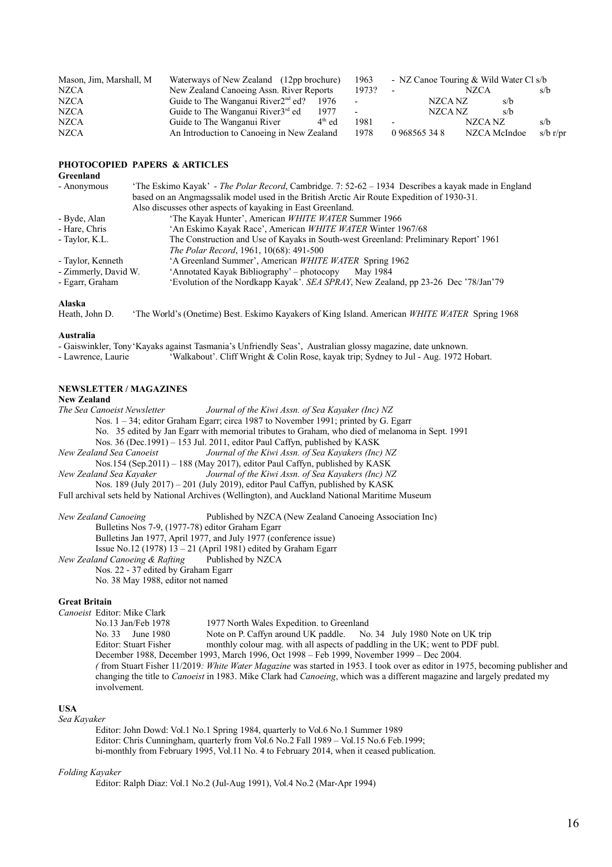| Mason, Jim, Marshall, M | Waterways of New Zealand (12pp brochure)              | 1963   |                          |               | - NZ Canoe Touring & Wild Water Cl s/b |          |
|-------------------------|-------------------------------------------------------|--------|--------------------------|---------------|----------------------------------------|----------|
| <b>NZCA</b>             | New Zealand Canoeing Assn. River Reports              | 1973?  | $\overline{\phantom{a}}$ |               | NZCA                                   | s/b      |
| <b>NZCA</b>             | Guide to The Wanganui River $2nd$ ed?<br>-1976        | $\sim$ |                          | NZCA NZ       | s/b                                    |          |
| <b>NZCA</b>             | Guide to The Wanganui River3 <sup>rd</sup> ed<br>1977 |        |                          | NZCA NZ       | s/b                                    |          |
| <b>NZCA</b>             | $4th$ ed<br>Guide to The Wanganui River               | 1981   | $\overline{\phantom{a}}$ |               | NZCA NZ                                | s/b      |
| <b>NZCA</b>             | An Introduction to Canoeing in New Zealand            | 1978   |                          | 0 968565 34 8 | NZCA McIndoe                           | s/b r/pr |

## **PHOTOCOPIED PAPERS & ARTICLES**

| Greenland            |                                                                                                     |
|----------------------|-----------------------------------------------------------------------------------------------------|
| - Anonymous          | 'The Eskimo Kayak' - The Polar Record, Cambridge. 7: 52-62 - 1934 Describes a kayak made in England |
|                      | based on an Angmagssalik model used in the British Arctic Air Route Expedition of 1930-31.          |
|                      | Also discusses other aspects of kayaking in East Greenland.                                         |
| - Byde, Alan         | 'The Kayak Hunter', American WHITE WATER Summer 1966                                                |
| - Hare, Chris        | 'An Eskimo Kayak Race', American WHITE WATER Winter 1967/68                                         |
| - Taylor, K.L.       | The Construction and Use of Kayaks in South-west Greenland: Preliminary Report' 1961                |
|                      | The Polar Record, 1961, 10(68): 491-500                                                             |
| - Taylor, Kenneth    | 'A Greenland Summer', American WHITE WATER Spring 1962                                              |
| - Zimmerly, David W. | 'Annotated Kayak Bibliography' – photocopy<br>May 1984                                              |
| - Egarr, Graham      | 'Evolution of the Nordkapp Kayak'. SEA SPRAY, New Zealand, pp 23-26 Dec '78/Jan'79                  |
| $\Delta$ lasks       |                                                                                                     |

#### **Alaska**

Heath, John D. 'The World's (Onetime) Best. Eskimo Kayakers of King Island. American *WHITE WATER* Spring 1968

#### **Australia**

- Gaiswinkler, Tony'Kayaks against Tasmania's Unfriendly Seas', Australian glossy magazine, date unknown.

- Lawrence, Laurie 'Walkabout'. Cliff Wright & Colin Rose, kayak trip; Sydney to Jul - Aug. 1972 Hobart.

### **NEWSLETTER / MAGAZINES**

# **New Zealand**

*The Sea Canoeist Newsletter Journal of the Kiwi Assn. of Sea Kayaker (Inc) NZ*  Nos. 1 – 34; editor Graham Egarr; circa 1987 to November 1991; printed by G. Egarr No. 35 edited by Jan Egarr with memorial tributes to Graham, who died of melanoma in Sept. 1991 Nos. 36 (Dec.1991) – 153 Jul. 2011, editor Paul Caffyn, published by KASK *New Zealand Sea Canoeist Journal of the Kiwi Assn. of Sea Kayakers (Inc) NZ* Nos.154 (Sep.2011) – 188 (May 2017), editor Paul Caffyn, published by KASK *New Zealand Sea Kayaker Journal of the Kiwi Assn. of Sea Kayakers (Inc) NZ* Nos. 189 (July 2017) – 201 (July 2019), editor Paul Caffyn, published by KASK Full archival sets held by National Archives (Wellington), and Auckland National Maritime Museum *New Zealand Canoeing* Published by NZCA (New Zealand Canoeing Association Inc) Bulletins Nos 7-9, (1977-78) editor Graham Egarr

Bulletins Jan 1977, April 1977, and July 1977 (conference issue) Issue No.12 (1978)  $13 - 21$  (April 1981) edited by Graham Egarr *New Zealand Canoeing & Rafting* Published by NZCA Nos. 22 - 37 edited by Graham Egarr No. 38 May 1988, editor not named

#### **Great Britain**

*Canoeist* Editor: Mike Clark No.13 Jan/Feb 1978 1977 North Wales Expedition. to Greenland No. 33 June 1980 Note on P. Caffyn around UK paddle. No. 34 July 1980 Note on UK trip Editor: Stuart Fisher monthly colour mag. with all aspects of paddling in the UK; went to PDF publ. December 1988, December 1993, March 1996, Oct 1998 – Feb 1999, November 1999 – Dec 2004. *(* from Stuart Fisher 11/2019*: White Water Magazine* was started in 1953. I took over as editor in 1975, becoming publisher and changing the title to *Canoeist* in 1983. Mike Clark had *Canoeing*, which was a different magazine and largely predated my involvement.

### **USA**

*Sea Kayaker*

Editor: John Dowd: Vol.1 No.1 Spring 1984, quarterly to Vol.6 No.1 Summer 1989 Editor: Chris Cunningham, quarterly from Vol.6 No.2 Fall 1989 – Vol.15 No.6 Feb.1999; bi-monthly from February 1995, Vol.11 No. 4 to February 2014, when it ceased publication.

#### *Folding Kayaker*

Editor: Ralph Diaz: Vol.1 No.2 (Jul-Aug 1991), Vol.4 No.2 (Mar-Apr 1994)